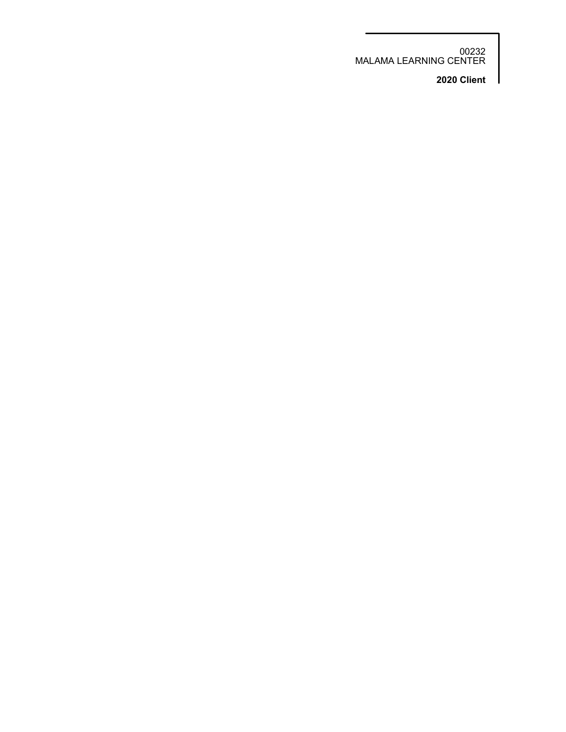00232 MALAMA LEARNING CENTER

**2020 Client**

I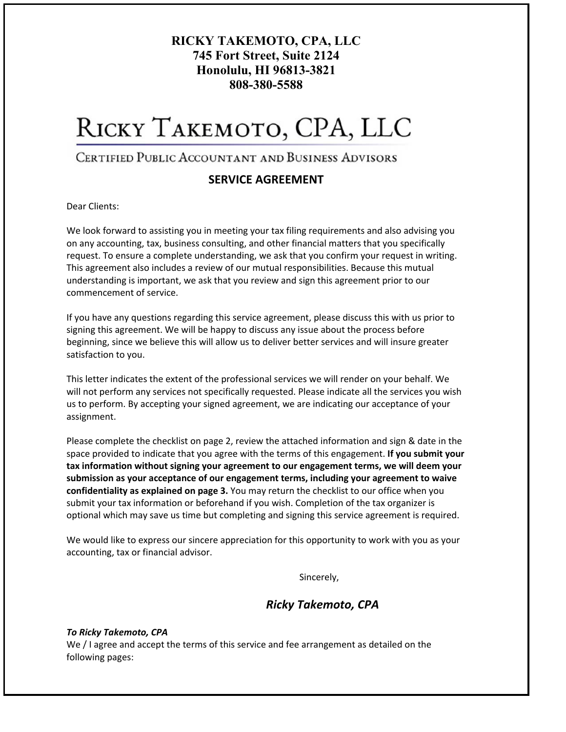## **RICKY TAKEMOTO, CPA, LLC 745 Fort Street, Suite 2124 Honolulu, HI 96813-3821 808-380-5588**

# RICKY TAKEMOTO, CPA, LLC

## CERTIFIED PUBLIC ACCOUNTANT AND BUSINESS ADVISORS

## **SERVICE AGREEMENT**

Dear Clients:

We look forward to assisting you in meeting your tax filing requirements and also advising you on any accounting, tax, business consulting, and other financial matters that you specifically request. To ensure a complete understanding, we ask that you confirm your request in writing. This agreement also includes a review of our mutual responsibilities. Because this mutual understanding is important, we ask that you review and sign this agreement prior to our commencement of service.

If you have any questions regarding this service agreement, please discuss this with us prior to signing this agreement. We will be happy to discuss any issue about the process before beginning, since we believe this will allow us to deliver better services and will insure greater satisfaction to you.

This letter indicates the extent of the professional services we will render on your behalf. We will not perform any services not specifically requested. Please indicate all the services you wish us to perform. By accepting your signed agreement, we are indicating our acceptance of your assignment.

Please complete the checklist on page 2, review the attached information and sign & date in the space provided to indicate that you agree with the terms of this engagement. **If you submit your tax information without signing your agreement to our engagement terms, we will deem your submission as your acceptance of our engagement terms, including your agreement to waive confidentiality as explained on page 3.** You may return the checklist to our office when you submit your tax information or beforehand if you wish. Completion of the tax organizer is optional which may save us time but completing and signing this service agreement is required.

We would like to express our sincere appreciation for this opportunity to work with you as your accounting, tax or financial advisor.

Sincerely,

## *Ricky Takemoto, CPA*

### *To Ricky Takemoto, CPA*

We / I agree and accept the terms of this service and fee arrangement as detailed on the following pages: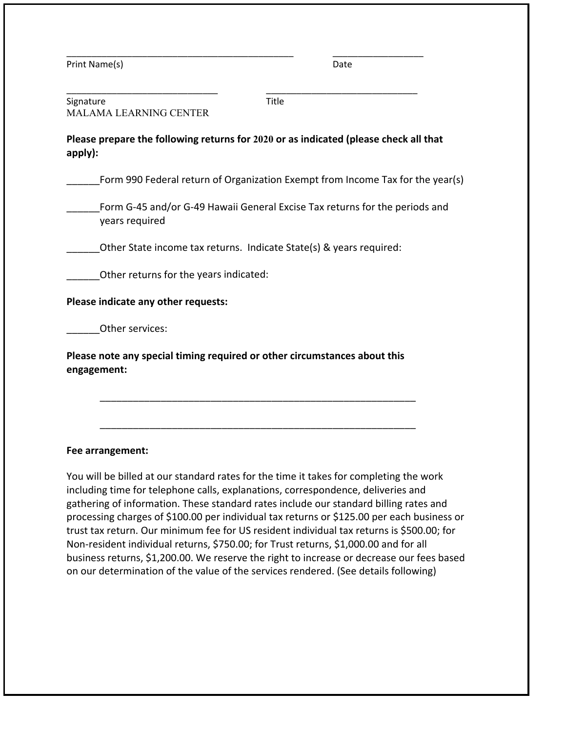| Print Name(s) | Date |
|---------------|------|
|               |      |

| Signature              | Title |  |
|------------------------|-------|--|
| MALAMA LEARNING CENTER |       |  |

**Please prepare the following returns for 2020 or as indicated (please check all that apply):**

\_\_\_\_\_\_\_\_\_\_\_\_\_\_\_\_\_\_\_\_\_\_\_\_\_\_\_\_\_\_\_\_\_\_\_\_\_\_\_\_\_\_\_\_\_ \_\_\_\_\_\_\_\_\_\_\_\_\_\_\_\_\_\_

\_\_\_\_\_\_Form 990 Federal return of Organization Exempt from Income Tax for the year(s)

\_\_\_\_\_\_Form G‐45 and/or G‐49 Hawaii General Excise Tax returns for the periods and years required

Other State income tax returns. Indicate State(s) & years required:

Other returns for the years indicated:

**Please indicate any other requests:**

Other services:

**Please note any special timing required or other circumstances about this engagement:**

\_\_\_\_\_\_\_\_\_\_\_\_\_\_\_\_\_\_\_\_\_\_\_\_\_\_\_\_\_\_\_\_\_\_\_\_\_\_\_\_\_\_\_\_\_\_\_\_\_\_\_\_\_\_\_\_\_

\_\_\_\_\_\_\_\_\_\_\_\_\_\_\_\_\_\_\_\_\_\_\_\_\_\_\_\_\_\_\_\_\_\_\_\_\_\_\_\_\_\_\_\_\_\_\_\_\_\_\_\_\_\_\_\_\_

## **Fee arrangement:**

You will be billed at our standard rates for the time it takes for completing the work including time for telephone calls, explanations, correspondence, deliveries and gathering of information. These standard rates include our standard billing rates and processing charges of \$100.00 per individual tax returns or \$125.00 per each business or trust tax return. Our minimum fee for US resident individual tax returns is \$500.00; for Non‐resident individual returns, \$750.00; for Trust returns, \$1,000.00 and for all business returns, \$1,200.00. We reserve the right to increase or decrease our fees based on our determination of the value of the services rendered. (See details following)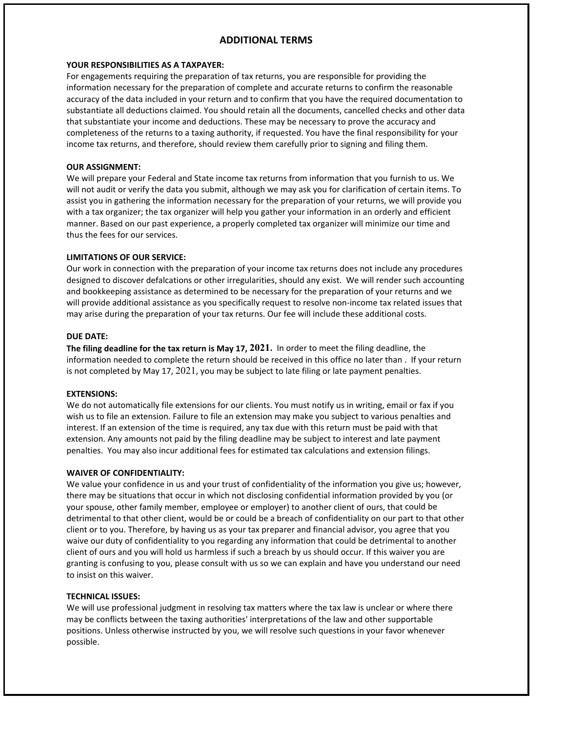### **ADDITIONAL TERMS**

### **YOUR RESPONSIBILITIES AS A TAXPAYER:**

For engagements requiring the preparation of tax returns, you are responsible for providing the information necessary for the preparation of complete and accurate returns to confirm the reasonable accuracy of the data included in your return and to confirm that you have the required documentation to substantiate all deductions claimed. You should retain all the documents, cancelled checks and other data that substantiate your income and deductions. These may be necessary to prove the accuracy and completeness of the returns to a taxing authority, if requested. You have the final responsibility for your income tax returns, and therefore, should review them carefully prior to signing and filing them.

### **OUR ASSIGNMENT:**

We will prepare your Federal and State income tax returns from information that you furnish to us. We will not audit or verify the data you submit, although we may ask you for clarification of certain items. To assist you in gathering the information necessary for the preparation of your returns, we will provide you with a tax organizer; the tax organizer will help you gather your information in an orderly and efficient manner. Based on our past experience, a properly completed tax organizer will minimize our time and thus the fees for our services.

### **LIMITATIONS OF OUR SERVICE:**

Our work in connection with the preparation of your income tax returns does not include any procedures designed to discover defalcations or other irregularities, should any exist. We will render such accounting and bookkeeping assistance as determined to be necessary for the preparation of your returns and we will provide additional assistance as you specifically request to resolve non-income tax related issues that may arise during the preparation of your tax returns. Our fee will include these additional costs.

### **DUE DATE:**

**The filing deadline for the tax return is May 17, 2021.** In order to meet the filing deadline, the information needed to complete the return should be received in this office no later than . If your return is not completed by May 17, 2021, you may be subject to late filing or late payment penalties.

### **EXTENSIONS:**

We do not automatically file extensions for our clients. You must notify us in writing, email or fax if you wish us to file an extension. Failure to file an extension may make you subject to various penalties and interest. If an extension of the time is required, any tax due with this return must be paid with that extension. Any amounts not paid by the filing deadline may be subject to interest and late payment penalties. You may also incur additional fees for estimated tax calculations and extension filings.

### **WAIVER OF CONFIDENTIALITY:**

We value your confidence in us and your trust of confidentiality of the information you give us; however, there may be situations that occur in which not disclosing confidential information provided by you (or your spouse, other family member, employee or employer) to another client of ours, that could be detrimental to that other client, would be or could be a breach of confidentiality on our part to that other client or to you. Therefore, by having us as your tax preparer and financial advisor, you agree that you waive our duty of confidentiality to you regarding any information that could be detrimental to another client of ours and you will hold us harmless if such a breach by us should occur. If this waiver you are granting is confusing to you, please consult with us so we can explain and have you understand our need to insist on this waiver.

### **TECHNICAL ISSUES:**

We will use professional judgment in resolving tax matters where the tax law is unclear or where there may be conflicts between the taxing authorities' interpretations of the law and other supportable positions. Unless otherwise instructed by you, we will resolve such questions in your favor whenever possible.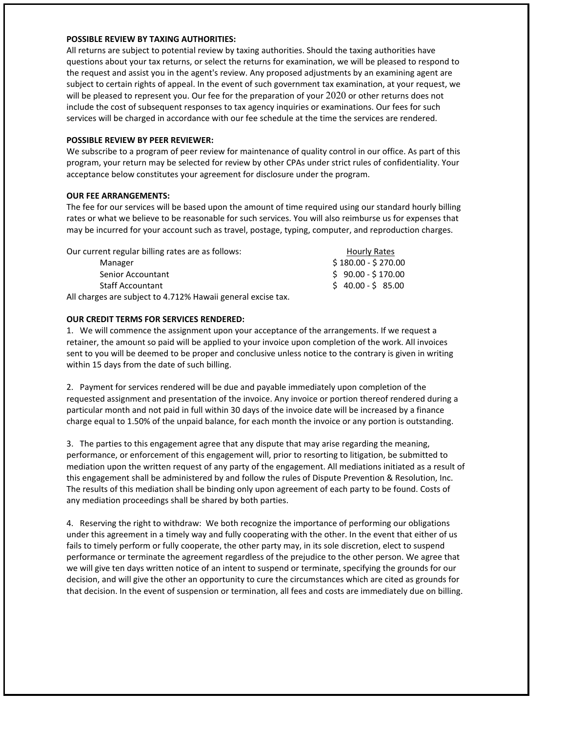### **POSSIBLE REVIEW BY TAXING AUTHORITIES:**

All returns are subject to potential review by taxing authorities. Should the taxing authorities have questions about your tax returns, or select the returns for examination, we will be pleased to respond to the request and assist you in the agent's review. Any proposed adjustments by an examining agent are subject to certain rights of appeal. In the event of such government tax examination, at your request, we will be pleased to represent you. Our fee for the preparation of your 2020 or other returns does not include the cost of subsequent responses to tax agency inquiries or examinations. Our fees for such services will be charged in accordance with our fee schedule at the time the services are rendered.

### **POSSIBLE REVIEW BY PEER REVIEWER:**

We subscribe to a program of peer review for maintenance of quality control in our office. As part of this program, your return may be selected for review by other CPAs under strict rules of confidentiality. Your acceptance below constitutes your agreement for disclosure under the program.

### **OUR FEE ARRANGEMENTS:**

The fee for our services will be based upon the amount of time required using our standard hourly billing rates or what we believe to be reasonable for such services. You will also reimburse us for expenses that may be incurred for your account such as travel, postage, typing, computer, and reproduction charges.

| Our current regular billing rates are as follows:            | Hourly Rates        |
|--------------------------------------------------------------|---------------------|
| Manager                                                      | $$180.00 - $270.00$ |
| Senior Accountant                                            | $$90.00 - $170.00$  |
| <b>Staff Accountant</b>                                      | $$40.00 - $85.00$   |
| All charges are subject to 4.712% Hawaii general excise tax. |                     |

### **OUR CREDIT TERMS FOR SERVICES RENDERED:**

1. We will commence the assignment upon your acceptance of the arrangements. If we request a retainer, the amount so paid will be applied to your invoice upon completion of the work. All invoices sent to you will be deemed to be proper and conclusive unless notice to the contrary is given in writing within 15 days from the date of such billing.

2. Payment for services rendered will be due and payable immediately upon completion of the requested assignment and presentation of the invoice. Any invoice or portion thereof rendered during a particular month and not paid in full within 30 days of the invoice date will be increased by a finance charge equal to 1.50% of the unpaid balance, for each month the invoice or any portion is outstanding.

3. The parties to this engagement agree that any dispute that may arise regarding the meaning, performance, or enforcement of this engagement will, prior to resorting to litigation, be submitted to mediation upon the written request of any party of the engagement. All mediations initiated as a result of this engagement shall be administered by and follow the rules of Dispute Prevention & Resolution, Inc. The results of this mediation shall be binding only upon agreement of each party to be found. Costs of any mediation proceedings shall be shared by both parties.

4. Reserving the right to withdraw: We both recognize the importance of performing our obligations under this agreement in a timely way and fully cooperating with the other. In the event that either of us fails to timely perform or fully cooperate, the other party may, in its sole discretion, elect to suspend performance or terminate the agreement regardless of the prejudice to the other person. We agree that we will give ten days written notice of an intent to suspend or terminate, specifying the grounds for our decision, and will give the other an opportunity to cure the circumstances which are cited as grounds for that decision. In the event of suspension or termination, all fees and costs are immediately due on billing.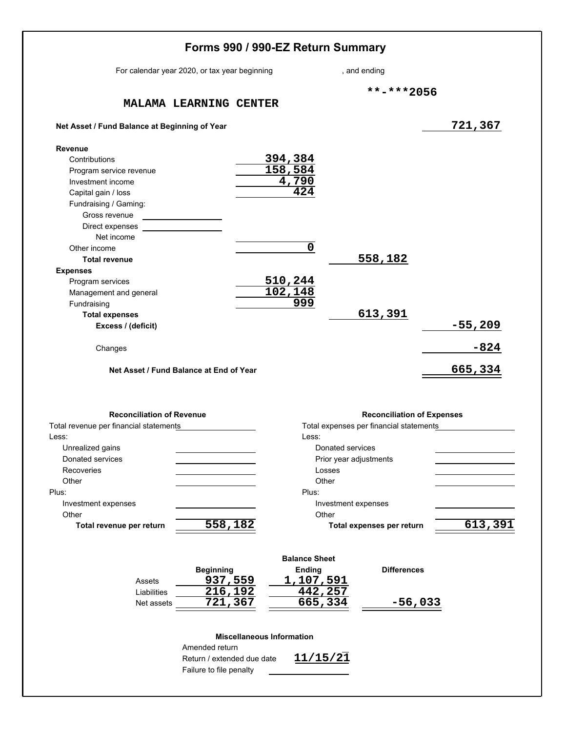|                                                                                                                                                                                                                                                                                                                                                                     |                                                   | Forms 990 / 990-EZ Return Summary |                                                                                       |                     |                                                                              |                     |
|---------------------------------------------------------------------------------------------------------------------------------------------------------------------------------------------------------------------------------------------------------------------------------------------------------------------------------------------------------------------|---------------------------------------------------|-----------------------------------|---------------------------------------------------------------------------------------|---------------------|------------------------------------------------------------------------------|---------------------|
| For calendar year 2020, or tax year beginning                                                                                                                                                                                                                                                                                                                       |                                                   |                                   |                                                                                       |                     | , and ending                                                                 |                     |
|                                                                                                                                                                                                                                                                                                                                                                     |                                                   |                                   |                                                                                       |                     | **-***2056                                                                   |                     |
|                                                                                                                                                                                                                                                                                                                                                                     | MALAMA LEARNING CENTER                            |                                   |                                                                                       |                     |                                                                              |                     |
| Net Asset / Fund Balance at Beginning of Year                                                                                                                                                                                                                                                                                                                       |                                                   |                                   |                                                                                       |                     |                                                                              | 721,367             |
| <b>Revenue</b><br>Contributions<br>Program service revenue<br>Investment income<br>Capital gain / loss<br>Fundraising / Gaming:<br>Gross revenue<br>Direct expenses<br>Net income<br>Other income<br><b>Total revenue</b><br><b>Expenses</b><br>Program services<br>Management and general<br>Fundraising<br><b>Total expenses</b><br>Excess / (deficit)<br>Changes |                                                   |                                   | 394,384<br>158,584<br>4,790<br>424<br>$\mathbf 0$<br><u>510,244</u><br>102,148<br>999 |                     | 558,182<br>613,391                                                           | $-55,209$<br>$-824$ |
| Net Asset / Fund Balance at End of Year                                                                                                                                                                                                                                                                                                                             |                                                   |                                   |                                                                                       |                     |                                                                              | 665,334             |
| <b>Reconciliation of Revenue</b>                                                                                                                                                                                                                                                                                                                                    |                                                   |                                   |                                                                                       |                     |                                                                              |                     |
| Total revenue per financial statements                                                                                                                                                                                                                                                                                                                              |                                                   |                                   |                                                                                       |                     | <b>Reconciliation of Expenses</b><br>Total expenses per financial statements |                     |
| Less:                                                                                                                                                                                                                                                                                                                                                               |                                                   |                                   | Less:                                                                                 |                     |                                                                              |                     |
| Unrealized gains                                                                                                                                                                                                                                                                                                                                                    |                                                   |                                   |                                                                                       | Donated services    |                                                                              |                     |
| Donated services                                                                                                                                                                                                                                                                                                                                                    |                                                   |                                   |                                                                                       |                     | Prior year adjustments                                                       |                     |
| Recoveries                                                                                                                                                                                                                                                                                                                                                          |                                                   |                                   |                                                                                       | Losses              |                                                                              |                     |
| Other                                                                                                                                                                                                                                                                                                                                                               |                                                   |                                   | Other                                                                                 |                     |                                                                              |                     |
| Plus:                                                                                                                                                                                                                                                                                                                                                               |                                                   |                                   | Plus:                                                                                 |                     |                                                                              |                     |
| Investment expenses                                                                                                                                                                                                                                                                                                                                                 |                                                   |                                   |                                                                                       | Investment expenses |                                                                              |                     |
| Other                                                                                                                                                                                                                                                                                                                                                               |                                                   |                                   | Other                                                                                 |                     |                                                                              |                     |
| Total revenue per return                                                                                                                                                                                                                                                                                                                                            | 558,182                                           |                                   |                                                                                       |                     | Total expenses per return                                                    | 613,391             |
| Assets<br>Liabilities<br>Net assets                                                                                                                                                                                                                                                                                                                                 | <b>Beginning</b><br>937,559<br>216,192<br>721,367 |                                   | <b>Balance Sheet</b><br><b>Ending</b><br>1,107,591<br>442,257<br>665,334              |                     | <b>Differences</b><br>$-56,033$                                              |                     |
|                                                                                                                                                                                                                                                                                                                                                                     |                                                   | <b>Miscellaneous Information</b>  |                                                                                       |                     |                                                                              |                     |
|                                                                                                                                                                                                                                                                                                                                                                     | Amended return                                    |                                   |                                                                                       |                     |                                                                              |                     |
|                                                                                                                                                                                                                                                                                                                                                                     | Return / extended due date                        |                                   | 11/15/21                                                                              |                     |                                                                              |                     |
|                                                                                                                                                                                                                                                                                                                                                                     | Failure to file penalty                           |                                   |                                                                                       |                     |                                                                              |                     |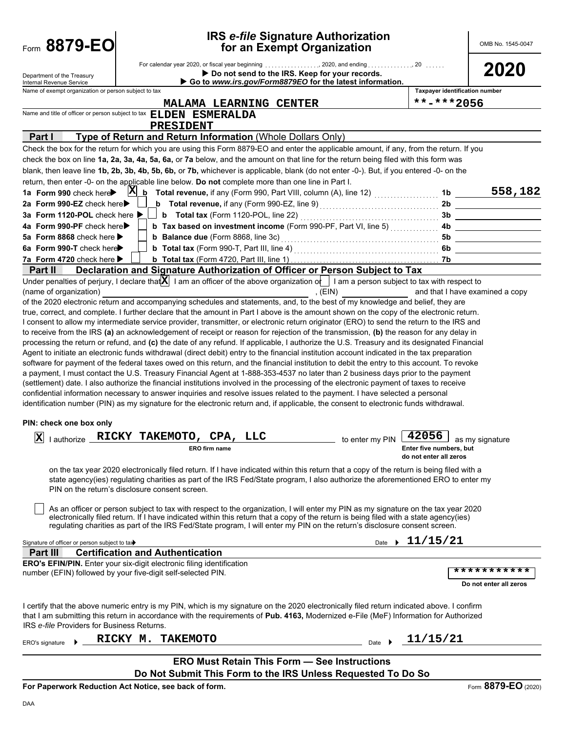| Form 8879-EO                                                                                                                                 |                                         |                                                                                                                                                                                                                                                                                       | <b>IRS e-file Signature Authorization</b><br>for an Exempt Organization                                    |                                       | OMB No. 1545-0047               |
|----------------------------------------------------------------------------------------------------------------------------------------------|-----------------------------------------|---------------------------------------------------------------------------------------------------------------------------------------------------------------------------------------------------------------------------------------------------------------------------------------|------------------------------------------------------------------------------------------------------------|---------------------------------------|---------------------------------|
| Department of the Treasury<br>Internal Revenue Service                                                                                       |                                         |                                                                                                                                                                                                                                                                                       | Do not send to the IRS. Keep for your records.<br>Go to www.irs.gov/Form8879EO for the latest information. |                                       | 2020                            |
| Name of exempt organization or person subject to tax                                                                                         |                                         |                                                                                                                                                                                                                                                                                       |                                                                                                            | <b>Taxpayer identification number</b> |                                 |
|                                                                                                                                              |                                         | MALAMA LEARNING CENTER                                                                                                                                                                                                                                                                |                                                                                                            | **-***2056                            |                                 |
| Name and title of officer or person subject to tax ELDEN ESMERALDA                                                                           |                                         |                                                                                                                                                                                                                                                                                       |                                                                                                            |                                       |                                 |
| Part I                                                                                                                                       |                                         | PRESIDENT<br>Type of Return and Return Information (Whole Dollars Only)                                                                                                                                                                                                               |                                                                                                            |                                       |                                 |
|                                                                                                                                              |                                         | Check the box for the return for which you are using this Form 8879-EO and enter the applicable amount, if any, from the return. If you                                                                                                                                               |                                                                                                            |                                       |                                 |
|                                                                                                                                              |                                         | check the box on line 1a, 2a, 3a, 4a, 5a, 6a, or 7a below, and the amount on that line for the return being filed with this form was                                                                                                                                                  |                                                                                                            |                                       |                                 |
|                                                                                                                                              |                                         | blank, then leave line 1b, 2b, 3b, 4b, 5b, 6b, or 7b, whichever is applicable, blank (do not enter -0-). But, if you entered -0- on the                                                                                                                                               |                                                                                                            |                                       |                                 |
|                                                                                                                                              |                                         | return, then enter -0- on the applicable line below. Do not complete more than one line in Part I.                                                                                                                                                                                    |                                                                                                            |                                       |                                 |
| 1a Form 990 check here                                                                                                                       | X                                       | $\underline{\mathbf{b}}$ Total revenue, if any (Form 990, Part VIII, column (A), line 12) $\ldots$                                                                                                                                                                                    |                                                                                                            | 1b                                    | 558,182                         |
| 2a Form 990-EZ check here                                                                                                                    |                                         |                                                                                                                                                                                                                                                                                       |                                                                                                            | 2 <sub>b</sub>                        |                                 |
| 3a Form 1120-POL check here ▶                                                                                                                |                                         | <b>b</b> Total tax (Form 1120-POL, line 22)                                                                                                                                                                                                                                           |                                                                                                            | 3b                                    |                                 |
| 4a Form 990-PF check here                                                                                                                    |                                         | <b>b Tax based on investment income</b> (Form 990-PF, Part VI, line 5)<br><b>b</b> Balance due (Form 8868, line 3c)                                                                                                                                                                   |                                                                                                            | 4b                                    |                                 |
| 5a Form 8868 check here<br>6a Form 990-T check here                                                                                          |                                         |                                                                                                                                                                                                                                                                                       |                                                                                                            | 5b<br>6b                              |                                 |
| 7a Form 4720 check here ▶                                                                                                                    |                                         |                                                                                                                                                                                                                                                                                       |                                                                                                            | 7b                                    |                                 |
| Part II                                                                                                                                      |                                         | Declaration and Signature Authorization of Officer or Person Subject to Tax                                                                                                                                                                                                           |                                                                                                            |                                       |                                 |
|                                                                                                                                              |                                         | Under penalties of perjury, I declare that $X$ I am an officer of the above organization of I am a person subject to tax with respect to                                                                                                                                              |                                                                                                            |                                       |                                 |
| (name of organization)                                                                                                                       |                                         |                                                                                                                                                                                                                                                                                       | , $(EIN)$                                                                                                  |                                       | and that I have examined a copy |
|                                                                                                                                              |                                         | of the 2020 electronic return and accompanying schedules and statements, and, to the best of my knowledge and belief, they are                                                                                                                                                        |                                                                                                            |                                       |                                 |
|                                                                                                                                              |                                         | true, correct, and complete. I further declare that the amount in Part I above is the amount shown on the copy of the electronic return.<br>I consent to allow my intermediate service provider, transmitter, or electronic return originator (ERO) to send the return to the IRS and |                                                                                                            |                                       |                                 |
|                                                                                                                                              |                                         | to receive from the IRS (a) an acknowledgement of receipt or reason for rejection of the transmission, (b) the reason for any delay in                                                                                                                                                |                                                                                                            |                                       |                                 |
|                                                                                                                                              |                                         | processing the return or refund, and (c) the date of any refund. If applicable, I authorize the U.S. Treasury and its designated Financial                                                                                                                                            |                                                                                                            |                                       |                                 |
|                                                                                                                                              |                                         | Agent to initiate an electronic funds withdrawal (direct debit) entry to the financial institution account indicated in the tax preparation                                                                                                                                           |                                                                                                            |                                       |                                 |
|                                                                                                                                              |                                         | software for payment of the federal taxes owed on this return, and the financial institution to debit the entry to this account. To revoke                                                                                                                                            |                                                                                                            |                                       |                                 |
|                                                                                                                                              |                                         | a payment, I must contact the U.S. Treasury Financial Agent at 1-888-353-4537 no later than 2 business days prior to the payment                                                                                                                                                      |                                                                                                            |                                       |                                 |
|                                                                                                                                              |                                         | (settlement) date. I also authorize the financial institutions involved in the processing of the electronic payment of taxes to receive<br>confidential information necessary to answer inquiries and resolve issues related to the payment. I have selected a personal               |                                                                                                            |                                       |                                 |
|                                                                                                                                              |                                         | identification number (PIN) as my signature for the electronic return and, if applicable, the consent to electronic funds withdrawal.                                                                                                                                                 |                                                                                                            |                                       |                                 |
|                                                                                                                                              |                                         |                                                                                                                                                                                                                                                                                       |                                                                                                            |                                       |                                 |
| PIN: check one box only                                                                                                                      |                                         |                                                                                                                                                                                                                                                                                       |                                                                                                            |                                       |                                 |
| Iх<br>I authorize                                                                                                                            |                                         | RICKY TAKEMOTO, CPA, LLC                                                                                                                                                                                                                                                              | to enter my PIN                                                                                            | 42056                                 | as my signature                 |
|                                                                                                                                              |                                         | ERO firm name                                                                                                                                                                                                                                                                         |                                                                                                            | Enter five numbers, but               |                                 |
|                                                                                                                                              |                                         |                                                                                                                                                                                                                                                                                       |                                                                                                            | do not enter all zeros                |                                 |
|                                                                                                                                              |                                         | on the tax year 2020 electronically filed return. If I have indicated within this return that a copy of the return is being filed with a                                                                                                                                              |                                                                                                            |                                       |                                 |
| PIN on the return's disclosure consent screen.                                                                                               |                                         | state agency(ies) regulating charities as part of the IRS Fed/State program, I also authorize the aforementioned ERO to enter my                                                                                                                                                      |                                                                                                            |                                       |                                 |
|                                                                                                                                              |                                         |                                                                                                                                                                                                                                                                                       |                                                                                                            |                                       |                                 |
|                                                                                                                                              |                                         | As an officer or person subject to tax with respect to the organization, I will enter my PIN as my signature on the tax year 2020                                                                                                                                                     |                                                                                                            |                                       |                                 |
|                                                                                                                                              |                                         | electronically filed return. If I have indicated within this return that a copy of the return is being filed with a state agency(ies)<br>regulating charities as part of the IRS Fed/State program, I will enter my PIN on the return's disclosure consent screen.                    |                                                                                                            |                                       |                                 |
|                                                                                                                                              |                                         |                                                                                                                                                                                                                                                                                       |                                                                                                            |                                       |                                 |
| Signature of officer or person subject to tax                                                                                                |                                         |                                                                                                                                                                                                                                                                                       |                                                                                                            | Date $\rightarrow 11/15/21$           |                                 |
| Part III                                                                                                                                     | <b>Certification and Authentication</b> |                                                                                                                                                                                                                                                                                       |                                                                                                            |                                       |                                 |
| <b>ERO's EFIN/PIN.</b> Enter your six-digit electronic filing identification<br>number (EFIN) followed by your five-digit self-selected PIN. |                                         |                                                                                                                                                                                                                                                                                       |                                                                                                            |                                       | * * * * * * * * * * *           |
|                                                                                                                                              |                                         |                                                                                                                                                                                                                                                                                       |                                                                                                            |                                       | Do not enter all zeros          |
|                                                                                                                                              |                                         |                                                                                                                                                                                                                                                                                       |                                                                                                            |                                       |                                 |
|                                                                                                                                              |                                         | I certify that the above numeric entry is my PIN, which is my signature on the 2020 electronically filed return indicated above. I confirm                                                                                                                                            |                                                                                                            |                                       |                                 |
|                                                                                                                                              |                                         | that I am submitting this return in accordance with the requirements of Pub. 4163, Modernized e-File (MeF) Information for Authorized                                                                                                                                                 |                                                                                                            |                                       |                                 |
| IRS e-file Providers for Business Returns.                                                                                                   |                                         |                                                                                                                                                                                                                                                                                       |                                                                                                            |                                       |                                 |
| ERO's signature                                                                                                                              | RICKY M.                                | <b>TAKEMOTO</b>                                                                                                                                                                                                                                                                       | Date $\rightarrow$                                                                                         | 11/15/21                              |                                 |
|                                                                                                                                              |                                         |                                                                                                                                                                                                                                                                                       |                                                                                                            |                                       |                                 |
|                                                                                                                                              |                                         | <b>ERO Must Retain This Form - See Instructions</b>                                                                                                                                                                                                                                   |                                                                                                            |                                       |                                 |
|                                                                                                                                              |                                         | Do Not Submit This Form to the IRS Unless Requested To Do So                                                                                                                                                                                                                          |                                                                                                            |                                       |                                 |
| For Paperwork Reduction Act Notice, see back of form                                                                                         |                                         |                                                                                                                                                                                                                                                                                       |                                                                                                            |                                       | Eqrm $8879 - EQ$ (2020)         |

**For Paperwork Reduction Act Notice, see back of form.**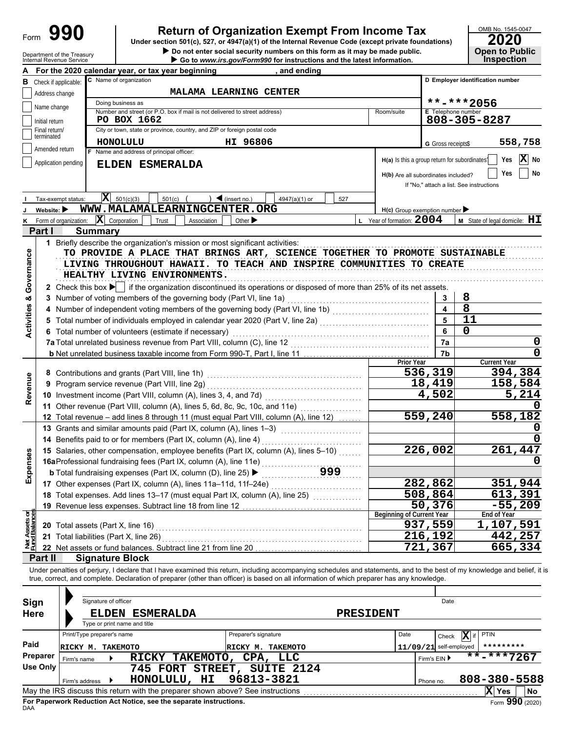| Form |
|------|
|------|

## **Return of Organization Exempt From Income Tax**

Department of the Treasury **Depentity Proper Service Constant of the Service Constant Constant Constant Constant**<br>Internal Revenue Service **Constant Constant Constant Constant Constant Constant Constant Constant Constant C Under section 501(c), 527, or 4947(a)(1) of the Internal Revenue Code (except private foundations)**

| LULU                                 |
|--------------------------------------|
|                                      |
| <b>Open to Public<br/>Inspection</b> |
|                                      |

|                                | Internal Revenue Service        | $\blacktriangleright$ Go to <i>www.irs.gov/Form990</i> for instructions and the latest information.                                                                        |                                                     |                          | <b>INSPECTION</b>                                            |
|--------------------------------|---------------------------------|----------------------------------------------------------------------------------------------------------------------------------------------------------------------------|-----------------------------------------------------|--------------------------|--------------------------------------------------------------|
|                                |                                 | For the 2020 calendar year, or tax year beginning<br>and ending                                                                                                            |                                                     |                          |                                                              |
|                                | <b>B</b> Check if applicable:   | C Name of organization                                                                                                                                                     |                                                     |                          | D Employer identification number                             |
|                                | Address change                  | <b>MALAMA LEARNING CENTER</b>                                                                                                                                              |                                                     |                          |                                                              |
|                                | Name change                     | Doing business as                                                                                                                                                          |                                                     |                          | **-***2056                                                   |
|                                |                                 | Number and street (or P.O. box if mail is not delivered to street address)<br>PO BOX 1662                                                                                  | Room/suite                                          | E Telephone number       |                                                              |
|                                | Initial return<br>Final return/ | City or town, state or province, country, and ZIP or foreign postal code                                                                                                   |                                                     |                          | 808-305-8287                                                 |
|                                | terminated                      |                                                                                                                                                                            |                                                     |                          |                                                              |
|                                | Amended return                  | <b>HONOLULU</b><br>HI 96806                                                                                                                                                |                                                     | G Gross receipts\$       | 558,758                                                      |
|                                |                                 | Name and address of principal officer:                                                                                                                                     |                                                     |                          | X No<br>H(a) Is this a group return for subordinates?<br>Yes |
|                                | Application pending             | ELDEN ESMERALDA                                                                                                                                                            |                                                     |                          |                                                              |
|                                |                                 |                                                                                                                                                                            | H(b) Are all subordinates included?                 |                          | No<br>Yes                                                    |
|                                |                                 |                                                                                                                                                                            |                                                     |                          | If "No," attach a list. See instructions                     |
|                                | Tax-exempt status:              | $ \mathbf{X} $ 501(c)(3)<br>$\sum$ (insert no.)<br>$501(c)$ (<br>527<br>4947(a)(1) or                                                                                      |                                                     |                          |                                                              |
|                                | Website: $\blacktriangleright$  | WWW.MALAMALEARNINGCENTER.ORG                                                                                                                                               | $H(c)$ Group exemption number $\blacktriangleright$ |                          |                                                              |
| ĸ                              |                                 | Form of organization: $\ \mathbf{X}\ $ Corporation<br>Other $\blacktriangleright$<br>Trust<br>Association                                                                  | L Year of formation: $2004$                         |                          | <b>M</b> State of legal domicile: $HI$                       |
|                                | Part I                          | <b>Summary</b>                                                                                                                                                             |                                                     |                          |                                                              |
|                                |                                 | 1 Briefly describe the organization's mission or most significant activities:                                                                                              |                                                     |                          |                                                              |
|                                |                                 | TO PROVIDE A PLACE THAT BRINGS ART, SCIENCE TOGETHER TO PROMOTE SUSTAINABLE                                                                                                |                                                     |                          |                                                              |
|                                |                                 | LIVING THROUGHOUT HAWAII. TO TEACH AND INSPIRE COMMUNITIES TO CREATE                                                                                                       |                                                     |                          |                                                              |
|                                |                                 | HEALTHY LIVING ENVIRONMENTS.                                                                                                                                               |                                                     |                          |                                                              |
| Governance                     |                                 | 2 Check this box $\blacktriangleright$ if the organization discontinued its operations or disposed of more than 25% of its net assets.                                     |                                                     |                          |                                                              |
| න්                             |                                 | 3 Number of voting members of the governing body (Part VI, line 1a)                                                                                                        |                                                     | 3                        | 8                                                            |
|                                |                                 | 4 Number of independent voting members of the governing body (Part VI, line 1b) [11] [11] Number of independent voting members of the governing body (Part VI, line 1b)    |                                                     | $\overline{\mathbf{4}}$  | $\overline{8}$                                               |
| Activities                     |                                 | Total number of individuals employed in calendar year 2020 (Part V, line 2a) [[[[[[[[[[[[[[[[[[[[[[[[[[[[[[[[                                                              |                                                     | 5                        | 11                                                           |
|                                |                                 | 6 Total number of volunteers (estimate if necessary)                                                                                                                       |                                                     | 6                        | 0                                                            |
|                                |                                 | 7a Total unrelated business revenue from Part VIII, column (C), line 12                                                                                                    |                                                     | 7a                       | 0                                                            |
|                                |                                 |                                                                                                                                                                            |                                                     | 7b                       | 0                                                            |
|                                |                                 |                                                                                                                                                                            | <b>Prior Year</b>                                   |                          | <b>Current Year</b>                                          |
|                                |                                 |                                                                                                                                                                            |                                                     | 536,319                  | 394,384                                                      |
|                                |                                 | 9 Program service revenue (Part VIII, line 2g)                                                                                                                             |                                                     | 18,419                   | 158,584                                                      |
| Revenue                        |                                 |                                                                                                                                                                            |                                                     | <u>4,502</u>             | 5,214                                                        |
|                                |                                 | 11 Other revenue (Part VIII, column (A), lines 5, 6d, 8c, 9c, 10c, and 11e)                                                                                                |                                                     |                          |                                                              |
|                                |                                 | 12 Total revenue - add lines 8 through 11 (must equal Part VIII, column (A), line 12)                                                                                      |                                                     | 559,240                  | 558,182                                                      |
|                                |                                 | 13 Grants and similar amounts paid (Part IX, column (A), lines 1-3)                                                                                                        |                                                     |                          |                                                              |
|                                |                                 | 14 Benefits paid to or for members (Part IX, column (A), line 4)                                                                                                           |                                                     |                          |                                                              |
|                                |                                 | 15 Salaries, other compensation, employee benefits (Part IX, column (A), lines 5-10)                                                                                       |                                                     | 226,002                  | 261,447                                                      |
| penses                         |                                 | 16aProfessional fundraising fees (Part IX, column (A), line 11e)                                                                                                           |                                                     |                          |                                                              |
|                                |                                 | <b>b</b> Total fundraising expenses (Part IX, column (D), line 25) ▶                                                                                                       |                                                     |                          |                                                              |
| ΔŇ                             |                                 | 17 Other expenses (Part IX, column (A), lines 11a-11d, 11f-24e)                                                                                                            |                                                     | 282,862                  | 351,944                                                      |
|                                |                                 | 18 Total expenses. Add lines 13-17 (must equal Part IX, column (A), line 25) [                                                                                             |                                                     | 508,864                  | 613,391                                                      |
|                                |                                 | 19 Revenue less expenses. Subtract line 18 from line 12                                                                                                                    |                                                     | 50,376                   | $-55,209$                                                    |
|                                |                                 |                                                                                                                                                                            | <b>Beginning of Current Year</b>                    |                          | End of Year                                                  |
| Net Assets or<br>Fund Balances |                                 | 20 Total assets (Part X, line 16)                                                                                                                                          |                                                     | 937,559                  | 1,107,591                                                    |
|                                |                                 | 21 Total liabilities (Part X, line 26)                                                                                                                                     |                                                     | 216,192                  | 442,257                                                      |
|                                |                                 | 22 Net assets or fund balances. Subtract line 21 from line 20                                                                                                              |                                                     | 721,367                  | 665,334                                                      |
|                                | Part II                         | <b>Signature Block</b>                                                                                                                                                     |                                                     |                          |                                                              |
|                                |                                 | Under penalties of perjury, I declare that I have examined this return, including accompanying schedules and statements, and to the best of my knowledge and belief, it is |                                                     |                          |                                                              |
|                                |                                 | true, correct, and complete. Declaration of preparer (other than officer) is based on all information of which preparer has any knowledge.                                 |                                                     |                          |                                                              |
|                                |                                 |                                                                                                                                                                            |                                                     |                          |                                                              |
| Sign                           |                                 | Signature of officer                                                                                                                                                       |                                                     | Date                     |                                                              |
| <b>Here</b>                    |                                 | <b>ELDEN ESMERALDA</b><br><b>PRESIDENT</b>                                                                                                                                 |                                                     |                          |                                                              |
|                                |                                 | Type or print name and title                                                                                                                                               |                                                     |                          |                                                              |
|                                |                                 | Print/Type preparer's name<br>Preparer's signature                                                                                                                         | Date                                                | Check                    | X if<br><b>PTIN</b>                                          |
| Paid                           |                                 |                                                                                                                                                                            |                                                     |                          | *********                                                    |
|                                | Preparer                        | RICKY M. TAKEMOTO<br>RICKY M. TAKEMOTO                                                                                                                                     |                                                     | $11/09/21$ self-employed | $\overline{***}$ -***7267                                    |
|                                | Firm's name<br><b>Use Only</b>  | RICKY TAKEMOTO, CPA, LLC                                                                                                                                                   |                                                     | Firm's EIN ▶             |                                                              |
|                                |                                 | 745 FORT STREET, SUITE 2124                                                                                                                                                |                                                     |                          |                                                              |
|                                | Firm's address                  | HONOLULU, HI<br>96813-3821                                                                                                                                                 |                                                     | Phone no.                | 808-380-5588                                                 |
|                                |                                 | May the IRS discuss this return with the preparer shown above? See instructions                                                                                            |                                                     |                          | X Yes<br>No.                                                 |

| Sign        | Signature of officer                                                            |                                 | Date      |                          |                              |  |
|-------------|---------------------------------------------------------------------------------|---------------------------------|-----------|--------------------------|------------------------------|--|
| <b>Here</b> | <b>ESMERALDA</b><br><b>ELDEN</b><br>Type or print name and title                | <b>PRESIDENT</b>                |           |                          |                              |  |
|             | Print/Type preparer's name                                                      | Preparer's signature            | Date      | $ \mathbf{x} $<br>Check  | PTIN                         |  |
| Paid        | <b>TAKEMOTO</b><br>RICKY M.                                                     | RICKY M. TAKEMOTO               |           | $11/09/21$ self-employed | *********                    |  |
| Preparer    | <b>TAKEMOTO,</b><br><b>RICKY</b><br>Firm's name                                 | CPA, LLC                        |           | Firm's $EIN$             | **-***7267                   |  |
| Use Only    | STREET,<br>745 FORT<br>HONOLULU,<br>HI<br>Firm's address                        | <b>SUITE 2124</b><br>96813-3821 | Phone no. |                          | 808-380-5588                 |  |
|             | May the IRS discuss this return with the preparer shown above? See instructions |                                 |           |                          | X<br><b>No</b><br><b>Yes</b> |  |
| DAA         | For Paperwork Reduction Act Notice, see the separate instructions.              |                                 |           |                          | Form 990 (2020)              |  |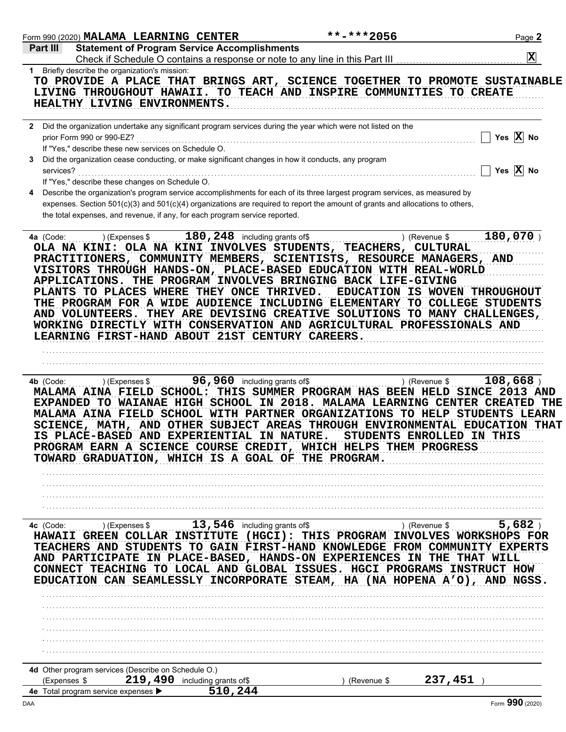|              | Form 990 (2020) MALAMA LEARNING CENTER                                                                                         |                                           | $***$ -***2056                                                                                                                                                                                                                                                                                                                                      | Page 2                                                                                                                                                                                                                                                                                                                                                                              |
|--------------|--------------------------------------------------------------------------------------------------------------------------------|-------------------------------------------|-----------------------------------------------------------------------------------------------------------------------------------------------------------------------------------------------------------------------------------------------------------------------------------------------------------------------------------------------------|-------------------------------------------------------------------------------------------------------------------------------------------------------------------------------------------------------------------------------------------------------------------------------------------------------------------------------------------------------------------------------------|
| Part III     | <b>Statement of Program Service Accomplishments</b>                                                                            |                                           | Check if Schedule O contains a response or note to any line in this Part III                                                                                                                                                                                                                                                                        | $ \mathbf{x} $                                                                                                                                                                                                                                                                                                                                                                      |
|              | 1 Briefly describe the organization's mission:<br>HEALTHY LIVING ENVIRONMENTS.                                                 |                                           | LIVING THROUGHOUT HAWAII. TO TEACH AND INSPIRE COMMUNITIES TO CREATE                                                                                                                                                                                                                                                                                | TO PROVIDE A PLACE THAT BRINGS ART, SCIENCE TOGETHER TO PROMOTE SUSTAINABLE                                                                                                                                                                                                                                                                                                         |
|              | prior Form 990 or 990-EZ?<br>If "Yes," describe these new services on Schedule O.                                              |                                           | 2 Did the organization undertake any significant program services during the year which were not listed on the                                                                                                                                                                                                                                      | Yes $ X $ No                                                                                                                                                                                                                                                                                                                                                                        |
| services?    | 3 Did the organization cease conducting, or make significant changes in how it conducts, any program                           |                                           |                                                                                                                                                                                                                                                                                                                                                     | Yes $\overline{X}$ No                                                                                                                                                                                                                                                                                                                                                               |
|              | If "Yes," describe these changes on Schedule O.<br>the total expenses, and revenue, if any, for each program service reported. |                                           | Describe the organization's program service accomplishments for each of its three largest program services, as measured by<br>expenses. Section 501(c)(3) and 501(c)(4) organizations are required to report the amount of grants and allocations to others,                                                                                        |                                                                                                                                                                                                                                                                                                                                                                                     |
| 4a (Code:    | ) (Expenses \$<br>PLANTS TO PLACES WHERE THEY ONCE THRIVED.<br>LEARNING FIRST-HAND ABOUT 21ST CENTURY CAREERS.                 | 180, 248 including grants of\$            | OLA NA KINI: OLA NA KINI INVOLVES STUDENTS, TEACHERS, CULTURAL<br>PRACTITIONERS, COMMUNITY MEMBERS, SCIENTISTS, RESOURCE MANAGERS, AND<br>VISITORS THROUGH HANDS-ON, PLACE-BASED EDUCATION WITH REAL-WORLD<br>APPLICATIONS. THE PROGRAM INVOLVES BRINGING BACK LIFE-GIVING<br>WORKING DIRECTLY WITH CONSERVATION AND AGRICULTURAL PROFESSIONALS AND | 180,070)<br>) (Revenue \$<br>EDUCATION IS WOVEN THROUGHOUT<br>THE PROGRAM FOR A WIDE AUDIENCE INCLUDING ELEMENTARY TO COLLEGE STUDENTS<br>AND VOLUNTEERS. THEY ARE DEVISING CREATIVE SOLUTIONS TO MANY CHALLENGES,                                                                                                                                                                  |
| 4b (Code:    | ) (Expenses \$<br>IS PLACE-BASED AND EXPERIENTIAL IN NATURE.<br>TOWARD GRADUATION, WHICH IS A GOAL OF THE PROGRAM.             | 96, 960 including grants of\$             | PROGRAM EARN A SCIENCE COURSE CREDIT, WHICH HELPS THEM PROGRESS                                                                                                                                                                                                                                                                                     | $108,668$ )<br>) (Revenue \$<br>MALAMA AINA FIELD SCHOOL: THIS SUMMER PROGRAM HAS BEEN HELD SINCE 2013 AND<br>EXPANDED TO WAIANAE HIGH SCHOOL IN 2018. MALAMA LEARNING CENTER CREATED THE<br>MALAMA AINA FIELD SCHOOL WITH PARTNER ORGANIZATIONS TO HELP STUDENTS LEARN<br>SCIENCE, MATH, AND OTHER SUBJECT AREAS THROUGH ENVIRONMENTAL EDUCATION THAT<br>STUDENTS ENROLLED IN THIS |
|              |                                                                                                                                |                                           |                                                                                                                                                                                                                                                                                                                                                     |                                                                                                                                                                                                                                                                                                                                                                                     |
| 4c (Code:    | ) (Expenses \$<br>HAWAII GREEN COLLAR INSTITUTE                                                                                | 13, 546 including grants of\$             | AND PARTICIPATE IN PLACE-BASED, HANDS-ON EXPERIENCES IN THE THAT WILL                                                                                                                                                                                                                                                                               | 5,682<br>) (Revenue \$<br>(HGCI): THIS PROGRAM INVOLVES WORKSHOPS FOR<br>TEACHERS AND STUDENTS TO GAIN FIRST-HAND KNOWLEDGE FROM COMMUNITY EXPERTS<br>CONNECT TEACHING TO LOCAL AND GLOBAL ISSUES. HGCI PROGRAMS INSTRUCT HOW<br>EDUCATION CAN SEAMLESSLY INCORPORATE STEAM, HA (NA HOPENA A'O), AND NGSS.                                                                          |
|              |                                                                                                                                |                                           |                                                                                                                                                                                                                                                                                                                                                     |                                                                                                                                                                                                                                                                                                                                                                                     |
|              |                                                                                                                                |                                           |                                                                                                                                                                                                                                                                                                                                                     |                                                                                                                                                                                                                                                                                                                                                                                     |
| (Expenses \$ | 4d Other program services (Describe on Schedule O.)<br>4e Total program service expenses >                                     | 219, 490 including grants of\$<br>510,244 | (Revenue \$                                                                                                                                                                                                                                                                                                                                         | 237,451                                                                                                                                                                                                                                                                                                                                                                             |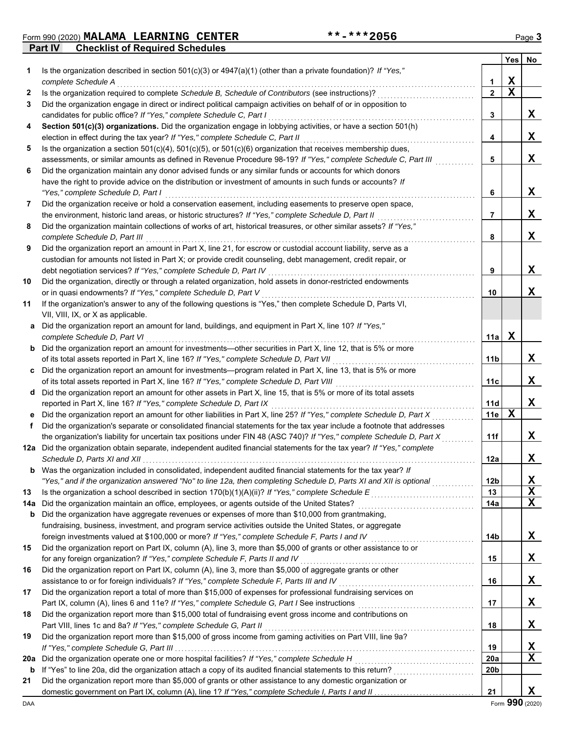**Part IV Checklist of Required Schedules** Form 990 (2020) Page **3 MALAMA LEARNING CENTER \*\*-\*\*\*2056**

|     |                                                                                                                                              |                 | Yes         | No |
|-----|----------------------------------------------------------------------------------------------------------------------------------------------|-----------------|-------------|----|
| 1   | Is the organization described in section $501(c)(3)$ or $4947(a)(1)$ (other than a private foundation)? If "Yes,"                            |                 |             |    |
|     | complete Schedule A                                                                                                                          | 1               | X           |    |
| 2   | Is the organization required to complete Schedule B, Schedule of Contributors (see instructions)?                                            | $\mathbf{2}$    | $\mathbf x$ |    |
| 3   | Did the organization engage in direct or indirect political campaign activities on behalf of or in opposition to                             |                 |             |    |
|     | candidates for public office? If "Yes," complete Schedule C, Part I                                                                          | 3               |             | X  |
| 4   | Section 501(c)(3) organizations. Did the organization engage in lobbying activities, or have a section 501(h)                                |                 |             |    |
|     | election in effect during the tax year? If "Yes," complete Schedule C, Part II                                                               | 4               |             | X  |
| 5   | Is the organization a section $501(c)(4)$ , $501(c)(5)$ , or $501(c)(6)$ organization that receives membership dues,                         |                 |             |    |
|     | assessments, or similar amounts as defined in Revenue Procedure 98-19? If "Yes," complete Schedule C, Part III                               | 5               |             | X  |
| 6   | Did the organization maintain any donor advised funds or any similar funds or accounts for which donors                                      |                 |             |    |
|     | have the right to provide advice on the distribution or investment of amounts in such funds or accounts? If                                  |                 |             |    |
|     | "Yes," complete Schedule D, Part I                                                                                                           | 6               |             | X  |
| 7   | Did the organization receive or hold a conservation easement, including easements to preserve open space,                                    |                 |             |    |
|     | the environment, historic land areas, or historic structures? If "Yes," complete Schedule D, Part II                                         | 7               |             | X  |
| 8   | Did the organization maintain collections of works of art, historical treasures, or other similar assets? If "Yes,"                          |                 |             |    |
|     | complete Schedule D, Part III                                                                                                                | 8               |             | X  |
| 9   | Did the organization report an amount in Part X, line 21, for escrow or custodial account liability, serve as a                              |                 |             |    |
|     | custodian for amounts not listed in Part X; or provide credit counseling, debt management, credit repair, or                                 |                 |             |    |
|     | debt negotiation services? If "Yes," complete Schedule D, Part IV                                                                            | 9               |             | x  |
| 10  | Did the organization, directly or through a related organization, hold assets in donor-restricted endowments                                 |                 |             |    |
|     | or in quasi endowments? If "Yes," complete Schedule D, Part V                                                                                | 10              |             | X  |
| 11  | If the organization's answer to any of the following questions is "Yes," then complete Schedule D, Parts VI,                                 |                 |             |    |
|     | VII, VIII, IX, or X as applicable.<br>Did the organization report an amount for land, buildings, and equipment in Part X, line 10? If "Yes," |                 |             |    |
| a   | complete Schedule D, Part VI                                                                                                                 | 11a             | X           |    |
| b   | Did the organization report an amount for investments—other securities in Part X, line 12, that is 5% or more                                |                 |             |    |
|     | of its total assets reported in Part X, line 16? If "Yes," complete Schedule D, Part VII                                                     | 11b             |             | X  |
|     | Did the organization report an amount for investments—program related in Part X, line 13, that is 5% or more                                 |                 |             |    |
|     | of its total assets reported in Part X, line 16? If "Yes," complete Schedule D, Part VIII [[[[[[[[[[[[[[[[[[[                                | 11c             |             | x  |
|     | d Did the organization report an amount for other assets in Part X, line 15, that is 5% or more of its total assets                          |                 |             |    |
|     | reported in Part X, line 16? If "Yes," complete Schedule D, Part IX                                                                          | 11d             |             | X  |
|     | Did the organization report an amount for other liabilities in Part X, line 25? If "Yes," complete Schedule D, Part X                        | 11e             | $\mathbf x$ |    |
| f   | Did the organization's separate or consolidated financial statements for the tax year include a footnote that addresses                      |                 |             |    |
|     | the organization's liability for uncertain tax positions under FIN 48 (ASC 740)? If "Yes," complete Schedule D, Part X                       | 11f             |             | x  |
|     | 12a Did the organization obtain separate, independent audited financial statements for the tax year? If "Yes," complete                      |                 |             |    |
|     |                                                                                                                                              | 12a             |             | X  |
| b   | Was the organization included in consolidated, independent audited financial statements for the tax year? If                                 |                 |             |    |
|     | "Yes," and if the organization answered "No" to line 12a, then completing Schedule D, Parts XI and XII is optional                           | 12 <sub>b</sub> |             | X  |
| 13  |                                                                                                                                              | 13              |             | X  |
| 14a | Did the organization maintain an office, employees, or agents outside of the United States?                                                  | 14a             |             | Χ  |
| b   | Did the organization have aggregate revenues or expenses of more than \$10,000 from grantmaking,                                             |                 |             |    |
|     | fundraising, business, investment, and program service activities outside the United States, or aggregate                                    |                 |             |    |
|     | foreign investments valued at \$100,000 or more? If "Yes," complete Schedule F, Parts I and IV [[[[[[[[[[[[[[[                               | 14b             |             | X  |
| 15  | Did the organization report on Part IX, column (A), line 3, more than \$5,000 of grants or other assistance to or                            |                 |             |    |
|     | for any foreign organization? If "Yes," complete Schedule F, Parts II and IV                                                                 | 15              |             | X  |
| 16  | Did the organization report on Part IX, column (A), line 3, more than \$5,000 of aggregate grants or other                                   |                 |             |    |
|     | assistance to or for foreign individuals? If "Yes," complete Schedule F, Parts III and IV                                                    | 16              |             | X  |
| 17  | Did the organization report a total of more than \$15,000 of expenses for professional fundraising services on                               |                 |             |    |
|     |                                                                                                                                              | 17              |             | X  |
| 18  | Did the organization report more than \$15,000 total of fundraising event gross income and contributions on                                  |                 |             |    |
|     | Part VIII, lines 1c and 8a? If "Yes," complete Schedule G, Part II                                                                           | 18              |             | X  |
| 19  | Did the organization report more than \$15,000 of gross income from gaming activities on Part VIII, line 9a?                                 |                 |             |    |
|     |                                                                                                                                              | 19              |             | X  |
| 20a |                                                                                                                                              | 20a             |             | Χ  |
| b   |                                                                                                                                              | 20b             |             |    |
| 21  | Did the organization report more than \$5,000 of grants or other assistance to any domestic organization or                                  |                 |             |    |
|     |                                                                                                                                              | 21              |             | X  |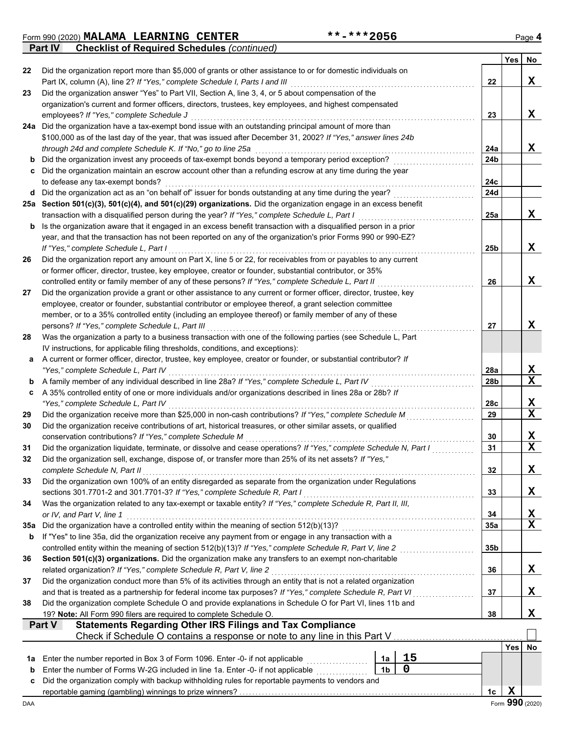Form 990 (2020) Page **4 MALAMA LEARNING CENTER \*\*-\*\*\*2056**

**Part IV Checklist of Required Schedules** *(continued)*

|          |                                                                                                                                                                                                                  |                |    |                 | Yes        | No.             |
|----------|------------------------------------------------------------------------------------------------------------------------------------------------------------------------------------------------------------------|----------------|----|-----------------|------------|-----------------|
| 22       | Did the organization report more than \$5,000 of grants or other assistance to or for domestic individuals on                                                                                                    |                |    |                 |            |                 |
|          | Part IX, column (A), line 2? If "Yes," complete Schedule I, Parts I and III                                                                                                                                      |                |    | 22              |            | X               |
| 23       | Did the organization answer "Yes" to Part VII, Section A, line 3, 4, or 5 about compensation of the<br>organization's current and former officers, directors, trustees, key employees, and highest compensated   |                |    |                 |            |                 |
|          | employees? If "Yes," complete Schedule J                                                                                                                                                                         |                |    | 23              |            | X               |
|          | 24a Did the organization have a tax-exempt bond issue with an outstanding principal amount of more than                                                                                                          |                |    |                 |            |                 |
|          | \$100,000 as of the last day of the year, that was issued after December 31, 2002? If "Yes," answer lines 24b                                                                                                    |                |    |                 |            |                 |
|          | through 24d and complete Schedule K. If "No," go to line 25a                                                                                                                                                     |                |    | 24a             |            | X               |
| b        | Did the organization invest any proceeds of tax-exempt bonds beyond a temporary period exception?                                                                                                                |                |    | 24b             |            |                 |
| c        | Did the organization maintain an escrow account other than a refunding escrow at any time during the year                                                                                                        |                |    |                 |            |                 |
|          | to defease any tax-exempt bonds?                                                                                                                                                                                 |                |    | 24c             |            |                 |
| d        | Did the organization act as an "on behalf of" issuer for bonds outstanding at any time during the year?                                                                                                          |                |    | 24d             |            |                 |
|          | 25a Section 501(c)(3), 501(c)(4), and 501(c)(29) organizations. Did the organization engage in an excess benefit                                                                                                 |                |    |                 |            |                 |
|          | transaction with a disqualified person during the year? If "Yes," complete Schedule L, Part I                                                                                                                    |                |    | 25a             |            | X               |
| b        | Is the organization aware that it engaged in an excess benefit transaction with a disqualified person in a prior                                                                                                 |                |    |                 |            |                 |
|          | year, and that the transaction has not been reported on any of the organization's prior Forms 990 or 990-EZ?                                                                                                     |                |    |                 |            |                 |
|          | If "Yes," complete Schedule L, Part I                                                                                                                                                                            |                |    | 25b             |            | X               |
| 26       | Did the organization report any amount on Part X, line 5 or 22, for receivables from or payables to any current                                                                                                  |                |    |                 |            |                 |
|          | or former officer, director, trustee, key employee, creator or founder, substantial contributor, or 35%                                                                                                          |                |    |                 |            |                 |
|          | controlled entity or family member of any of these persons? If "Yes," complete Schedule L, Part II                                                                                                               |                |    | 26              |            | X               |
| 27       | Did the organization provide a grant or other assistance to any current or former officer, director, trustee, key                                                                                                |                |    |                 |            |                 |
|          | employee, creator or founder, substantial contributor or employee thereof, a grant selection committee<br>member, or to a 35% controlled entity (including an employee thereof) or family member of any of these |                |    |                 |            |                 |
|          | persons? If "Yes," complete Schedule L, Part III                                                                                                                                                                 |                |    | 27              |            | X               |
| 28       | Was the organization a party to a business transaction with one of the following parties (see Schedule L, Part                                                                                                   |                |    |                 |            |                 |
|          | IV instructions, for applicable filing thresholds, conditions, and exceptions):                                                                                                                                  |                |    |                 |            |                 |
| а        | A current or former officer, director, trustee, key employee, creator or founder, or substantial contributor? If                                                                                                 |                |    |                 |            |                 |
|          | "Yes," complete Schedule L, Part IV                                                                                                                                                                              |                |    | 28a             |            | X               |
| b        | A family member of any individual described in line 28a? If "Yes," complete Schedule L, Part IV                                                                                                                  |                |    | 28b             |            | x               |
| c        | A 35% controlled entity of one or more individuals and/or organizations described in lines 28a or 28b? If                                                                                                        |                |    |                 |            |                 |
|          | "Yes," complete Schedule L, Part IV                                                                                                                                                                              |                |    | 28c             |            | X               |
| 29       | Did the organization receive more than \$25,000 in non-cash contributions? If "Yes," complete Schedule M                                                                                                         |                |    | 29              |            | X               |
| 30       | Did the organization receive contributions of art, historical treasures, or other similar assets, or qualified                                                                                                   |                |    |                 |            |                 |
|          | conservation contributions? If "Yes," complete Schedule M                                                                                                                                                        |                |    | 30              |            | X               |
| 31       | Did the organization liquidate, terminate, or dissolve and cease operations? If "Yes," complete Schedule N, Part I                                                                                               |                |    | 31              |            | X               |
| 32       | Did the organization sell, exchange, dispose of, or transfer more than 25% of its net assets? If "Yes,"                                                                                                          |                |    |                 |            |                 |
|          | complete Schedule N, Part II                                                                                                                                                                                     |                |    | 32              |            | x               |
| 33       | Did the organization own 100% of an entity disregarded as separate from the organization under Regulations                                                                                                       |                |    |                 |            |                 |
|          | sections 301.7701-2 and 301.7701-3? If "Yes," complete Schedule R, Part I                                                                                                                                        |                |    | 33              |            | X               |
| 34       | Was the organization related to any tax-exempt or taxable entity? If "Yes," complete Schedule R, Part II, III,<br>or IV, and Part V, line 1                                                                      |                |    |                 |            |                 |
|          |                                                                                                                                                                                                                  |                |    | 34<br>35a       |            | X<br>X          |
| 35а<br>b | If "Yes" to line 35a, did the organization receive any payment from or engage in any transaction with a                                                                                                          |                |    |                 |            |                 |
|          | controlled entity within the meaning of section 512(b)(13)? If "Yes," complete Schedule R, Part V, line 2                                                                                                        |                |    | 35 <sub>b</sub> |            |                 |
| 36       | Section 501(c)(3) organizations. Did the organization make any transfers to an exempt non-charitable                                                                                                             |                |    |                 |            |                 |
|          | related organization? If "Yes," complete Schedule R, Part V, line 2                                                                                                                                              |                |    | 36              |            | X               |
| 37       | Did the organization conduct more than 5% of its activities through an entity that is not a related organization                                                                                                 |                |    |                 |            |                 |
|          | and that is treated as a partnership for federal income tax purposes? If "Yes," complete Schedule R, Part VI                                                                                                     |                |    | 37              |            | x               |
| 38       | Did the organization complete Schedule O and provide explanations in Schedule O for Part VI, lines 11b and                                                                                                       |                |    |                 |            |                 |
|          | 19? Note: All Form 990 filers are required to complete Schedule O.                                                                                                                                               |                |    | 38              |            | X               |
|          | <b>Statements Regarding Other IRS Filings and Tax Compliance</b><br><b>Part V</b>                                                                                                                                |                |    |                 |            |                 |
|          | Check if Schedule O contains a response or note to any line in this Part V                                                                                                                                       |                |    |                 |            |                 |
|          |                                                                                                                                                                                                                  |                |    |                 | <b>Yes</b> | No              |
| 1а       | Enter the number reported in Box 3 of Form 1096. Enter -0- if not applicable                                                                                                                                     | 1a             | 15 |                 |            |                 |
| b        | Enter the number of Forms W-2G included in line 1a. Enter -0- if not applicable                                                                                                                                  | 1 <sub>b</sub> | 0  |                 |            |                 |
| c        | Did the organization comply with backup withholding rules for reportable payments to vendors and                                                                                                                 |                |    | 1c              | X          |                 |
| DAA      |                                                                                                                                                                                                                  |                |    |                 |            | Form 990 (2020) |
|          |                                                                                                                                                                                                                  |                |    |                 |            |                 |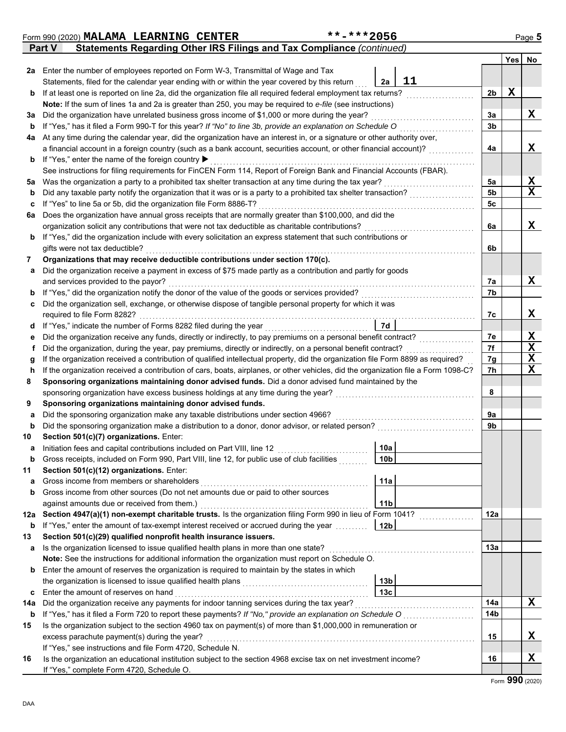|     | Form 990 (2020) MALAMA LEARNING CENTER                                                                                                                                                                      | **-***2056      |                |             | Page 5      |  |  |  |
|-----|-------------------------------------------------------------------------------------------------------------------------------------------------------------------------------------------------------------|-----------------|----------------|-------------|-------------|--|--|--|
|     | Statements Regarding Other IRS Filings and Tax Compliance (continued)<br><b>Part V</b>                                                                                                                      |                 |                |             |             |  |  |  |
|     |                                                                                                                                                                                                             |                 |                | Yes         | No          |  |  |  |
| 2a  | Enter the number of employees reported on Form W-3, Transmittal of Wage and Tax                                                                                                                             |                 |                |             |             |  |  |  |
|     | Statements, filed for the calendar year ending with or within the year covered by this return                                                                                                               | 11<br>2a        |                |             |             |  |  |  |
| b   | If at least one is reported on line 2a, did the organization file all required federal employment tax returns?                                                                                              |                 | 2 <sub>b</sub> | $\mathbf x$ |             |  |  |  |
|     | Note: If the sum of lines 1a and 2a is greater than 250, you may be required to e-file (see instructions)                                                                                                   |                 |                |             |             |  |  |  |
| За  | Did the organization have unrelated business gross income of \$1,000 or more during the year?                                                                                                               |                 | 3a             |             | x           |  |  |  |
| b   | If "Yes," has it filed a Form 990-T for this year? If "No" to line 3b, provide an explanation on Schedule O                                                                                                 |                 | 3b             |             |             |  |  |  |
| 4a  | At any time during the calendar year, did the organization have an interest in, or a signature or other authority over,                                                                                     |                 |                |             |             |  |  |  |
|     | a financial account in a foreign country (such as a bank account, securities account, or other financial account)?                                                                                          |                 | 4a             |             | X           |  |  |  |
| b   | If "Yes," enter the name of the foreign country ▶                                                                                                                                                           |                 |                |             |             |  |  |  |
|     | See instructions for filing requirements for FinCEN Form 114, Report of Foreign Bank and Financial Accounts (FBAR).                                                                                         |                 |                |             |             |  |  |  |
| 5a  | Was the organization a party to a prohibited tax shelter transaction at any time during the tax year?                                                                                                       |                 | 5a             |             | X           |  |  |  |
| b   | Did any taxable party notify the organization that it was or is a party to a prohibited tax shelter transaction?                                                                                            |                 | 5b             |             | $\mathbf x$ |  |  |  |
| c   | If "Yes" to line 5a or 5b, did the organization file Form 8886-T?                                                                                                                                           |                 | 5c             |             |             |  |  |  |
| 6a  | Does the organization have annual gross receipts that are normally greater than \$100,000, and did the                                                                                                      |                 |                |             |             |  |  |  |
|     | organization solicit any contributions that were not tax deductible as charitable contributions?                                                                                                            |                 | 6a             |             | X           |  |  |  |
| b   | If "Yes," did the organization include with every solicitation an express statement that such contributions or                                                                                              |                 |                |             |             |  |  |  |
|     | gifts were not tax deductible?                                                                                                                                                                              |                 | 6b             |             |             |  |  |  |
| 7   | Organizations that may receive deductible contributions under section 170(c).                                                                                                                               |                 |                |             |             |  |  |  |
| a   | Did the organization receive a payment in excess of \$75 made partly as a contribution and partly for goods                                                                                                 |                 |                |             | x           |  |  |  |
|     | and services provided to the payor?                                                                                                                                                                         |                 | 7а<br>7b       |             |             |  |  |  |
| b   | If "Yes," did the organization notify the donor of the value of the goods or services provided?<br>Did the organization sell, exchange, or otherwise dispose of tangible personal property for which it was |                 |                |             |             |  |  |  |
| c   | required to file Form 8282?                                                                                                                                                                                 |                 | 7c             |             | X           |  |  |  |
|     |                                                                                                                                                                                                             | 7d              |                |             |             |  |  |  |
|     | If "Yes," indicate the number of Forms 8282 filed during the year<br>d<br>Did the organization receive any funds, directly or indirectly, to pay premiums on a personal benefit contract?                   |                 |                |             |             |  |  |  |
|     | е<br>Did the organization, during the year, pay premiums, directly or indirectly, on a personal benefit contract?<br>f                                                                                      |                 |                |             |             |  |  |  |
| g   | If the organization received a contribution of qualified intellectual property, did the organization file Form 8899 as required?                                                                            |                 | 7f<br>7g       |             | X<br>X      |  |  |  |
| h   | If the organization received a contribution of cars, boats, airplanes, or other vehicles, did the organization file a Form 1098-C?                                                                          |                 | 7h             |             | X           |  |  |  |
| 8   | Sponsoring organizations maintaining donor advised funds. Did a donor advised fund maintained by the                                                                                                        |                 |                |             |             |  |  |  |
|     | sponsoring organization have excess business holdings at any time during the year?                                                                                                                          |                 | 8              |             |             |  |  |  |
| 9   | Sponsoring organizations maintaining donor advised funds.                                                                                                                                                   |                 |                |             |             |  |  |  |
| a   | Did the sponsoring organization make any taxable distributions under section 4966?                                                                                                                          |                 | 9a             |             |             |  |  |  |
| b   | Did the sponsoring organization make a distribution to a donor, donor advisor, or related person?                                                                                                           |                 | 9b             |             |             |  |  |  |
| 10  | Section 501(c)(7) organizations. Enter:                                                                                                                                                                     |                 |                |             |             |  |  |  |
|     | Initiation fees and capital contributions included on Part VIII, line 12                                                                                                                                    | 10a             |                |             |             |  |  |  |
| b   | Gross receipts, included on Form 990, Part VIII, line 12, for public use of club facilities                                                                                                                 | 10 <sub>b</sub> |                |             |             |  |  |  |
| 11  | Section 501(c)(12) organizations. Enter:                                                                                                                                                                    |                 |                |             |             |  |  |  |
| а   | Gross income from members or shareholders                                                                                                                                                                   | 11a             |                |             |             |  |  |  |
| b   | Gross income from other sources (Do not net amounts due or paid to other sources                                                                                                                            |                 |                |             |             |  |  |  |
|     | against amounts due or received from them.)                                                                                                                                                                 | 11 <sub>b</sub> |                |             |             |  |  |  |
| 12a | Section 4947(a)(1) non-exempt charitable trusts. Is the organization filing Form 990 in lieu of Form 1041?                                                                                                  |                 | 12a            |             |             |  |  |  |
| b   | If "Yes," enter the amount of tax-exempt interest received or accrued during the year                                                                                                                       | 12 <sub>b</sub> |                |             |             |  |  |  |
| 13  | Section 501(c)(29) qualified nonprofit health insurance issuers.                                                                                                                                            |                 |                |             |             |  |  |  |
| а   | Is the organization licensed to issue qualified health plans in more than one state?                                                                                                                        |                 | 13a            |             |             |  |  |  |
|     | Note: See the instructions for additional information the organization must report on Schedule O.                                                                                                           |                 |                |             |             |  |  |  |
| b   | Enter the amount of reserves the organization is required to maintain by the states in which                                                                                                                |                 |                |             |             |  |  |  |
|     | the organization is licensed to issue qualified health plans                                                                                                                                                | 13 <sub>b</sub> |                |             |             |  |  |  |
| c   | Enter the amount of reserves on hand                                                                                                                                                                        | 13 <sub>c</sub> |                |             |             |  |  |  |
| 14a | Did the organization receive any payments for indoor tanning services during the tax year?                                                                                                                  |                 | 14a            |             | x           |  |  |  |
| b   | If "Yes," has it filed a Form 720 to report these payments? If "No," provide an explanation on Schedule O                                                                                                   |                 | 14b            |             |             |  |  |  |
| 15  | Is the organization subject to the section 4960 tax on payment(s) of more than \$1,000,000 in remuneration or                                                                                               |                 |                |             |             |  |  |  |
|     | excess parachute payment(s) during the year?                                                                                                                                                                |                 | 15             |             | X           |  |  |  |
|     | If "Yes," see instructions and file Form 4720, Schedule N.                                                                                                                                                  |                 |                |             |             |  |  |  |
| 16  | Is the organization an educational institution subject to the section 4968 excise tax on net investment income?                                                                                             |                 | 16             |             | X           |  |  |  |
|     | If "Yes," complete Form 4720, Schedule O.                                                                                                                                                                   |                 |                |             |             |  |  |  |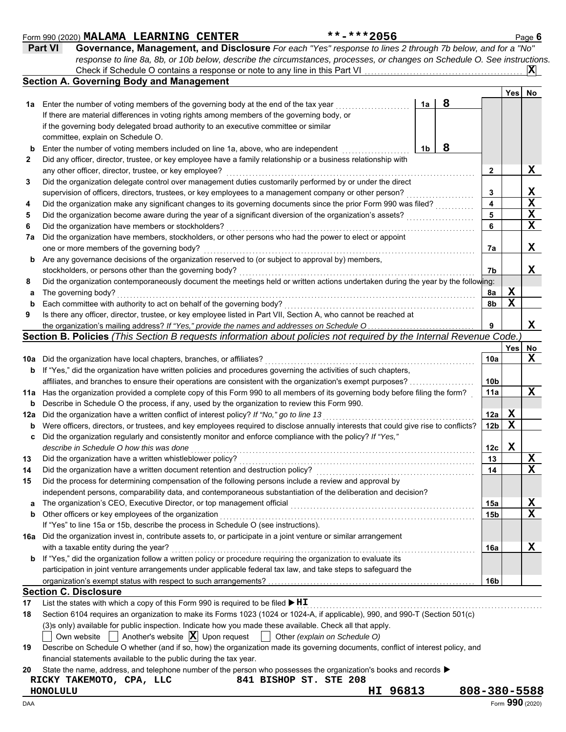#### **Section C. Disclosure 1b 1a 2 Yes No Section A. Governing Body and Management 1a** Enter the number of voting members of the governing body at the end of the tax year . . . . . . . . . . . . . . . . . . . . . . . **b 2 3 4 5 6 7a** Did the organization have members, stockholders, or other persons who had the power to elect or appoint **b** Are any governance decisions of the organization reserved to (or subject to approval by) members, **8 a** The governing body? **b 9 10a** Did the organization have local chapters, branches, or affiliates? . . . . . . . . . . . . . . . . . . . . . . . . . . . . . . . . . . . . . . . . . . . . . . . . . . . . . . . . . . . . . . . . . **11a** Has the organization provided a complete copy of this Form 990 to all members of its governing body before filing the form? . Enter the number of voting members included on line 1a, above, who are independent Did any officer, director, trustee, or key employee have a family relationship or a business relationship with any other officer, director, trustee, or key employee? . . . . . . . . . . . . . . . . . . . . . . . . . . . . . . . . . . . . . . . . . . . . . . . . . . . . . . . . . . . . . . . . . . . . . . . . . . . . . Did the organization delegate control over management duties customarily performed by or under the direct supervision of officers, directors, trustees, or key employees to a management company or other person? Did the organization make any significant changes to its governing documents since the prior Form 990 was filed? Did the organization become aware during the year of a significant diversion of the organization's assets? Did the organization have members or stockholders? . . . . . . . . . . . . . . . . . . . . . . . . . . . . . . . . . . . . . . . . . . . . . . . . . . . . . . . . . . . . . . . . . . . . . . . . . . . . . one or more members of the governing body? . . . . . . . . . . . . . . . . . . . . . . . . . . . . . . . . . . . . . . . . . . . . . . . . . . . . . . . . . . . . . . . . . . . . . . . . . . . . . . . . . . . . Did the organization contemporaneously document the meetings held or written actions undertaken during the year by the following: The governing body? . . . . . . . . . . . . . . . . . . . . . . . . . . . . . . . . . . . . . . . . . . . . . . . . . . . . . . . . . . . . . . . . . . . . . . . . . . . . . . . . . . . . . . . . . . . . . . . . . . . . . . . . . . . . . . . Each committee with authority to act on behalf of the governing body? . . . . . . . . . . . . . . . . . . . . . . . . . . . . . . . . . . . . . . . . . . . . . . . . . . . . . . . . . . . **b** If "Yes," did the organization have written policies and procedures governing the activities of such chapters, affiliates, and branches to ensure their operations are consistent with the organization's exempt purposes? . . . . . . . . . Is there any officer, director, trustee, or key employee listed in Part VII, Section A, who cannot be reached at the organization's mailing address? If "Yes," provide the names and addresses on Schedule O. **3 4 5 6 7a 7b 8a 8b 9 10a 11a Yes No 12a** Did the organization have a written conflict of interest policy? *If "No," go to line 13* . . . . . . . . . . . . . . . . . . . . . . . . . . . . . . . . . . . . . . . . . . . . . . . **b** Were officers, directors, or trustees, and key employees required to disclose annually interests that could give rise to conflicts? **c** Did the organization regularly and consistently monitor and enforce compliance with the policy? *If "Yes,"* **13 14 15** a The organization's CEO, Executive Director, or top management official **manual contents of the organization's b 16a** Did the organization invest in, contribute assets to, or participate in a joint venture or similar arrangement **b** If "Yes," did the organization follow a written policy or procedure requiring the organization to evaluate its **Section B. Policies** *(This Section B requests information about policies not required by the Internal Revenue Code.)* describe in Schedule O how this was done Did the organization have a written whistleblower policy? . . . . . . . . . . . . . . . . . . . . . . . . . . . . . . . . . . . . . . . . . . . . . . . . . . . . . . . . . . . . . . . . . . . . . . . . . Did the organization have a written document retention and destruction policy? . . . . . . . . . . . . . . . . . . . . . . . . . . . . . . . . . . . . . . . . . . . . . . . . . Did the process for determining compensation of the following persons include a review and approval by independent persons, comparability data, and contemporaneous substantiation of the deliberation and decision? Other officers or key employees of the organization . . . . . . . . . . . . . . . . . . . . . . . . . . . . . . . . . . . . . . . . . . . . . . . . . . . . . . . . . . . . . . . . . . . . . . . . . . . . . . . If "Yes" to line 15a or 15b, describe the process in Schedule O (see instructions). with a taxable entity during the year? . . . . . . . . . . . . . . . . . . . . . . . . . . . . . . . . . . . . . . . . . . . . . . . . . . . . . . . . . . . . . . . . . . . . . . . . . . . . . . . . . . . . . . . . . . . . . . participation in joint venture arrangements under applicable federal tax law, and take steps to safeguard the organization's exempt status with respect to such arrangements? **12a 12b 12c 13 14 15a 15b 16a 16b 17 18 19** List the states with which a copy of this Form 990 is required to be filed . . . . . . . . . . . . . . . . . . . . . . . . . . . . . . . . . . . . . . . . . . . . . . . . . . . . . . . . . . . . . . . . . . . . . . . . . . . . **HI** Section 6104 requires an organization to make its Forms 1023 (1024 or 1024-A, if applicable), 990, and 990-T (Section 501(c) (3)s only) available for public inspection. Indicate how you made these available. Check all that apply. Describe on Schedule O whether (and if so, how) the organization made its governing documents, conflict of interest policy, and financial statements available to the public during the tax year. Own website  $\Box$  Another's website  $\boxed{\mathbf{X}}$  Upon request  $\Box$  Other *(explain on Schedule O)* Check if Schedule O contains a response or note to any line in this Part VI **10b b** Describe in Schedule O the process, if any, used by the organization to review this Form 990. stockholders, or persons other than the governing body? . . . . . . . . . . . . . . . . . . . . . . . . . . . . . . . . . . . . . . . . . . . . . . . . . . . . . . . . . . . . . . . . . . . . . . . . . If there are material differences in voting rights among members of the governing body, or if the governing body delegated broad authority to an executive committee or similar committee, explain on Schedule O. **X 8 8 X X X X X X X X X X X X X X X X X X X X**

**20** State the name, address, and telephone number of the person who possesses the organization's books and records  $\blacktriangleright$ 

**RICKY TAKEMOTO, CPA, LLC 841 BISHOP ST. STE 208 HONOLULU HI 96813 808-380-5588**

## Form 990 (2020) Page **6 MALAMA LEARNING CENTER \*\*-\*\*\*2056**

**Part VI Governance, Management, and Disclosure** *For each "Yes" response to lines 2 through 7b below, and for a "No" response to line 8a, 8b, or 10b below, describe the circumstances, processes, or changes on Schedule O. See instructions.*

|  |  |  | *-***2056 |  |
|--|--|--|-----------|--|
|  |  |  |           |  |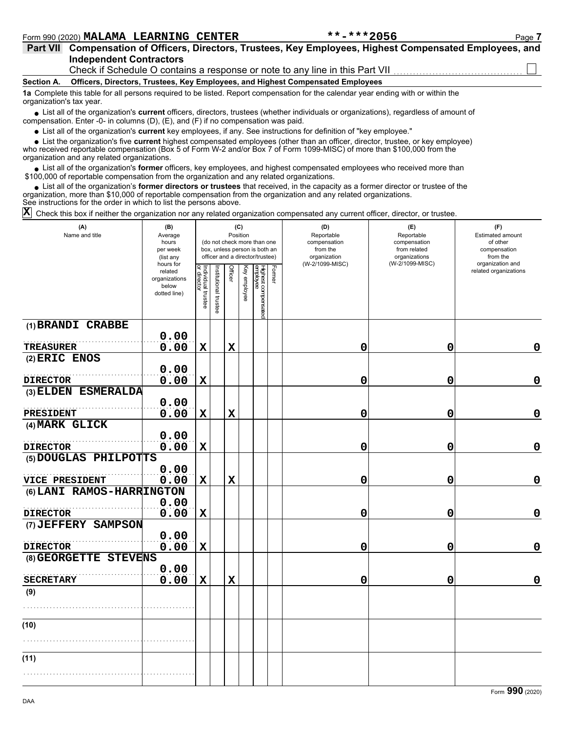| <b>Part VII</b>          | Compensation of Officers, Directors, Trustees, Key Employees, Highest Compensated Employees, and                                                                                                                            |
|--------------------------|-----------------------------------------------------------------------------------------------------------------------------------------------------------------------------------------------------------------------------|
|                          | <b>Independent Contractors</b>                                                                                                                                                                                              |
|                          |                                                                                                                                                                                                                             |
| <b>Section A.</b>        | <b>Officers, Directors, Trustees, Key Employees, and Highest Compensated Employees</b>                                                                                                                                      |
| organization's tax year. | 1a Complete this table for all persons required to be listed. Report compensation for the calendar year ending with or within the                                                                                           |
|                          | • List all of the organization's current officers, directors, trustees (whether individuals or organizations), regardless of amount of<br>compensation. Enter -0- in columns (D), (E), and (F) if no compensation was paid. |

List all of the organization's **current** key employees, if any. See instructions for definition of "key employee."

who received reportable compensation (Box 5 of Form W-2 and/or Box 7 of Form 1099-MISC) of more than \$100,000 from the organization and any related organizations. ■ List all of the organization's **current** key employees, if any. See instructions for definition of "key employee."<br>■ List the organization's five **current** highest compensated employees (other than an officer, director,

• List all of the organization's **former** officers, key employees, and highest compensated employees who received more than<br>00,000 of reportable compensation from the organization and any related organizations. \$100,000 of reportable compensation from the organization and any related organizations.

• List all of the organization's **former directors or trustees** that received, in the capacity as a former director or trustee of the prization and any related organizations organization, more than \$10,000 of reportable compensation from the organization and any related organizations. See instructions for the order in which to list the persons above.

 $\overline{X}$  Check this box if neither the organization nor any related organization compensated any current officer, director, or trustee.

| (A)<br>Name and title     | (B)<br>Average<br>hours<br>per week<br>(list any               |                                   |                       | Position       | (C)          | (do not check more than one<br>box, unless person is both an<br>officer and a director/trustee) |        | (D)<br>Reportable<br>compensation<br>from the<br>organization<br>(W-2/1099-MISC) | (E)<br>Reportable<br>compensation<br>from related<br>organizations<br>(W-2/1099-MISC) | (F)<br>Estimated amount<br>of other<br>compensation<br>from the<br>organization and |  |  |
|---------------------------|----------------------------------------------------------------|-----------------------------------|-----------------------|----------------|--------------|-------------------------------------------------------------------------------------------------|--------|----------------------------------------------------------------------------------|---------------------------------------------------------------------------------------|-------------------------------------------------------------------------------------|--|--|
|                           | hours for<br>related<br>organizations<br>below<br>dotted line) | Individual trustee<br>or director | Institutional trustee | <b>Officer</b> | Key employee | Highest compensated<br>employee                                                                 | Former |                                                                                  |                                                                                       | related organizations                                                               |  |  |
| (1) BRANDI CRABBE         | 0.00                                                           |                                   |                       |                |              |                                                                                                 |        |                                                                                  |                                                                                       |                                                                                     |  |  |
| <b>TREASURER</b>          | 0.00                                                           | $\mathbf x$                       |                       | $\mathbf x$    |              |                                                                                                 |        | 0                                                                                | 0                                                                                     | 0                                                                                   |  |  |
| $(2)$ ERIC ENOS           |                                                                |                                   |                       |                |              |                                                                                                 |        |                                                                                  |                                                                                       |                                                                                     |  |  |
|                           | 0.00                                                           |                                   |                       |                |              |                                                                                                 |        |                                                                                  |                                                                                       |                                                                                     |  |  |
| <b>DIRECTOR</b>           | 0.00                                                           | $\mathbf X$                       |                       |                |              |                                                                                                 |        | 0                                                                                | 0                                                                                     | $\mathbf 0$                                                                         |  |  |
| (3) ELDEN ESMERALDA       |                                                                |                                   |                       |                |              |                                                                                                 |        |                                                                                  |                                                                                       |                                                                                     |  |  |
| <b>PRESIDENT</b>          | 0.00<br>0.00                                                   | $\mathbf x$                       |                       | $\mathbf x$    |              |                                                                                                 |        | 0                                                                                | 0                                                                                     | $\mathbf 0$                                                                         |  |  |
| (4) MARK GLICK            |                                                                |                                   |                       |                |              |                                                                                                 |        |                                                                                  |                                                                                       |                                                                                     |  |  |
|                           | 0.00                                                           |                                   |                       |                |              |                                                                                                 |        |                                                                                  |                                                                                       |                                                                                     |  |  |
| <b>DIRECTOR</b>           | 0.00                                                           | $\mathbf X$                       |                       |                |              |                                                                                                 |        | 0                                                                                | 0                                                                                     | $\mathbf 0$                                                                         |  |  |
| (5) DOUGLAS PHILPOTTS     |                                                                |                                   |                       |                |              |                                                                                                 |        |                                                                                  |                                                                                       |                                                                                     |  |  |
|                           | 0.00                                                           |                                   |                       |                |              |                                                                                                 |        |                                                                                  |                                                                                       |                                                                                     |  |  |
| VICE PRESIDENT            | 0.00                                                           | $\mathbf x$                       |                       | $\mathbf X$    |              |                                                                                                 |        | 0                                                                                | 0                                                                                     | $\mathbf 0$                                                                         |  |  |
| (6) LANI RAMOS-HARRINGTON | 0.00                                                           |                                   |                       |                |              |                                                                                                 |        |                                                                                  |                                                                                       |                                                                                     |  |  |
| <b>DIRECTOR</b>           | 0.00                                                           | $\mathbf X$                       |                       |                |              |                                                                                                 |        | 0                                                                                | 0                                                                                     | $\mathbf 0$                                                                         |  |  |
| (7) JEFFERY SAMPSON       |                                                                |                                   |                       |                |              |                                                                                                 |        |                                                                                  |                                                                                       |                                                                                     |  |  |
|                           | 0.00                                                           |                                   |                       |                |              |                                                                                                 |        |                                                                                  |                                                                                       |                                                                                     |  |  |
| <b>DIRECTOR</b>           | 0.00                                                           | $\mathbf x$                       |                       |                |              |                                                                                                 |        | 0                                                                                | $\mathbf 0$                                                                           | $\mathbf 0$                                                                         |  |  |
| (8) GEORGETTE STEVENS     |                                                                |                                   |                       |                |              |                                                                                                 |        |                                                                                  |                                                                                       |                                                                                     |  |  |
| <b>SECRETARY</b>          | 0.00<br>0.00                                                   |                                   |                       | $\mathbf x$    |              |                                                                                                 |        |                                                                                  | 0                                                                                     | $\mathbf 0$                                                                         |  |  |
| (9)                       |                                                                | $\mathbf x$                       |                       |                |              |                                                                                                 |        | 0                                                                                |                                                                                       |                                                                                     |  |  |
|                           |                                                                |                                   |                       |                |              |                                                                                                 |        |                                                                                  |                                                                                       |                                                                                     |  |  |
|                           |                                                                |                                   |                       |                |              |                                                                                                 |        |                                                                                  |                                                                                       |                                                                                     |  |  |
| (10)                      |                                                                |                                   |                       |                |              |                                                                                                 |        |                                                                                  |                                                                                       |                                                                                     |  |  |
|                           |                                                                |                                   |                       |                |              |                                                                                                 |        |                                                                                  |                                                                                       |                                                                                     |  |  |
|                           |                                                                |                                   |                       |                |              |                                                                                                 |        |                                                                                  |                                                                                       |                                                                                     |  |  |
| (11)                      |                                                                |                                   |                       |                |              |                                                                                                 |        |                                                                                  |                                                                                       |                                                                                     |  |  |
|                           |                                                                |                                   |                       |                |              |                                                                                                 |        |                                                                                  |                                                                                       |                                                                                     |  |  |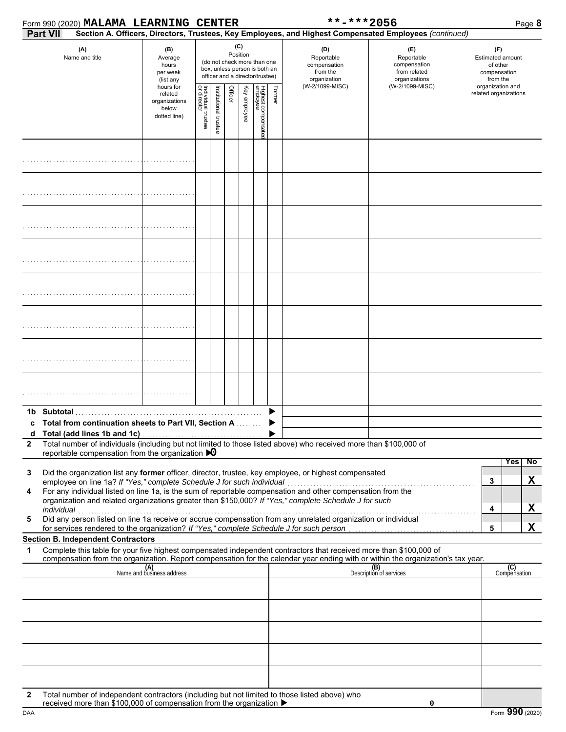|              |            | Form 990 (2020) MALAMA LEARNING CENTER                                     |                                                                |                                                                                                                    |                      |         |              |                                |        | **-***2056                                                                                                                                                                                                                                                                                                                                                                                                                                     |                                                                                                                                                                    | Page 8                                                          |
|--------------|------------|----------------------------------------------------------------------------|----------------------------------------------------------------|--------------------------------------------------------------------------------------------------------------------|----------------------|---------|--------------|--------------------------------|--------|------------------------------------------------------------------------------------------------------------------------------------------------------------------------------------------------------------------------------------------------------------------------------------------------------------------------------------------------------------------------------------------------------------------------------------------------|--------------------------------------------------------------------------------------------------------------------------------------------------------------------|-----------------------------------------------------------------|
|              | Part VII   |                                                                            |                                                                |                                                                                                                    |                      |         |              |                                |        |                                                                                                                                                                                                                                                                                                                                                                                                                                                | Section A. Officers, Directors, Trustees, Key Employees, and Highest Compensated Employees (continued)                                                             |                                                                 |
|              |            | (A)<br>Name and title                                                      | (B)<br>Average<br>hours<br>per week<br>(list any               | (C)<br>Position<br>(do not check more than one<br>box, unless person is both an<br>officer and a director/trustee) |                      |         |              |                                |        | (D)<br>Reportable<br>compensation<br>from the<br>organization                                                                                                                                                                                                                                                                                                                                                                                  | (E)<br>Reportable<br>compensation<br>from related<br>organizations                                                                                                 | (F)<br>Estimated amount<br>of other<br>compensation<br>from the |
|              |            |                                                                            | hours for<br>related<br>organizations<br>below<br>dotted line) | Individual trustee<br>or director                                                                                  | nstitutional trustee | Officer | Key employee | Highest compensate<br>employee | Former | (W-2/1099-MISC)                                                                                                                                                                                                                                                                                                                                                                                                                                | (W-2/1099-MISC)                                                                                                                                                    | organization and<br>related organizations                       |
|              |            |                                                                            |                                                                |                                                                                                                    |                      |         |              |                                |        |                                                                                                                                                                                                                                                                                                                                                                                                                                                |                                                                                                                                                                    |                                                                 |
|              |            |                                                                            |                                                                |                                                                                                                    |                      |         |              |                                |        |                                                                                                                                                                                                                                                                                                                                                                                                                                                |                                                                                                                                                                    |                                                                 |
|              |            |                                                                            |                                                                |                                                                                                                    |                      |         |              |                                |        |                                                                                                                                                                                                                                                                                                                                                                                                                                                |                                                                                                                                                                    |                                                                 |
|              |            |                                                                            |                                                                |                                                                                                                    |                      |         |              |                                |        |                                                                                                                                                                                                                                                                                                                                                                                                                                                |                                                                                                                                                                    |                                                                 |
|              |            |                                                                            |                                                                |                                                                                                                    |                      |         |              |                                |        |                                                                                                                                                                                                                                                                                                                                                                                                                                                |                                                                                                                                                                    |                                                                 |
|              |            |                                                                            |                                                                |                                                                                                                    |                      |         |              |                                |        |                                                                                                                                                                                                                                                                                                                                                                                                                                                |                                                                                                                                                                    |                                                                 |
|              |            |                                                                            |                                                                |                                                                                                                    |                      |         |              |                                |        |                                                                                                                                                                                                                                                                                                                                                                                                                                                |                                                                                                                                                                    |                                                                 |
|              |            |                                                                            |                                                                |                                                                                                                    |                      |         |              |                                |        |                                                                                                                                                                                                                                                                                                                                                                                                                                                |                                                                                                                                                                    |                                                                 |
| c            |            | <b>Total from continuation sheets to Part VII, Section A. Conservation</b> |                                                                |                                                                                                                    |                      |         |              |                                |        |                                                                                                                                                                                                                                                                                                                                                                                                                                                |                                                                                                                                                                    |                                                                 |
| $\mathbf{2}$ |            | reportable compensation from the organization $\triangleright$ 0           |                                                                |                                                                                                                    |                      |         |              |                                |        | Total number of individuals (including but not limited to those listed above) who received more than \$100,000 of                                                                                                                                                                                                                                                                                                                              |                                                                                                                                                                    |                                                                 |
| 3<br>4<br>5  | individual | employee on line 1a? If "Yes," complete Schedule J for such individual     |                                                                |                                                                                                                    |                      |         |              |                                |        | Did the organization list any former officer, director, trustee, key employee, or highest compensated<br>For any individual listed on line 1a, is the sum of reportable compensation and other compensation from the<br>organization and related organizations greater than \$150,000? If "Yes," complete Schedule J for such<br>Did any person listed on line 1a receive or accrue compensation from any unrelated organization or individual |                                                                                                                                                                    | No<br>Yes<br>X<br>3<br>X<br>4                                   |
|              |            |                                                                            |                                                                |                                                                                                                    |                      |         |              |                                |        | for services rendered to the organization? If "Yes," complete Schedule J for such person                                                                                                                                                                                                                                                                                                                                                       |                                                                                                                                                                    | X<br>5                                                          |
| 1            |            | <b>Section B. Independent Contractors</b>                                  |                                                                |                                                                                                                    |                      |         |              |                                |        | Complete this table for your five highest compensated independent contractors that received more than \$100,000 of                                                                                                                                                                                                                                                                                                                             |                                                                                                                                                                    |                                                                 |
|              |            |                                                                            | (A)<br>Name and business address                               |                                                                                                                    |                      |         |              |                                |        |                                                                                                                                                                                                                                                                                                                                                                                                                                                | compensation from the organization. Report compensation for the calendar year ending with or within the organization's tax year.<br>(B)<br>Description of services | (C)<br>Compensation                                             |
|              |            |                                                                            |                                                                |                                                                                                                    |                      |         |              |                                |        |                                                                                                                                                                                                                                                                                                                                                                                                                                                |                                                                                                                                                                    |                                                                 |
|              |            |                                                                            |                                                                |                                                                                                                    |                      |         |              |                                |        |                                                                                                                                                                                                                                                                                                                                                                                                                                                |                                                                                                                                                                    |                                                                 |
|              |            |                                                                            |                                                                |                                                                                                                    |                      |         |              |                                |        |                                                                                                                                                                                                                                                                                                                                                                                                                                                |                                                                                                                                                                    |                                                                 |
| 2            |            |                                                                            |                                                                |                                                                                                                    |                      |         |              |                                |        | Total number of independent contractors (including but not limited to those listed above) who                                                                                                                                                                                                                                                                                                                                                  |                                                                                                                                                                    |                                                                 |
|              |            | received more than \$100,000 of compensation from the organization ▶       |                                                                |                                                                                                                    |                      |         |              |                                |        |                                                                                                                                                                                                                                                                                                                                                                                                                                                | 0                                                                                                                                                                  |                                                                 |

DAA Form **990** (2020)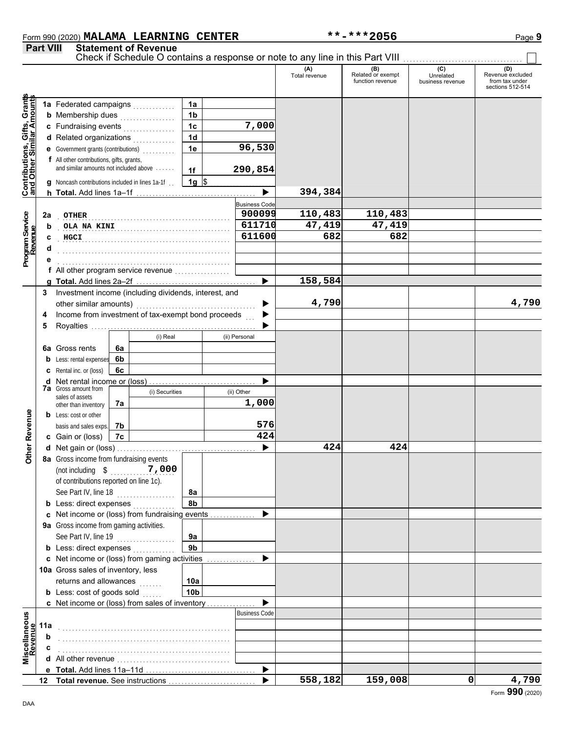### Form 990 (2020) Page **9 MALAMA LEARNING CENTER \*\*-\*\*\*2056**

**Part VIII Statement of Revenue**

|                                                                  |     |                                                       |    |                |                 |                                | Check if Schedule O contains a response or note to any line in this Part VIII |                                              |                                      |                                                        |
|------------------------------------------------------------------|-----|-------------------------------------------------------|----|----------------|-----------------|--------------------------------|-------------------------------------------------------------------------------|----------------------------------------------|--------------------------------------|--------------------------------------------------------|
|                                                                  |     |                                                       |    |                |                 |                                | (A)<br>Total revenue                                                          | (B)<br>Related or exempt<br>function revenue | (C)<br>Unrelated<br>business revenue | Revenue excluded<br>from tax under<br>sections 512-514 |
|                                                                  |     | 1a Federated campaigns                                |    |                | 1a              |                                |                                                                               |                                              |                                      |                                                        |
|                                                                  |     | <b>b</b> Membership dues                              |    | .              | 1 <sub>b</sub>  |                                |                                                                               |                                              |                                      |                                                        |
|                                                                  |     | c Fundraising events                                  |    |                | 1 <sub>c</sub>  | 7,000                          |                                                                               |                                              |                                      |                                                        |
|                                                                  |     | .<br>d Related organizations                          |    |                | 1 <sub>d</sub>  |                                |                                                                               |                                              |                                      |                                                        |
|                                                                  |     | <b>e</b> Government grants (contributions)            |    |                | 1e              | 96,530                         |                                                                               |                                              |                                      |                                                        |
| <b>Contributions, Gifts, Grants</b><br>and Other Similar Amounts |     | f All other contributions, gifts, grants,             |    |                |                 |                                |                                                                               |                                              |                                      |                                                        |
|                                                                  |     | and similar amounts not included above                |    |                | 1f              | 290,854                        |                                                                               |                                              |                                      |                                                        |
|                                                                  |     | g Noncash contributions included in lines 1a-1f.      |    |                | $1g$ \$         |                                |                                                                               |                                              |                                      |                                                        |
|                                                                  |     |                                                       |    |                |                 | $\blacktriangleright$          | 394,384                                                                       |                                              |                                      |                                                        |
|                                                                  |     |                                                       |    |                |                 |                                |                                                                               |                                              |                                      |                                                        |
|                                                                  |     |                                                       |    |                |                 | <b>Business Code</b><br>900099 | 110,483                                                                       | 110,483                                      |                                      |                                                        |
| Program Service<br>Revenue                                       | 2a  | <b>OTHER</b>                                          |    |                |                 | 611710                         |                                                                               |                                              |                                      |                                                        |
|                                                                  | b   | OLA NA KINI                                           |    |                |                 | 611600                         | 47,419                                                                        | 47,419                                       |                                      |                                                        |
|                                                                  | c   | HGCI                                                  |    |                |                 |                                | 682                                                                           | 682                                          |                                      |                                                        |
|                                                                  |     |                                                       |    |                |                 |                                |                                                                               |                                              |                                      |                                                        |
|                                                                  |     |                                                       |    |                |                 |                                |                                                                               |                                              |                                      |                                                        |
|                                                                  |     | f All other program service revenue                   |    |                |                 |                                |                                                                               |                                              |                                      |                                                        |
|                                                                  |     |                                                       |    |                |                 | $\blacktriangleright$          | 158,584                                                                       |                                              |                                      |                                                        |
|                                                                  | 3   | Investment income (including dividends, interest, and |    |                |                 |                                |                                                                               |                                              |                                      |                                                        |
|                                                                  |     | other similar amounts)                                |    |                |                 |                                | 4,790                                                                         |                                              |                                      | 4,790                                                  |
|                                                                  | 4   | Income from investment of tax-exempt bond proceeds    |    |                |                 |                                |                                                                               |                                              |                                      |                                                        |
|                                                                  | 5   |                                                       |    |                |                 |                                |                                                                               |                                              |                                      |                                                        |
|                                                                  |     |                                                       |    | (i) Real       |                 | (ii) Personal                  |                                                                               |                                              |                                      |                                                        |
|                                                                  |     | 6a Gross rents                                        | 6a |                |                 |                                |                                                                               |                                              |                                      |                                                        |
|                                                                  |     | <b>b</b> Less: rental expenses                        | 6b |                |                 |                                |                                                                               |                                              |                                      |                                                        |
|                                                                  |     | <b>c</b> Rental inc. or (loss)                        | 6c |                |                 |                                |                                                                               |                                              |                                      |                                                        |
|                                                                  |     | <b>d</b> Net rental income or (loss)                  |    |                |                 |                                |                                                                               |                                              |                                      |                                                        |
|                                                                  |     | <b>7a</b> Gross amount from<br>sales of assets        |    | (i) Securities |                 | (ii) Other                     |                                                                               |                                              |                                      |                                                        |
|                                                                  |     | other than inventory                                  | 7а |                |                 | 1,000                          |                                                                               |                                              |                                      |                                                        |
|                                                                  |     | <b>b</b> Less: cost or other                          |    |                |                 |                                |                                                                               |                                              |                                      |                                                        |
|                                                                  |     | basis and sales exps.                                 | 7b |                |                 | 576                            |                                                                               |                                              |                                      |                                                        |
| Other Revenue                                                    |     | c Gain or (loss)                                      | 7c |                |                 | 424                            |                                                                               |                                              |                                      |                                                        |
|                                                                  |     |                                                       |    |                |                 |                                | 424                                                                           | 424                                          |                                      |                                                        |
|                                                                  |     | 8a Gross income from fundraising events               |    |                |                 |                                |                                                                               |                                              |                                      |                                                        |
|                                                                  |     | (not including $$$                                    |    | 7,000          |                 |                                |                                                                               |                                              |                                      |                                                        |
|                                                                  |     | of contributions reported on line 1c).                |    |                |                 |                                |                                                                               |                                              |                                      |                                                        |
|                                                                  |     | See Part IV, line 18                                  |    | .              | 8a              |                                |                                                                               |                                              |                                      |                                                        |
|                                                                  |     | <b>b</b> Less: direct expenses                        |    |                | 8b              |                                |                                                                               |                                              |                                      |                                                        |
|                                                                  |     | c Net income or (loss) from fundraising events        |    |                |                 |                                |                                                                               |                                              |                                      |                                                        |
|                                                                  |     | 9a Gross income from gaming activities.               |    |                |                 |                                |                                                                               |                                              |                                      |                                                        |
|                                                                  |     | See Part IV, line 19                                  |    | .              | 9a              |                                |                                                                               |                                              |                                      |                                                        |
|                                                                  |     | <b>b</b> Less: direct expenses                        |    |                | 9 <sub>b</sub>  |                                |                                                                               |                                              |                                      |                                                        |
|                                                                  |     | c Net income or (loss) from gaming activities         |    |                |                 |                                |                                                                               |                                              |                                      |                                                        |
|                                                                  |     | 10a Gross sales of inventory, less                    |    |                |                 |                                |                                                                               |                                              |                                      |                                                        |
|                                                                  |     | returns and allowances                                |    | a sa sa        | 10a             |                                |                                                                               |                                              |                                      |                                                        |
|                                                                  |     | <b>b</b> Less: cost of goods sold                     |    |                | 10 <sub>b</sub> |                                |                                                                               |                                              |                                      |                                                        |
|                                                                  |     | c Net income or (loss) from sales of inventory        |    |                |                 |                                |                                                                               |                                              |                                      |                                                        |
|                                                                  |     |                                                       |    |                |                 | <b>Business Code</b>           |                                                                               |                                              |                                      |                                                        |
| Miscellaneous<br>Revenue                                         | 11a |                                                       |    |                |                 |                                |                                                                               |                                              |                                      |                                                        |
|                                                                  | b   |                                                       |    |                |                 |                                |                                                                               |                                              |                                      |                                                        |
|                                                                  | C   |                                                       |    |                |                 |                                |                                                                               |                                              |                                      |                                                        |
|                                                                  |     |                                                       |    |                |                 |                                |                                                                               |                                              |                                      |                                                        |
|                                                                  |     |                                                       |    |                |                 | ▶                              |                                                                               |                                              |                                      |                                                        |
|                                                                  |     |                                                       |    |                |                 |                                | 558,182                                                                       | 159,008                                      | $\mathbf 0$                          | 4,790                                                  |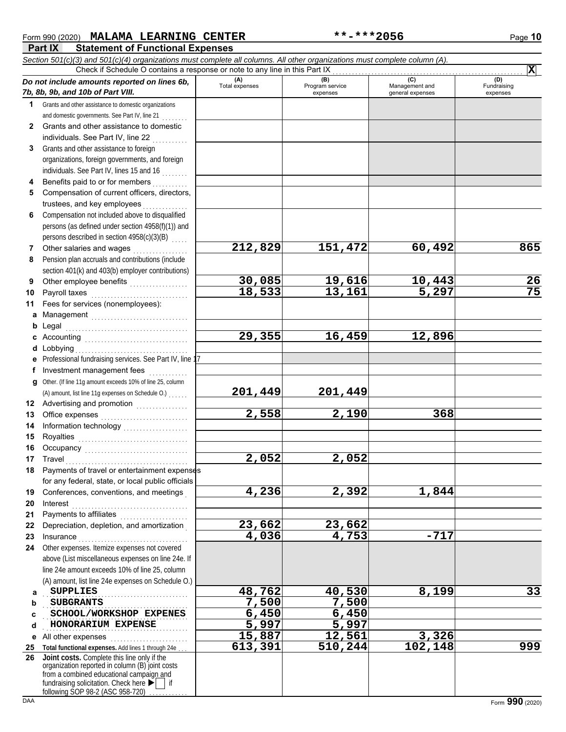| Form 990 (2020) | <b>MALAMA LEARNING CENTER</b>           | **-***2056 | Page 10 |
|-----------------|-----------------------------------------|------------|---------|
| Part IX         | <b>Statement of Functional Expenses</b> |            |         |

**Part IX Statement of Functional Expenses** *Section 501(c)(3) and 501(c)(4) organizations must complete all columns. All other organizations must complete column (A). Do not include amounts reported on lines 6b, 7b, 8b, 9b, and 10b of Part VIII.* **(A) (B) (C) (D)**  $(B)$ <br>Program service expenses and general expenses Check if Schedule O contains a response or note to any line in this Part IX

|              | Do not include amounts reported on lines 6b,                                                                                                                                                                                                                                                                                               | (A)<br>Total expenses | (B)<br>Program service | (C)<br>Management and  | (D)<br>Fundraising |
|--------------|--------------------------------------------------------------------------------------------------------------------------------------------------------------------------------------------------------------------------------------------------------------------------------------------------------------------------------------------|-----------------------|------------------------|------------------------|--------------------|
|              | 7b, 8b, 9b, and 10b of Part VIII.                                                                                                                                                                                                                                                                                                          |                       | expenses               | general expenses       | expenses           |
| 1            | Grants and other assistance to domestic organizations                                                                                                                                                                                                                                                                                      |                       |                        |                        |                    |
|              | and domestic governments. See Part IV, line 21                                                                                                                                                                                                                                                                                             |                       |                        |                        |                    |
| $\mathbf{2}$ | Grants and other assistance to domestic                                                                                                                                                                                                                                                                                                    |                       |                        |                        |                    |
|              | individuals. See Part IV, line 22                                                                                                                                                                                                                                                                                                          |                       |                        |                        |                    |
| 3            | Grants and other assistance to foreign                                                                                                                                                                                                                                                                                                     |                       |                        |                        |                    |
|              | organizations, foreign governments, and foreign                                                                                                                                                                                                                                                                                            |                       |                        |                        |                    |
|              | individuals. See Part IV, lines 15 and 16                                                                                                                                                                                                                                                                                                  |                       |                        |                        |                    |
| 4            | Benefits paid to or for members                                                                                                                                                                                                                                                                                                            |                       |                        |                        |                    |
| 5            | Compensation of current officers, directors,                                                                                                                                                                                                                                                                                               |                       |                        |                        |                    |
|              | trustees, and key employees                                                                                                                                                                                                                                                                                                                |                       |                        |                        |                    |
| 6            | Compensation not included above to disqualified                                                                                                                                                                                                                                                                                            |                       |                        |                        |                    |
|              | persons (as defined under section 4958(f)(1)) and                                                                                                                                                                                                                                                                                          |                       |                        |                        |                    |
|              | persons described in section 4958(c)(3)(B)                                                                                                                                                                                                                                                                                                 |                       |                        |                        |                    |
| 7            | Other salaries and wages                                                                                                                                                                                                                                                                                                                   | 212,829               | 151,472                | 60,492                 | 865                |
| 8            | Pension plan accruals and contributions (include                                                                                                                                                                                                                                                                                           |                       |                        |                        |                    |
|              | section 401(k) and 403(b) employer contributions)                                                                                                                                                                                                                                                                                          |                       |                        |                        |                    |
| 9            |                                                                                                                                                                                                                                                                                                                                            | 30,085                | 19,616                 |                        | 26                 |
| 10           | Payroll taxes                                                                                                                                                                                                                                                                                                                              | 18,533                | 13,161                 | $\frac{10,443}{5,297}$ | $\overline{75}$    |
| 11           | Fees for services (nonemployees):                                                                                                                                                                                                                                                                                                          |                       |                        |                        |                    |
| a            |                                                                                                                                                                                                                                                                                                                                            |                       |                        |                        |                    |
| b            | Legal                                                                                                                                                                                                                                                                                                                                      |                       |                        |                        |                    |
|              |                                                                                                                                                                                                                                                                                                                                            | 29,355                | 16,459                 | 12,896                 |                    |
| d            | c Accounting $\begin{bmatrix} 1 & 1 & 1 \\ 1 & 1 & 1 \\ 1 & 1 & 1 \\ 1 & 1 & 1 \\ 1 & 1 & 1 \\ 1 & 1 & 1 \\ 1 & 1 & 1 \\ 1 & 1 & 1 \\ 1 & 1 & 1 \\ 1 & 1 & 1 \\ 1 & 1 & 1 \\ 1 & 1 & 1 \\ 1 & 1 & 1 \\ 1 & 1 & 1 \\ 1 & 1 & 1 & 1 \\ 1 & 1 & 1 & 1 \\ 1 & 1 & 1 & 1 \\ 1 & 1 & 1 & 1 \\ 1 & 1 & 1 & 1 \\ 1 & 1 & 1 & 1 \\ 1 &$<br>Lobbying |                       |                        |                        |                    |
|              | Professional fundraising services. See Part IV, line 1                                                                                                                                                                                                                                                                                     |                       |                        |                        |                    |
|              | Investment management fees                                                                                                                                                                                                                                                                                                                 |                       |                        |                        |                    |
|              |                                                                                                                                                                                                                                                                                                                                            |                       |                        |                        |                    |
| a            | Other. (If line 11g amount exceeds 10% of line 25, column                                                                                                                                                                                                                                                                                  | 201,449               | 201,449                |                        |                    |
|              | (A) amount, list line 11g expenses on Schedule O.)                                                                                                                                                                                                                                                                                         |                       |                        |                        |                    |
| 12           | Advertising and promotion [1] [1] [1] Advertising and promotion                                                                                                                                                                                                                                                                            | 2,558                 |                        | 368                    |                    |
| 13           | Office expenses                                                                                                                                                                                                                                                                                                                            |                       | 2,190                  |                        |                    |
| 14           |                                                                                                                                                                                                                                                                                                                                            |                       |                        |                        |                    |
| 15           |                                                                                                                                                                                                                                                                                                                                            |                       |                        |                        |                    |
| 16           |                                                                                                                                                                                                                                                                                                                                            |                       |                        |                        |                    |
| 17           | Travel                                                                                                                                                                                                                                                                                                                                     | 2,052                 | 2,052                  |                        |                    |
| 18           | Payments of travel or entertainment expenses                                                                                                                                                                                                                                                                                               |                       |                        |                        |                    |
|              | for any federal, state, or local public officials                                                                                                                                                                                                                                                                                          |                       |                        |                        |                    |
| 19           | Conferences, conventions, and meetings                                                                                                                                                                                                                                                                                                     | 4,236                 | 2,392                  | 1,844                  |                    |
| 20           | Interest                                                                                                                                                                                                                                                                                                                                   |                       |                        |                        |                    |
| 21           | Payments to affiliates                                                                                                                                                                                                                                                                                                                     |                       |                        |                        |                    |
| 22           | Depreciation, depletion, and amortization                                                                                                                                                                                                                                                                                                  | 23,662                | 23,662                 |                        |                    |
| 23           | Insurance                                                                                                                                                                                                                                                                                                                                  | 4,036                 | 4,753                  | $-717$                 |                    |
| 24           | Other expenses. Itemize expenses not covered                                                                                                                                                                                                                                                                                               |                       |                        |                        |                    |
|              | above (List miscellaneous expenses on line 24e. If                                                                                                                                                                                                                                                                                         |                       |                        |                        |                    |
|              | line 24e amount exceeds 10% of line 25, column                                                                                                                                                                                                                                                                                             |                       |                        |                        |                    |
|              | (A) amount, list line 24e expenses on Schedule O.)                                                                                                                                                                                                                                                                                         |                       |                        |                        |                    |
| a            | <b>SUPPLIES</b>                                                                                                                                                                                                                                                                                                                            | 48,762                | 40,530                 | 8,199                  | 33                 |
| b            | <b>SUBGRANTS</b>                                                                                                                                                                                                                                                                                                                           | 7,500                 | 7,500                  |                        |                    |
| c            | SCHOOL/WORKSHOP EXPENES                                                                                                                                                                                                                                                                                                                    | 6,450                 | 6,450                  |                        |                    |
| d            | HONORARIUM EXPENSE                                                                                                                                                                                                                                                                                                                         | 5,997                 | 5,997                  |                        |                    |
| е            | All other expenses                                                                                                                                                                                                                                                                                                                         | 15,887                | 12,561                 | 3,326                  |                    |
|              | 25 Total functional expenses. Add lines 1 through 24e                                                                                                                                                                                                                                                                                      | 613,391               | 510, 244               | 102, 148               | 999                |
|              | 26 Joint costs. Complete this line only if the                                                                                                                                                                                                                                                                                             |                       |                        |                        |                    |
|              | organization reported in column (B) joint costs<br>from a combined educational campaign and                                                                                                                                                                                                                                                |                       |                        |                        |                    |
|              | fundraising solicitation. Check here $\blacktriangleright$   if                                                                                                                                                                                                                                                                            |                       |                        |                        |                    |
|              | following SOP 98-2 (ASC 958-720)                                                                                                                                                                                                                                                                                                           |                       |                        |                        |                    |
| <b>DAA</b>   |                                                                                                                                                                                                                                                                                                                                            |                       |                        |                        | Form 990 (2020)    |

**X**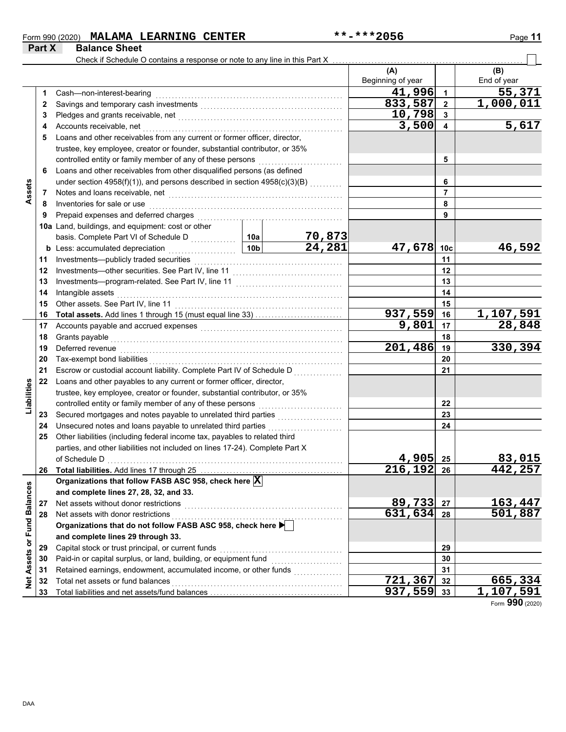### Form 990 (2020) Page **11 MALAMA LEARNING CENTER \*\*-\*\*\*2056**

**Part X Balance Sheet**

|                   |    | Check if Schedule O contains a response or note to any line in this Part X                                                                                                                                                     |                 |        |                   |                 |             |
|-------------------|----|--------------------------------------------------------------------------------------------------------------------------------------------------------------------------------------------------------------------------------|-----------------|--------|-------------------|-----------------|-------------|
|                   |    |                                                                                                                                                                                                                                |                 |        | (A)               |                 | (B)         |
|                   |    |                                                                                                                                                                                                                                |                 |        | Beginning of year |                 | End of year |
|                   | 1. | Cash-non-interest-bearing                                                                                                                                                                                                      |                 |        | 41,996            | $\overline{1}$  | 55,371      |
|                   | 2  | Savings and temporary cash investments [[11][11] contracts and temporary cash investments [[11] contracts and temporary cash investments and temporary cash investments and temporary cash in the state of the state of the st |                 |        | 833,587           | $\overline{2}$  | 1,000,011   |
|                   | 3  |                                                                                                                                                                                                                                |                 |        | 10,798            | 3               |             |
|                   | 4  | Accounts receivable, net                                                                                                                                                                                                       |                 |        | 3,500             | 4               | 5,617       |
|                   | 5  | Loans and other receivables from any current or former officer, director,                                                                                                                                                      |                 |        |                   |                 |             |
|                   |    | trustee, key employee, creator or founder, substantial contributor, or 35%                                                                                                                                                     |                 |        |                   |                 |             |
|                   |    |                                                                                                                                                                                                                                |                 |        |                   | 5               |             |
|                   | 6  | Loans and other receivables from other disqualified persons (as defined                                                                                                                                                        |                 |        |                   |                 |             |
|                   |    | under section 4958(f)(1)), and persons described in section 4958(c)(3)(B)                                                                                                                                                      |                 |        |                   | 6               |             |
| Assets            | 7  |                                                                                                                                                                                                                                |                 |        |                   | 7               |             |
|                   | 8  | Inventories for sale or use                                                                                                                                                                                                    |                 |        |                   | 8               |             |
|                   | 9  | Prepaid expenses and deferred charges                                                                                                                                                                                          |                 |        |                   | 9               |             |
|                   |    | 10a Land, buildings, and equipment: cost or other                                                                                                                                                                              |                 |        |                   |                 |             |
|                   |    | basis. Complete Part VI of Schedule D                                                                                                                                                                                          | 10a             | 70,873 |                   |                 |             |
|                   |    | b Less: accumulated depreciation                                                                                                                                                                                               | 10 <sub>b</sub> | 24,281 | 47,678            | 10 <sub>c</sub> | 46,592      |
|                   | 11 | Investments-publicly traded securities                                                                                                                                                                                         |                 |        | 11                |                 |             |
|                   | 12 | Investments-other securities. See Part IV, line 11                                                                                                                                                                             |                 |        | 12                |                 |             |
|                   | 13 |                                                                                                                                                                                                                                |                 |        | 13                |                 |             |
|                   | 14 | Intangible assets                                                                                                                                                                                                              |                 |        |                   | 14              |             |
|                   | 15 |                                                                                                                                                                                                                                |                 |        |                   | 15              |             |
|                   | 16 | Total assets. Add lines 1 through 15 (must equal line 33)                                                                                                                                                                      |                 |        | 937,559           | 16              | 1,107,591   |
|                   | 17 |                                                                                                                                                                                                                                |                 |        | 9,801             | 17              | 28,848      |
|                   | 18 | Grants payable                                                                                                                                                                                                                 |                 |        |                   | 18              |             |
|                   | 19 | Deferred revenue                                                                                                                                                                                                               |                 |        | 201,486           | 19              | 330,394     |
|                   | 20 | Tax-exempt bond liabilities                                                                                                                                                                                                    |                 |        | 20                |                 |             |
|                   | 21 | Escrow or custodial account liability. Complete Part IV of Schedule D                                                                                                                                                          |                 |        |                   | 21              |             |
|                   | 22 | Loans and other payables to any current or former officer, director,                                                                                                                                                           |                 |        |                   |                 |             |
| Liabilities       |    | trustee, key employee, creator or founder, substantial contributor, or 35%                                                                                                                                                     |                 |        |                   |                 |             |
|                   |    | controlled entity or family member of any of these persons                                                                                                                                                                     |                 |        |                   | 22              |             |
|                   | 23 |                                                                                                                                                                                                                                |                 |        |                   | 23              |             |
|                   | 24 | Unsecured notes and loans payable to unrelated third parties                                                                                                                                                                   |                 |        |                   | 24              |             |
|                   | 25 | Other liabilities (including federal income tax, payables to related third                                                                                                                                                     |                 |        |                   |                 |             |
|                   |    | parties, and other liabilities not included on lines 17-24). Complete Part X                                                                                                                                                   |                 |        |                   |                 |             |
|                   |    |                                                                                                                                                                                                                                |                 |        | 4,905             | 25              | 83,015      |
|                   | 26 | Total liabilities. Add lines 17 through 25                                                                                                                                                                                     |                 |        | 216,192           | 26              | 442,257     |
|                   |    | Organizations that follow FASB ASC 958, check here X                                                                                                                                                                           |                 |        |                   |                 |             |
|                   |    | and complete lines 27, 28, 32, and 33.                                                                                                                                                                                         |                 |        |                   |                 |             |
|                   | 27 | Net assets without donor restrictions                                                                                                                                                                                          |                 |        | 89,733            | 27              | 163,447     |
|                   | 28 | Net assets with donor restrictions                                                                                                                                                                                             |                 |        | 631,634           | 28              | 501,887     |
| or Fund Balances  |    | Organizations that do not follow FASB ASC 958, check here                                                                                                                                                                      |                 |        |                   |                 |             |
|                   |    | and complete lines 29 through 33.                                                                                                                                                                                              |                 |        |                   |                 |             |
|                   | 29 | Capital stock or trust principal, or current funds                                                                                                                                                                             |                 |        |                   | 29              |             |
|                   | 30 | Paid-in or capital surplus, or land, building, or equipment fund                                                                                                                                                               |                 |        |                   | 30              |             |
|                   | 31 | Retained earnings, endowment, accumulated income, or other funds                                                                                                                                                               |                 |        |                   | 31              |             |
| <b>Net Assets</b> | 32 | Total net assets or fund balances                                                                                                                                                                                              |                 |        | 721,367           | 32              | 665,334     |
|                   | 33 |                                                                                                                                                                                                                                |                 |        | 937,559           | 33              | 1,107,591   |

Form **990** (2020)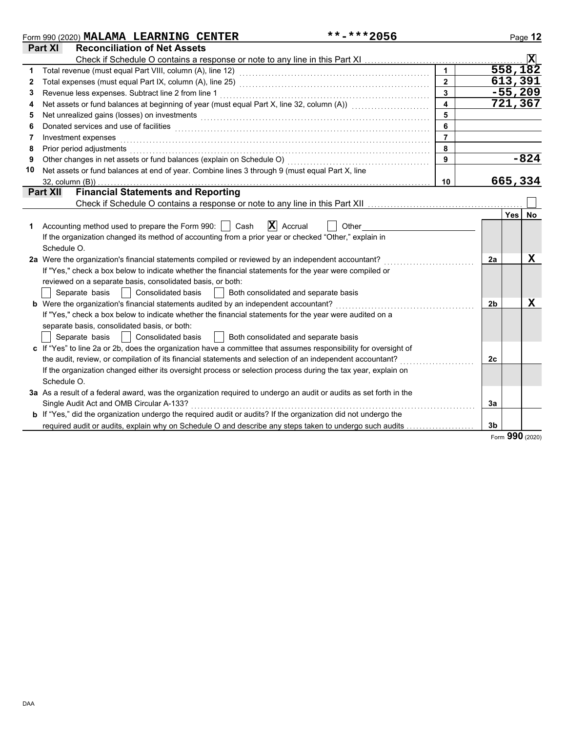|    | **-***2056<br>Form 990 (2020) MALAMA LEARNING CENTER                                                                                                                                                                          |                         |                | Page 12        |
|----|-------------------------------------------------------------------------------------------------------------------------------------------------------------------------------------------------------------------------------|-------------------------|----------------|----------------|
|    | <b>Part XI</b><br><b>Reconciliation of Net Assets</b>                                                                                                                                                                         |                         |                |                |
|    |                                                                                                                                                                                                                               |                         |                | $ \mathbf{X} $ |
| 1  |                                                                                                                                                                                                                               | $\overline{1}$          |                | 558,182        |
| 2  |                                                                                                                                                                                                                               | $\overline{2}$          |                | 613,391        |
| 3  | Revenue less expenses. Subtract line 2 from line 1                                                                                                                                                                            | $\overline{\mathbf{3}}$ |                | $-55,209$      |
| 4  | Net assets or fund balances at beginning of year (must equal Part X, line 32, column (A)) [[[[[[[[[[[[[[[[[[[                                                                                                                 | $\overline{\mathbf{4}}$ |                | 721,367        |
| 5  | Net unrealized gains (losses) on investments [1] production in the contract of the state of the state of the state of the state of the state of the state of the state of the state of the state of the state of the state of | 5                       |                |                |
| 6  | Donated services and use of facilities <b>constructs</b> and the service of the service of the services and use of facilities                                                                                                 | 6                       |                |                |
| 7  | Investment expenses                                                                                                                                                                                                           | $\overline{7}$          |                |                |
| 8  | Prior period adjustments                                                                                                                                                                                                      | 8                       |                |                |
| 9  | Other changes in net assets or fund balances (explain on Schedule O)                                                                                                                                                          | 9                       |                | $-824$         |
| 10 | Net assets or fund balances at end of year. Combine lines 3 through 9 (must equal Part X, line                                                                                                                                |                         |                |                |
|    | $32$ , column $(B)$ )                                                                                                                                                                                                         | 10                      |                | 665,334        |
|    | <b>Financial Statements and Reporting</b><br><b>Part XII</b>                                                                                                                                                                  |                         |                |                |
|    |                                                                                                                                                                                                                               |                         |                |                |
|    |                                                                                                                                                                                                                               |                         |                | Yes<br>No.     |
|    | $ \mathbf{X} $ Accrual<br>Accounting method used to prepare the Form 990:     Cash<br>Other                                                                                                                                   |                         |                |                |
|    | If the organization changed its method of accounting from a prior year or checked "Other," explain in                                                                                                                         |                         |                |                |
|    | Schedule O.                                                                                                                                                                                                                   |                         |                |                |
|    | 2a Were the organization's financial statements compiled or reviewed by an independent accountant?                                                                                                                            |                         | 2a             | x              |
|    | If "Yes," check a box below to indicate whether the financial statements for the year were compiled or                                                                                                                        |                         |                |                |
|    | reviewed on a separate basis, consolidated basis, or both:                                                                                                                                                                    |                         |                |                |
|    | Separate basis     Consolidated basis<br>  Both consolidated and separate basis                                                                                                                                               |                         |                |                |
|    | <b>b</b> Were the organization's financial statements audited by an independent accountant?                                                                                                                                   |                         | 2 <sub>b</sub> | $\mathbf X$    |
|    | If "Yes," check a box below to indicate whether the financial statements for the year were audited on a                                                                                                                       |                         |                |                |
|    | separate basis, consolidated basis, or both:                                                                                                                                                                                  |                         |                |                |
|    | Separate basis    <br><b>Consolidated basis</b><br>    Both consolidated and separate basis                                                                                                                                   |                         |                |                |
|    | c If "Yes" to line 2a or 2b, does the organization have a committee that assumes responsibility for oversight of                                                                                                              |                         |                |                |
|    | the audit, review, or compilation of its financial statements and selection of an independent accountant?                                                                                                                     |                         | 2c             |                |
|    | If the organization changed either its oversight process or selection process during the tax year, explain on                                                                                                                 |                         |                |                |
|    | Schedule O.                                                                                                                                                                                                                   |                         |                |                |
|    | 3a As a result of a federal award, was the organization required to undergo an audit or audits as set forth in the                                                                                                            |                         |                |                |
|    | Single Audit Act and OMB Circular A-133?                                                                                                                                                                                      |                         | 3a             |                |
|    | <b>b</b> If "Yes," did the organization undergo the required audit or audits? If the organization did not undergo the                                                                                                         |                         |                |                |
|    | required audit or audits, explain why on Schedule O and describe any steps taken to undergo such audits                                                                                                                       |                         | 3 <sub>b</sub> |                |

Form **990** (2020)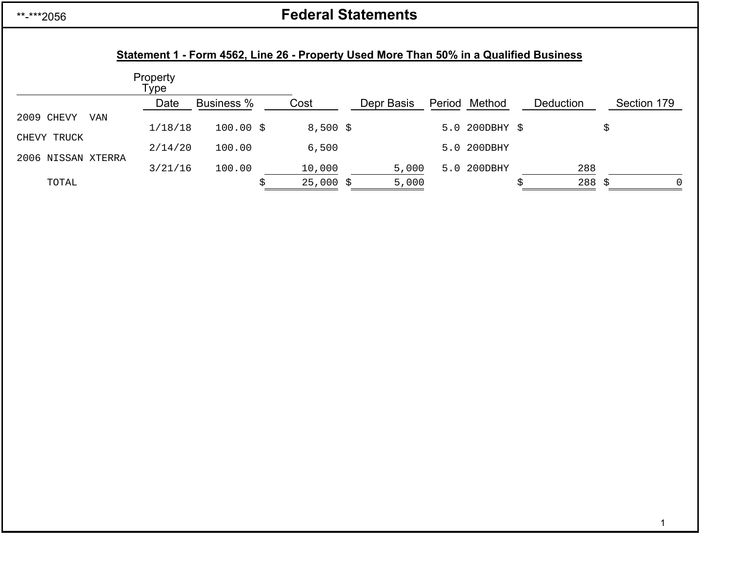## \*\*-\*\*\*2056

# **Federal Statements**

## **Statement 1 - Form 4562, Line 26 - Property Used More Than 50% in a Qualified Business**

|                    | Property<br>Type |                   |             |            |        |                |           |                         |
|--------------------|------------------|-------------------|-------------|------------|--------|----------------|-----------|-------------------------|
|                    | Date             | <b>Business %</b> | Cost        | Depr Basis | Period | Method         | Deduction | Section 179             |
| 2009 CHEVY<br>VAN  |                  |                   |             |            |        |                |           |                         |
| CHEVY TRUCK        | 1/18/18          | $100.00$ \$       | $8,500$ \$  |            |        | 5.0 200DBHY \$ |           | \$                      |
| 2006 NISSAN XTERRA | 2/14/20          | 100.00            | 6,500       |            |        | 5.0 200DBHY    |           |                         |
|                    | 3/21/16          | 100.00            | 10,000      | 5,000      |        | 5.0 200DBHY    | 288       |                         |
| TOTAL              |                  |                   | $25,000$ \$ | 5,000      |        |                |           | $288 \;$ \$<br>$\Omega$ |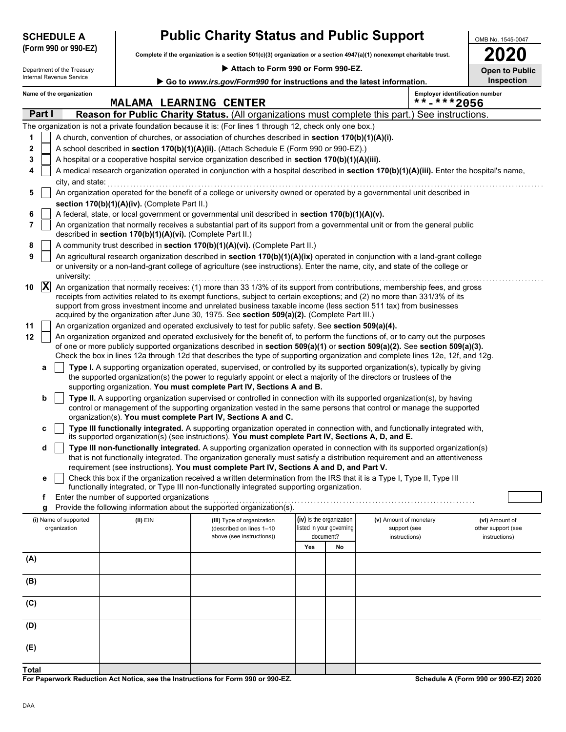| <b>SCHEDULE A</b> |                      |
|-------------------|----------------------|
| $\sim$ $\sim$     | $\sim$ $\sim$ $\sim$ |

# **Public Charity Status and Public Support**

**Complete if the organization is a section 501(c)(3) organization or a section 4947(a)(1) nonexempt charitable trust. (Form 990 or 990-EZ)**

Department of the Treasury<br>Internal Revenue Service

 **Attach to Form 990 or Form 990-EZ.**

| 2020                |  |
|---------------------|--|
| pen to Public<br>91 |  |

OMB No. 1545-0047

| internal Revenue Service<br>Inspection<br>Go to www.irs.gov/Form990 for instructions and the latest information. |                |                                       |                                                            |                                                                                                                                                                                                                                                                                                                                                                                                                                                                                  |                          |                          |                                        |            |                                       |
|------------------------------------------------------------------------------------------------------------------|----------------|---------------------------------------|------------------------------------------------------------|----------------------------------------------------------------------------------------------------------------------------------------------------------------------------------------------------------------------------------------------------------------------------------------------------------------------------------------------------------------------------------------------------------------------------------------------------------------------------------|--------------------------|--------------------------|----------------------------------------|------------|---------------------------------------|
|                                                                                                                  |                | Name of the organization              | <b>MALAMA LEARNING CENTER</b>                              |                                                                                                                                                                                                                                                                                                                                                                                                                                                                                  |                          |                          |                                        | **-***2056 | <b>Employer identification number</b> |
| Part I<br>Reason for Public Charity Status. (All organizations must complete this part.) See instructions.       |                |                                       |                                                            |                                                                                                                                                                                                                                                                                                                                                                                                                                                                                  |                          |                          |                                        |            |                                       |
|                                                                                                                  |                |                                       |                                                            | The organization is not a private foundation because it is: (For lines 1 through 12, check only one box.)                                                                                                                                                                                                                                                                                                                                                                        |                          |                          |                                        |            |                                       |
| 1                                                                                                                |                |                                       |                                                            | A church, convention of churches, or association of churches described in section 170(b)(1)(A)(i).                                                                                                                                                                                                                                                                                                                                                                               |                          |                          |                                        |            |                                       |
| 2                                                                                                                |                |                                       |                                                            | A school described in section 170(b)(1)(A)(ii). (Attach Schedule E (Form 990 or 990-EZ).)                                                                                                                                                                                                                                                                                                                                                                                        |                          |                          |                                        |            |                                       |
| 3                                                                                                                |                |                                       |                                                            | A hospital or a cooperative hospital service organization described in section 170(b)(1)(A)(iii).                                                                                                                                                                                                                                                                                                                                                                                |                          |                          |                                        |            |                                       |
| 4                                                                                                                |                |                                       |                                                            | A medical research organization operated in conjunction with a hospital described in section 170(b)(1)(A)(iii). Enter the hospital's name,                                                                                                                                                                                                                                                                                                                                       |                          |                          |                                        |            |                                       |
|                                                                                                                  |                | city, and state:                      |                                                            |                                                                                                                                                                                                                                                                                                                                                                                                                                                                                  |                          |                          |                                        |            |                                       |
| 5                                                                                                                |                |                                       | section 170(b)(1)(A)(iv). (Complete Part II.)              | An organization operated for the benefit of a college or university owned or operated by a governmental unit described in                                                                                                                                                                                                                                                                                                                                                        |                          |                          |                                        |            |                                       |
| 6                                                                                                                |                |                                       |                                                            | A federal, state, or local government or governmental unit described in section 170(b)(1)(A)(v).                                                                                                                                                                                                                                                                                                                                                                                 |                          |                          |                                        |            |                                       |
| 7                                                                                                                |                |                                       | described in section 170(b)(1)(A)(vi). (Complete Part II.) | An organization that normally receives a substantial part of its support from a governmental unit or from the general public                                                                                                                                                                                                                                                                                                                                                     |                          |                          |                                        |            |                                       |
| 8                                                                                                                |                |                                       |                                                            | A community trust described in section 170(b)(1)(A)(vi). (Complete Part II.)                                                                                                                                                                                                                                                                                                                                                                                                     |                          |                          |                                        |            |                                       |
| 9                                                                                                                |                | university:                           |                                                            | An agricultural research organization described in section 170(b)(1)(A)(ix) operated in conjunction with a land-grant college<br>or university or a non-land-grant college of agriculture (see instructions). Enter the name, city, and state of the college or                                                                                                                                                                                                                  |                          |                          |                                        |            |                                       |
| 10                                                                                                               | $ \mathbf{X} $ |                                       |                                                            | An organization that normally receives: (1) more than 33 1/3% of its support from contributions, membership fees, and gross<br>receipts from activities related to its exempt functions, subject to certain exceptions; and (2) no more than 331/3% of its<br>support from gross investment income and unrelated business taxable income (less section 511 tax) from businesses<br>acquired by the organization after June 30, 1975. See section 509(a)(2). (Complete Part III.) |                          |                          |                                        |            |                                       |
| 11                                                                                                               |                |                                       |                                                            | An organization organized and operated exclusively to test for public safety. See section 509(a)(4).                                                                                                                                                                                                                                                                                                                                                                             |                          |                          |                                        |            |                                       |
| 12                                                                                                               |                |                                       |                                                            | An organization organized and operated exclusively for the benefit of, to perform the functions of, or to carry out the purposes                                                                                                                                                                                                                                                                                                                                                 |                          |                          |                                        |            |                                       |
|                                                                                                                  |                |                                       |                                                            | of one or more publicly supported organizations described in section 509(a)(1) or section 509(a)(2). See section 509(a)(3).<br>Check the box in lines 12a through 12d that describes the type of supporting organization and complete lines 12e, 12f, and 12g.                                                                                                                                                                                                                   |                          |                          |                                        |            |                                       |
|                                                                                                                  | a              |                                       |                                                            | Type I. A supporting organization operated, supervised, or controlled by its supported organization(s), typically by giving                                                                                                                                                                                                                                                                                                                                                      |                          |                          |                                        |            |                                       |
|                                                                                                                  |                |                                       |                                                            | the supported organization(s) the power to regularly appoint or elect a majority of the directors or trustees of the                                                                                                                                                                                                                                                                                                                                                             |                          |                          |                                        |            |                                       |
|                                                                                                                  |                |                                       |                                                            | supporting organization. You must complete Part IV, Sections A and B.                                                                                                                                                                                                                                                                                                                                                                                                            |                          |                          |                                        |            |                                       |
|                                                                                                                  | b              |                                       |                                                            | Type II. A supporting organization supervised or controlled in connection with its supported organization(s), by having                                                                                                                                                                                                                                                                                                                                                          |                          |                          |                                        |            |                                       |
|                                                                                                                  |                |                                       |                                                            | control or management of the supporting organization vested in the same persons that control or manage the supported                                                                                                                                                                                                                                                                                                                                                             |                          |                          |                                        |            |                                       |
|                                                                                                                  |                |                                       |                                                            | organization(s). You must complete Part IV, Sections A and C.                                                                                                                                                                                                                                                                                                                                                                                                                    |                          |                          |                                        |            |                                       |
|                                                                                                                  | c              |                                       |                                                            | Type III functionally integrated. A supporting organization operated in connection with, and functionally integrated with,<br>its supported organization(s) (see instructions). You must complete Part IV, Sections A, D, and E.                                                                                                                                                                                                                                                 |                          |                          |                                        |            |                                       |
|                                                                                                                  | d              |                                       |                                                            | Type III non-functionally integrated. A supporting organization operated in connection with its supported organization(s)                                                                                                                                                                                                                                                                                                                                                        |                          |                          |                                        |            |                                       |
|                                                                                                                  |                |                                       |                                                            | that is not functionally integrated. The organization generally must satisfy a distribution requirement and an attentiveness                                                                                                                                                                                                                                                                                                                                                     |                          |                          |                                        |            |                                       |
|                                                                                                                  |                |                                       |                                                            | requirement (see instructions). You must complete Part IV, Sections A and D, and Part V.                                                                                                                                                                                                                                                                                                                                                                                         |                          |                          |                                        |            |                                       |
|                                                                                                                  | е              |                                       |                                                            | Check this box if the organization received a written determination from the IRS that it is a Type I, Type II, Type III                                                                                                                                                                                                                                                                                                                                                          |                          |                          |                                        |            |                                       |
|                                                                                                                  |                |                                       |                                                            | functionally integrated, or Type III non-functionally integrated supporting organization.                                                                                                                                                                                                                                                                                                                                                                                        |                          |                          |                                        |            |                                       |
|                                                                                                                  | f              |                                       | Enter the number of supported organizations                |                                                                                                                                                                                                                                                                                                                                                                                                                                                                                  |                          |                          |                                        |            |                                       |
|                                                                                                                  | g              |                                       |                                                            | Provide the following information about the supported organization(s).                                                                                                                                                                                                                                                                                                                                                                                                           |                          |                          |                                        |            |                                       |
|                                                                                                                  |                | (i) Name of supported<br>organization | (ii) EIN                                                   | (iii) Type of organization<br>(described on lines 1-10                                                                                                                                                                                                                                                                                                                                                                                                                           | (iv) Is the organization | listed in your governing | (v) Amount of monetary<br>support (see |            | (vi) Amount of<br>other support (see  |
|                                                                                                                  |                |                                       |                                                            | above (see instructions))                                                                                                                                                                                                                                                                                                                                                                                                                                                        |                          | document?                | instructions)                          |            | instructions)                         |
|                                                                                                                  |                |                                       |                                                            |                                                                                                                                                                                                                                                                                                                                                                                                                                                                                  | Yes                      | No                       |                                        |            |                                       |
| (A)                                                                                                              |                |                                       |                                                            |                                                                                                                                                                                                                                                                                                                                                                                                                                                                                  |                          |                          |                                        |            |                                       |
| (B)                                                                                                              |                |                                       |                                                            |                                                                                                                                                                                                                                                                                                                                                                                                                                                                                  |                          |                          |                                        |            |                                       |
| (C)                                                                                                              |                |                                       |                                                            |                                                                                                                                                                                                                                                                                                                                                                                                                                                                                  |                          |                          |                                        |            |                                       |
| (D)                                                                                                              |                |                                       |                                                            |                                                                                                                                                                                                                                                                                                                                                                                                                                                                                  |                          |                          |                                        |            |                                       |
| (E)                                                                                                              |                |                                       |                                                            |                                                                                                                                                                                                                                                                                                                                                                                                                                                                                  |                          |                          |                                        |            |                                       |
| <b>Total</b>                                                                                                     |                |                                       |                                                            |                                                                                                                                                                                                                                                                                                                                                                                                                                                                                  |                          |                          |                                        |            |                                       |

**For Paperwork Reduction Act Notice, see the Instructions for Form 990 or 990-EZ.**

**Schedule A (Form 990 or 990-EZ) 2020**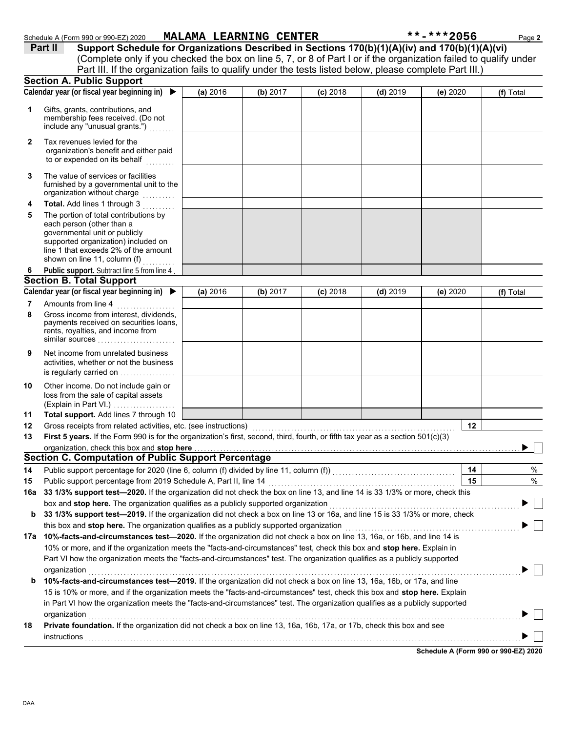|     | (Complete only if you checked the box on line 5, 7, or 8 of Part I or if the organization failed to qualify under<br>Part III. If the organization fails to qualify under the tests listed below, please complete Part III.) |          |          |            |            |          |           |
|-----|------------------------------------------------------------------------------------------------------------------------------------------------------------------------------------------------------------------------------|----------|----------|------------|------------|----------|-----------|
|     | <b>Section A. Public Support</b>                                                                                                                                                                                             |          |          |            |            |          |           |
|     | Calendar year (or fiscal year beginning in) $\blacktriangleright$                                                                                                                                                            | (a) 2016 | (b) 2017 | $(c)$ 2018 | $(d)$ 2019 | (e) 2020 | (f) Total |
| 1   | Gifts, grants, contributions, and<br>membership fees received. (Do not<br>include any "unusual grants.")                                                                                                                     |          |          |            |            |          |           |
| 2   | Tax revenues levied for the<br>organization's benefit and either paid<br>to or expended on its behalf                                                                                                                        |          |          |            |            |          |           |
| 3   | The value of services or facilities<br>furnished by a governmental unit to the<br>organization without charge                                                                                                                |          |          |            |            |          |           |
| 4   | Total. Add lines 1 through 3                                                                                                                                                                                                 |          |          |            |            |          |           |
| 5   | The portion of total contributions by<br>each person (other than a<br>governmental unit or publicly<br>supported organization) included on<br>line 1 that exceeds 2% of the amount                                           |          |          |            |            |          |           |
|     | shown on line 11, column (f)                                                                                                                                                                                                 |          |          |            |            |          |           |
| 6   | Public support. Subtract line 5 from line 4<br><b>Section B. Total Support</b>                                                                                                                                               |          |          |            |            |          |           |
|     | Calendar year (or fiscal year beginning in) $\blacktriangleright$                                                                                                                                                            | (a) 2016 | (b) 2017 | $(c)$ 2018 | $(d)$ 2019 | (e) 2020 | (f) Total |
| 7   | Amounts from line 4                                                                                                                                                                                                          |          |          |            |            |          |           |
| 8   | Gross income from interest, dividends,<br>payments received on securities loans,<br>rents, royalties, and income from<br>similar sources                                                                                     |          |          |            |            |          |           |
| 9   | Net income from unrelated business<br>activities, whether or not the business<br>is regularly carried on                                                                                                                     |          |          |            |            |          |           |
| 10  | Other income. Do not include gain or<br>loss from the sale of capital assets<br>(Explain in Part VI.)                                                                                                                        |          |          |            |            |          |           |
| 11  | Total support. Add lines 7 through 10                                                                                                                                                                                        |          |          |            |            |          |           |
| 12  | Gross receipts from related activities, etc. (see instructions)                                                                                                                                                              |          |          |            |            | 12       |           |
| 13  | First 5 years. If the Form 990 is for the organization's first, second, third, fourth, or fifth tax year as a section 501(c)(3)                                                                                              |          |          |            |            |          |           |
|     | organization, check this box and stop here                                                                                                                                                                                   |          |          |            |            |          |           |
|     | <b>Section C. Computation of Public Support Percentage</b>                                                                                                                                                                   |          |          |            |            |          |           |
|     | Public support percentage for 2020 (line 6, column (f) divided by line 11, column (f)) [[[[[[[[[[[[[[[[[[[[[[                                                                                                                |          |          |            |            | 14       | $\%$      |
| 15  | Public support percentage from 2019 Schedule A, Part II, line 14                                                                                                                                                             |          |          |            |            | 15       | $\%$      |
| 16a | 33 1/3% support test-2020. If the organization did not check the box on line 13, and line 14 is 33 1/3% or more, check this                                                                                                  |          |          |            |            |          |           |
|     | box and stop here. The organization qualifies as a publicly supported organization                                                                                                                                           |          |          |            |            |          |           |
| b   | 33 1/3% support test-2019. If the organization did not check a box on line 13 or 16a, and line 15 is 33 1/3% or more, check                                                                                                  |          |          |            |            |          |           |
|     | this box and stop here. The organization qualifies as a publicly supported organization<br>17a 10%-facts-and-circumstances test-2020. If the organization did not check a box on line 13, 16a, or 16b, and line 14 is        |          |          |            |            |          |           |
|     | 10% or more, and if the organization meets the "facts-and-circumstances" test, check this box and stop here. Explain in                                                                                                      |          |          |            |            |          |           |
|     | Part VI how the organization meets the "facts-and-circumstances" test. The organization qualifies as a publicly supported                                                                                                    |          |          |            |            |          |           |
|     | organization                                                                                                                                                                                                                 |          |          |            |            |          |           |
| b   | 10%-facts-and-circumstances test-2019. If the organization did not check a box on line 13, 16a, 16b, or 17a, and line                                                                                                        |          |          |            |            |          |           |
|     | 15 is 10% or more, and if the organization meets the "facts-and-circumstances" test, check this box and stop here. Explain                                                                                                   |          |          |            |            |          |           |
|     | in Part VI how the organization meets the "facts-and-circumstances" test. The organization qualifies as a publicly supported                                                                                                 |          |          |            |            |          |           |
|     | organization                                                                                                                                                                                                                 |          |          |            |            |          |           |
| 18  | Private foundation. If the organization did not check a box on line 13, 16a, 16b, 17a, or 17b, check this box and see                                                                                                        |          |          |            |            |          |           |
|     | instructions                                                                                                                                                                                                                 |          |          |            |            |          |           |
|     |                                                                                                                                                                                                                              |          |          |            |            |          |           |

Schedule A (Form 990 or 990-EZ) 2020 **MALAMA LEARNING CENTER** \*\*\*\*\*\*\*\*\*\*\*\*\*2056 Page 2

**Part II Support Schedule for Organizations Described in Sections 170(b)(1)(A)(iv) and 170(b)(1)(A)(vi)**

**Schedule A (Form 990 or 990-EZ) 2020**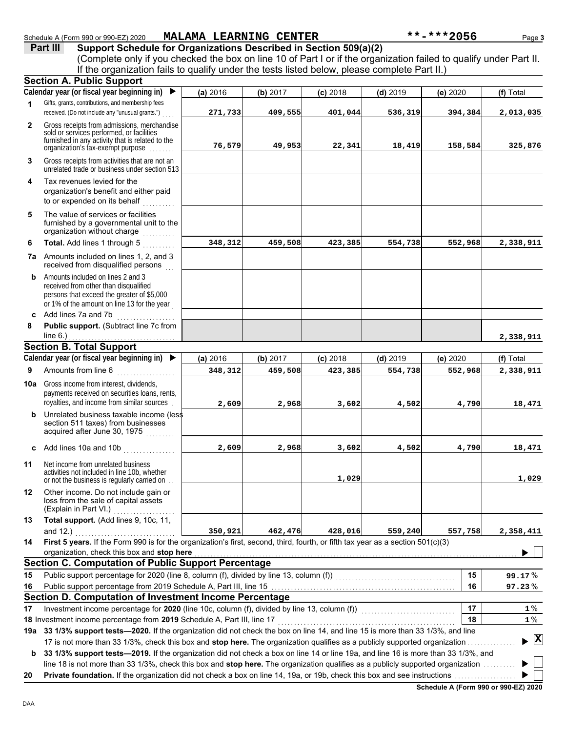**Part III** Support Schedule for Organizations Described in Section 509(a)(2) (Complete only if you checked the box on line 10 of Part I or if the organization failed to qualify under Part II. **Section A. Public Support** If the organization fails to qualify under the tests listed below, please complete Part II.) ▶

|              | Calendar year (or fiscal year beginning in) ▶                                                                                                                                                                                                                   | (a) 2016 | (b) 2017 | $(c)$ 2018 | $(d)$ 2019 | (e) 2020 | (f) Total                          |
|--------------|-----------------------------------------------------------------------------------------------------------------------------------------------------------------------------------------------------------------------------------------------------------------|----------|----------|------------|------------|----------|------------------------------------|
| 1            | Gifts, grants, contributions, and membership fees<br>received. (Do not include any "unusual grants.")                                                                                                                                                           | 271,733  | 409,555  | 401,044    | 536,319    | 394,384  | 2,013,035                          |
| $\mathbf{2}$ | Gross receipts from admissions, merchandise<br>sold or services performed, or facilities<br>furnished in any activity that is related to the<br>organization's tax-exempt purpose                                                                               | 76,579   | 49,953   | 22,341     | 18,419     | 158,584  | 325,876                            |
| 3            | Gross receipts from activities that are not an<br>unrelated trade or business under section 513                                                                                                                                                                 |          |          |            |            |          |                                    |
| 4            | Tax revenues levied for the                                                                                                                                                                                                                                     |          |          |            |            |          |                                    |
|              | organization's benefit and either paid<br>to or expended on its behalf                                                                                                                                                                                          |          |          |            |            |          |                                    |
| 5            | The value of services or facilities<br>furnished by a governmental unit to the<br>organization without charge<br>.                                                                                                                                              |          |          |            |            |          |                                    |
| 6            | Total. Add lines 1 through 5                                                                                                                                                                                                                                    | 348,312  | 459,508  | 423,385    | 554,738    | 552,968  | 2,338,911                          |
|              | <b>7a</b> Amounts included on lines 1, 2, and 3<br>received from disqualified persons                                                                                                                                                                           |          |          |            |            |          |                                    |
| b            | Amounts included on lines 2 and 3<br>received from other than disqualified<br>persons that exceed the greater of \$5,000<br>or 1% of the amount on line 13 for the year                                                                                         |          |          |            |            |          |                                    |
| C            | Add lines 7a and 7b<br><u> 1986 - Johann Stoff, Amerikaansk kanton en bes</u>                                                                                                                                                                                   |          |          |            |            |          |                                    |
| 8            | Public support. (Subtract line 7c from<br>line $6.$ )                                                                                                                                                                                                           |          |          |            |            |          |                                    |
|              | <b>Section B. Total Support</b>                                                                                                                                                                                                                                 |          |          |            |            |          | 2,338,911                          |
|              | Calendar year (or fiscal year beginning in) ▶                                                                                                                                                                                                                   | (a) 2016 | (b) 2017 | $(c)$ 2018 | $(d)$ 2019 | (e) 2020 | (f) Total                          |
| 9            | Amounts from line 6<br>.                                                                                                                                                                                                                                        | 348,312  | 459,508  | 423,385    | 554,738    | 552,968  | 2,338,911                          |
|              | <b>10a</b> Gross income from interest, dividends,<br>payments received on securities loans, rents,                                                                                                                                                              |          |          |            |            |          |                                    |
|              | royalties, and income from similar sources                                                                                                                                                                                                                      | 2,609    | 2,968    | 3,602      | 4,502      | 4,790    | 18,471                             |
| b            | Unrelated business taxable income (less<br>section 511 taxes) from businesses<br>acquired after June 30, 1975                                                                                                                                                   |          |          |            |            |          |                                    |
|              | c Add lines 10a and 10b                                                                                                                                                                                                                                         | 2,609    | 2,968    | 3,602      | 4,502      | 4,790    | 18,471                             |
| 11           | Net income from unrelated business<br>activities not included in line 10b, whether<br>or not the business is regularly carried on                                                                                                                               |          |          | 1,029      |            |          | 1,029                              |
| 12           | Other income. Do not include gain or<br>loss from the sale of capital assets<br>(Explain in Part VI.)                                                                                                                                                           |          |          |            |            |          |                                    |
| 13           | Total support. (Add lines 9, 10c, 11,                                                                                                                                                                                                                           |          |          |            |            |          |                                    |
|              | and $12.$ )                                                                                                                                                                                                                                                     | 350,921  | 462,476  | 428,016    | 559,240    | 557,758  | 2,358,411                          |
| 14           | First 5 years. If the Form 990 is for the organization's first, second, third, fourth, or fifth tax year as a section 501(c)(3)                                                                                                                                 |          |          |            |            |          |                                    |
|              | organization, check this box and stop here<br><b>Section C. Computation of Public Support Percentage</b>                                                                                                                                                        |          |          |            |            |          |                                    |
| 15           | Public support percentage for 2020 (line 8, column (f), divided by line 13, column (f)) [[[[[[[[[[[[[[[[[[[[[                                                                                                                                                   |          |          |            |            | 15       | 99.17%                             |
| 16           |                                                                                                                                                                                                                                                                 |          |          |            |            | 16       | 97.23%                             |
|              | <b>Section D. Computation of Investment Income Percentage</b>                                                                                                                                                                                                   |          |          |            |            |          |                                    |
| 17           | Investment income percentage for 2020 (line 10c, column (f), divided by line 13, column (f)) [[[[[[[[[[[[[[[[                                                                                                                                                   |          |          |            |            | 17       | $1\%$                              |
|              | 18 Investment income percentage from 2019 Schedule A, Part III, line 17                                                                                                                                                                                         |          |          |            |            | 18       | $1\%$                              |
|              | 19a 33 1/3% support tests-2020. If the organization did not check the box on line 14, and line 15 is more than 33 1/3%, and line                                                                                                                                |          |          |            |            |          |                                    |
| b            | 17 is not more than 33 1/3%, check this box and stop here. The organization qualifies as a publicly supported organization<br>33 1/3% support tests-2019. If the organization did not check a box on line 14 or line 19a, and line 16 is more than 33 1/3%, and |          |          |            |            |          | $\blacktriangleright$ $\mathbf{X}$ |
|              | line 18 is not more than 33 1/3%, check this box and stop here. The organization qualifies as a publicly supported organization.                                                                                                                                |          |          |            |            |          |                                    |
| 20           | Private foundation. If the organization did not check a box on line 14, 19a, or 19b, check this box and see instructions                                                                                                                                        |          |          |            |            |          |                                    |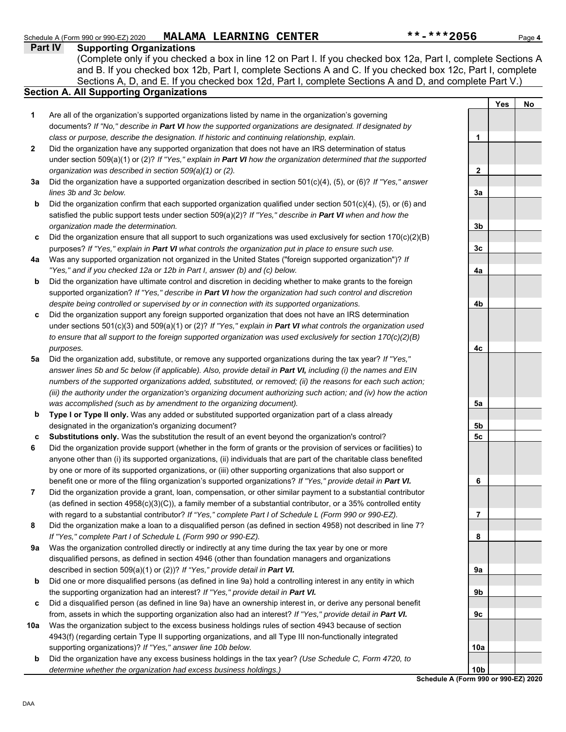#### **Schedule A (Form 990 or 990-EZ) 2020 Part IV Supporting Organizations** Sections A, D, and E. If you checked box 12d, Part I, complete Sections A and D, and complete Part V.) Schedule A (Form 990 or 990-EZ) 2020 **MALAMA LEARNING CENTER** \*\*\*\*\*\*\*\*\*\*\*\*\*\*2056 Page 4 **Section A. All Supporting Organizations** (Complete only if you checked a box in line 12 on Part I. If you checked box 12a, Part I, complete Sections A and B. If you checked box 12b, Part I, complete Sections A and C. If you checked box 12c, Part I, complete Are all of the organization's supported organizations listed by name in the organization's governing documents? *If "No," describe in Part VI how the supported organizations are designated. If designated by class or purpose, describe the designation. If historic and continuing relationship, explain.* Did the organization have any supported organization that does not have an IRS determination of status under section 509(a)(1) or (2)? *If "Yes," explain in Part VI how the organization determined that the supported organization was described in section 509(a)(1) or (2).* **1 2 3a** Did the organization have a supported organization described in section 501(c)(4), (5), or (6)? *If "Yes," answer* **b c** Did the organization ensure that all support to such organizations was used exclusively for section 170(c)(2)(B) **4a** Was any supported organization not organized in the United States ("foreign supported organization")? *If* **b c** Did the organization support any foreign supported organization that does not have an IRS determination **5a** Did the organization add, substitute, or remove any supported organizations during the tax year? *If "Yes,"* **b c 6 7 8 9a b c** Did a disqualified person (as defined in line 9a) have an ownership interest in, or derive any personal benefit **10a b** *lines 3b and 3c below.* Did the organization confirm that each supported organization qualified under section 501(c)(4), (5), or (6) and satisfied the public support tests under section 509(a)(2)? *If "Yes," describe in Part VI when and how the organization made the determination.* purposes? *If "Yes," explain in Part VI what controls the organization put in place to ensure such use. "Yes," and if you checked 12a or 12b in Part I, answer (b) and (c) below.* Did the organization have ultimate control and discretion in deciding whether to make grants to the foreign supported organization? *If "Yes," describe in Part VI how the organization had such control and discretion despite being controlled or supervised by or in connection with its supported organizations.* under sections 501(c)(3) and 509(a)(1) or (2)? *If "Yes," explain in Part VI what controls the organization used to ensure that all support to the foreign supported organization was used exclusively for section 170(c)(2)(B) purposes. answer lines 5b and 5c below (if applicable). Also, provide detail in Part VI, including (i) the names and EIN numbers of the supported organizations added, substituted, or removed; (ii) the reasons for each such action; (iii) the authority under the organization's organizing document authorizing such action; and (iv) how the action was accomplished (such as by amendment to the organizing document).* **Type I or Type II only.** Was any added or substituted supported organization part of a class already designated in the organization's organizing document? **Substitutions only.** Was the substitution the result of an event beyond the organization's control? Did the organization provide support (whether in the form of grants or the provision of services or facilities) to anyone other than (i) its supported organizations, (ii) individuals that are part of the charitable class benefited by one or more of its supported organizations, or (iii) other supporting organizations that also support or benefit one or more of the filing organization's supported organizations? *If "Yes," provide detail in Part VI.* Did the organization provide a grant, loan, compensation, or other similar payment to a substantial contributor (as defined in section 4958(c)(3)(C)), a family member of a substantial contributor, or a 35% controlled entity with regard to a substantial contributor? *If "Yes," complete Part I of Schedule L (Form 990 or 990-EZ).* Did the organization make a loan to a disqualified person (as defined in section 4958) not described in line 7? *If "Yes," complete Part I of Schedule L (Form 990 or 990-EZ).* Was the organization controlled directly or indirectly at any time during the tax year by one or more disqualified persons, as defined in section 4946 (other than foundation managers and organizations described in section 509(a)(1) or (2))? *If "Yes," provide detail in Part VI.* Did one or more disqualified persons (as defined in line 9a) hold a controlling interest in any entity in which the supporting organization had an interest? *If "Yes," provide detail in Part VI.* from, assets in which the supporting organization also had an interest? *If "Yes," provide detail in Part VI.* Was the organization subject to the excess business holdings rules of section 4943 because of section 4943(f) (regarding certain Type II supporting organizations, and all Type III non-functionally integrated supporting organizations)? *If "Yes," answer line 10b below.* Did the organization have any excess business holdings in the tax year? *(Use Schedule C, Form 4720, to determine whether the organization had excess business holdings.)* **Yes No 1 2 3a 3b 3c 4a 4b 4c 5a 5b 5c 6 7 8 9a 9b 9c 10a 10b**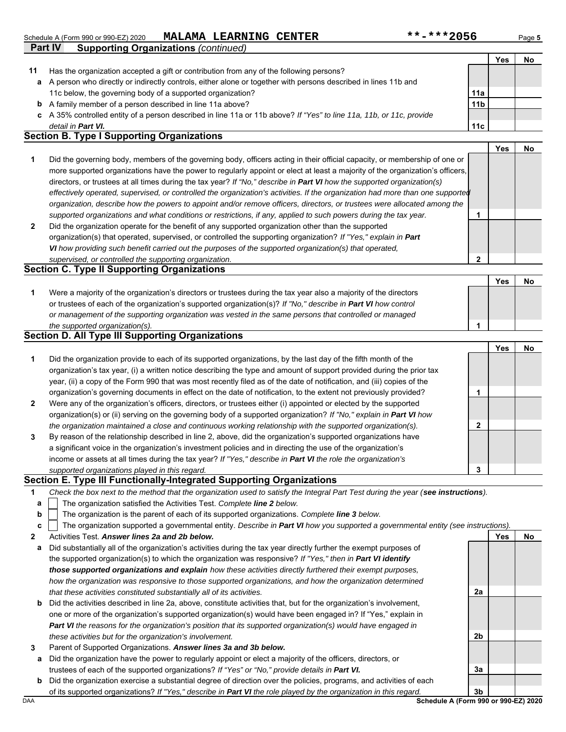|    | Part IV<br><b>Supporting Organizations (continued)</b>                                                                                                                                                                                                                 |                 |     |           |
|----|------------------------------------------------------------------------------------------------------------------------------------------------------------------------------------------------------------------------------------------------------------------------|-----------------|-----|-----------|
|    |                                                                                                                                                                                                                                                                        |                 | Yes | No        |
| 11 | Has the organization accepted a gift or contribution from any of the following persons?                                                                                                                                                                                |                 |     |           |
| a  | A person who directly or indirectly controls, either alone or together with persons described in lines 11b and                                                                                                                                                         |                 |     |           |
|    | 11c below, the governing body of a supported organization?                                                                                                                                                                                                             | 11a             |     |           |
| b  | A family member of a person described in line 11a above?                                                                                                                                                                                                               | 11 <sub>b</sub> |     |           |
| C. | A 35% controlled entity of a person described in line 11a or 11b above? If "Yes" to line 11a, 11b, or 11c, provide                                                                                                                                                     |                 |     |           |
|    | detail in Part VI.                                                                                                                                                                                                                                                     | 11c             |     |           |
|    | <b>Section B. Type I Supporting Organizations</b>                                                                                                                                                                                                                      |                 |     |           |
|    |                                                                                                                                                                                                                                                                        |                 | Yes | <b>No</b> |
|    | Did the governing body, members of the governing body, officers acting in their official capacity, or membership of one or<br>and a complete that the series of the complete and the control of the final control of the control of the final of the final of $\theta$ |                 |     |           |

- **2** *supported organizations and what conditions or restrictions, if any, applied to such powers during the tax year. organization, describe how the powers to appoint and/or remove officers, directors, or trustees were allocated among the effectively operated, supervised, or controlled the organization's activities. If the organization had more than one supported* directors, or trustees at all times during the tax year? *If "No," describe in Part VI how the supported organization(s)* more supported organizations have the power to regularly appoint or elect at least a majority of the organization's officers, Did the organization operate for the benefit of any supported organization other than the supported **1**
- organization(s) that operated, supervised, or controlled the supporting organization? *If "Yes," explain in Part VI how providing such benefit carried out the purposes of the supported organization(s) that operated, supervised, or controlled the supporting organization.*

## **Section C. Type II Supporting Organizations**

Were a majority of the organization's directors or trustees during the tax year also a majority of the directors or trustees of each of the organization's supported organization(s)? *If "No," describe in Part VI how control* **1** *or management of the supporting organization was vested in the same persons that controlled or managed the supported organization(s).* **Yes No 1**

## **Section D. All Type III Supporting Organizations**

|                |                                                                                                                        |   | Yes | No |
|----------------|------------------------------------------------------------------------------------------------------------------------|---|-----|----|
| 1              | Did the organization provide to each of its supported organizations, by the last day of the fifth month of the         |   |     |    |
|                | organization's tax year, (i) a written notice describing the type and amount of support provided during the prior tax  |   |     |    |
|                | year, (ii) a copy of the Form 990 that was most recently filed as of the date of notification, and (iii) copies of the |   |     |    |
|                | organization's governing documents in effect on the date of notification, to the extent not previously provided?       |   |     |    |
| $\overline{2}$ | Were any of the organization's officers, directors, or trustees either (i) appointed or elected by the supported       |   |     |    |
|                | organization(s) or (ii) serving on the governing body of a supported organization? If "No," explain in Part VI how     |   |     |    |
|                | the organization maintained a close and continuous working relationship with the supported organization(s).            | າ |     |    |
| 3              | By reason of the relationship described in line 2, above, did the organization's supported organizations have          |   |     |    |
|                | a significant voice in the organization's investment policies and in directing the use of the organization's           |   |     |    |
|                | income or assets at all times during the tax year? If "Yes," describe in Part VI the role the organization's           |   |     |    |
|                | supported organizations played in this regard.                                                                         | 3 |     |    |

## **Section E. Type III Functionally-Integrated Supporting Organizations**

| Check the box next to the method that the organization used to satisfy the Integral Part Test during the year (see instructions). |  |
|-----------------------------------------------------------------------------------------------------------------------------------|--|
|-----------------------------------------------------------------------------------------------------------------------------------|--|

- The organization satisfied the Activities Test. *Complete line 2 below.* **a**
- The organization is the parent of each of its supported organizations. *Complete line 3 below.* **b**

|  |  |  | : The organization supported a governmental entity. Describe in Part VI how you supported a governmental entity (see instructions). |  |  |
|--|--|--|-------------------------------------------------------------------------------------------------------------------------------------|--|--|
|--|--|--|-------------------------------------------------------------------------------------------------------------------------------------|--|--|

- **2** Activities Test. *Answer lines 2a and 2b below.*
- **a** Did substantially all of the organization's activities during the tax year directly further the exempt purposes of the supported organization(s) to which the organization was responsive? *If "Yes," then in Part VI identify those supported organizations and explain how these activities directly furthered their exempt purposes, how the organization was responsive to those supported organizations, and how the organization determined that these activities constituted substantially all of its activities.*
- **b** Did the activities described in line 2a, above, constitute activities that, but for the organization's involvement, one or more of the organization's supported organization(s) would have been engaged in? If "Yes," explain in *Part VI the reasons for the organization's position that its supported organization(s) would have engaged in these activities but for the organization's involvement.*
- **3** Parent of Supported Organizations. *Answer lines 3a and 3b below.*
- **a** Did the organization have the power to regularly appoint or elect a majority of the officers, directors, or trustees of each of the supported organizations? *If "Yes" or "No," provide details in Part VI.*
- DAA **Schedule A (Form 990 or 990-EZ) 2020 b** Did the organization exercise a substantial degree of direction over the policies, programs, and activities of each of its supported organizations? *If "Yes," describe in Part VI the role played by the organization in this regard.*

**2a**

**2b**

**3a**

**Yes No**

**2**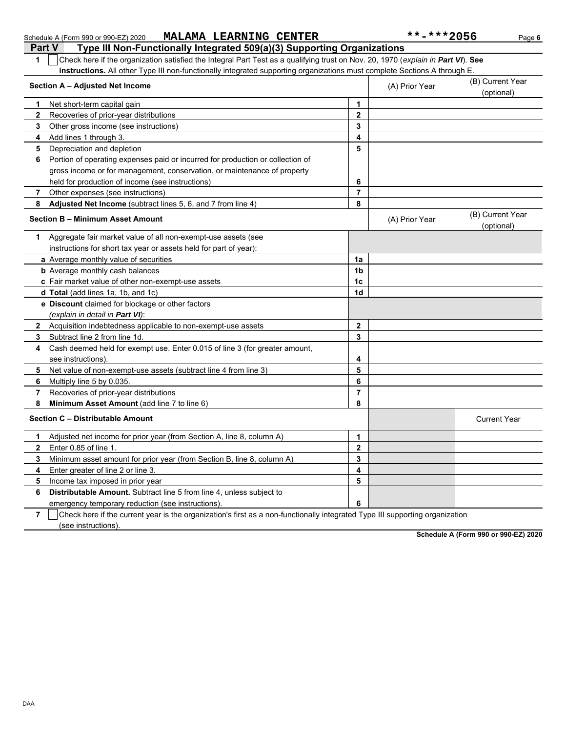| instructions. All other Type III non-functionally integrated supporting organizations must complete Sections A through E.<br>Section A - Adjusted Net Income |                | (A) Prior Year | (B) Current Year               |
|--------------------------------------------------------------------------------------------------------------------------------------------------------------|----------------|----------------|--------------------------------|
|                                                                                                                                                              |                |                | (optional)                     |
| Net short-term capital gain<br>1                                                                                                                             | 1              |                |                                |
| $\mathbf{2}$<br>Recoveries of prior-year distributions                                                                                                       | $\mathbf{2}$   |                |                                |
| 3<br>Other gross income (see instructions)                                                                                                                   | 3              |                |                                |
| Add lines 1 through 3.<br>4                                                                                                                                  | 4              |                |                                |
| Depreciation and depletion<br>5                                                                                                                              | 5              |                |                                |
| Portion of operating expenses paid or incurred for production or collection of<br>6                                                                          |                |                |                                |
| gross income or for management, conservation, or maintenance of property                                                                                     |                |                |                                |
| held for production of income (see instructions)                                                                                                             | 6              |                |                                |
| 7<br>Other expenses (see instructions)                                                                                                                       | $\overline{7}$ |                |                                |
| Adjusted Net Income (subtract lines 5, 6, and 7 from line 4)<br>8                                                                                            | 8              |                |                                |
| <b>Section B - Minimum Asset Amount</b>                                                                                                                      |                | (A) Prior Year | (B) Current Year<br>(optional) |
| Aggregate fair market value of all non-exempt-use assets (see<br>1                                                                                           |                |                |                                |
| instructions for short tax year or assets held for part of year):                                                                                            |                |                |                                |
| a Average monthly value of securities                                                                                                                        | 1a             |                |                                |
| <b>b</b> Average monthly cash balances                                                                                                                       | 1 <sub>b</sub> |                |                                |
| c Fair market value of other non-exempt-use assets                                                                                                           | 1 <sub>c</sub> |                |                                |
| d Total (add lines 1a, 1b, and 1c)                                                                                                                           | 1 <sub>d</sub> |                |                                |
| e Discount claimed for blockage or other factors                                                                                                             |                |                |                                |
| (explain in detail in Part VI):                                                                                                                              |                |                |                                |
| Acquisition indebtedness applicable to non-exempt-use assets<br>$\mathbf{2}$                                                                                 | $\mathbf{2}$   |                |                                |
| 3<br>Subtract line 2 from line 1d.                                                                                                                           | $\mathbf{3}$   |                |                                |
| Cash deemed held for exempt use. Enter 0.015 of line 3 (for greater amount,<br>4                                                                             |                |                |                                |
| see instructions).                                                                                                                                           | 4              |                |                                |
| Net value of non-exempt-use assets (subtract line 4 from line 3)<br>5                                                                                        | 5              |                |                                |
| Multiply line 5 by 0.035.<br>6                                                                                                                               | 6              |                |                                |
| 7<br>Recoveries of prior-year distributions                                                                                                                  | $\overline{7}$ |                |                                |
| 8<br>Minimum Asset Amount (add line 7 to line 6)                                                                                                             | 8              |                |                                |
| Section C - Distributable Amount                                                                                                                             |                |                | <b>Current Year</b>            |
| Adjusted net income for prior year (from Section A, line 8, column A)<br>1                                                                                   | 1              |                |                                |
| $\mathbf{2}$<br>Enter 0.85 of line 1.                                                                                                                        | $\mathbf{2}$   |                |                                |
| Minimum asset amount for prior year (from Section B, line 8, column A)<br>3                                                                                  | 3              |                |                                |
| Enter greater of line 2 or line 3.<br>4                                                                                                                      | 4              |                |                                |
| Income tax imposed in prior year<br>5                                                                                                                        | 5              |                |                                |
| Distributable Amount. Subtract line 5 from line 4, unless subject to<br>6                                                                                    |                |                |                                |
| emergency temporary reduction (see instructions)                                                                                                             | 6              |                |                                |

Check here if the current year is the organization's first as a non-functionally integrated Type III supporting organization

**Part V Type III Non-Functionally Integrated 509(a)(3) Supporting Organizations 1** Check here if the organization satisfied the Integral Part Test as a qualifying trust on Nov. 20, 1970 (*explain in Part VI*). **See** 

**Schedule A (Form 990 or 990-EZ) 2020**

**7**

(see instructions).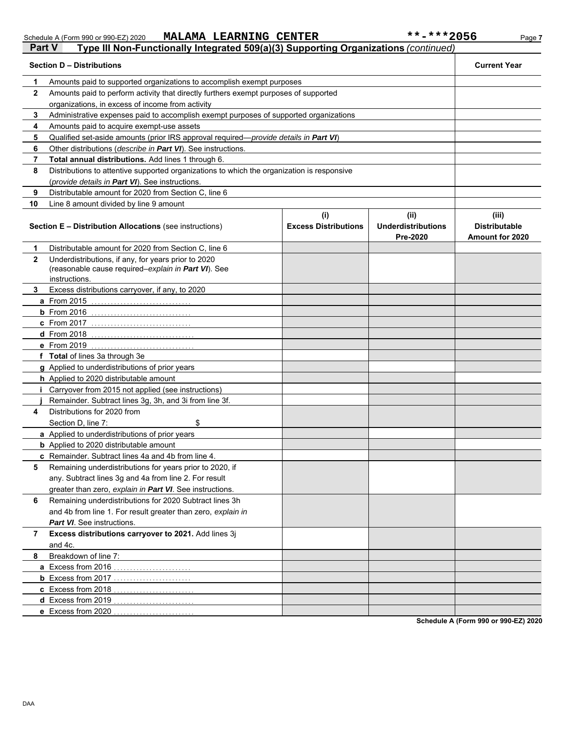| Part V        | Type III Non-Functionally Integrated 509(a)(3) Supporting Organizations (continued)                                         |                                    |                                               |                                                         |  |  |
|---------------|-----------------------------------------------------------------------------------------------------------------------------|------------------------------------|-----------------------------------------------|---------------------------------------------------------|--|--|
|               | <b>Section D - Distributions</b>                                                                                            |                                    |                                               | <b>Current Year</b>                                     |  |  |
| 1             | Amounts paid to supported organizations to accomplish exempt purposes                                                       |                                    |                                               |                                                         |  |  |
| $\mathbf{2}$  | Amounts paid to perform activity that directly furthers exempt purposes of supported                                        |                                    |                                               |                                                         |  |  |
|               | organizations, in excess of income from activity                                                                            |                                    |                                               |                                                         |  |  |
| 3             | Administrative expenses paid to accomplish exempt purposes of supported organizations                                       |                                    |                                               |                                                         |  |  |
| 4             | Amounts paid to acquire exempt-use assets                                                                                   |                                    |                                               |                                                         |  |  |
| 5             | Qualified set-aside amounts (prior IRS approval required-provide details in Part VI)                                        |                                    |                                               |                                                         |  |  |
| 6             | Other distributions (describe in Part VI). See instructions.                                                                |                                    |                                               |                                                         |  |  |
| 7             | Total annual distributions. Add lines 1 through 6.                                                                          |                                    |                                               |                                                         |  |  |
| 8             | Distributions to attentive supported organizations to which the organization is responsive                                  |                                    |                                               |                                                         |  |  |
|               | (provide details in Part VI). See instructions.                                                                             |                                    |                                               |                                                         |  |  |
| 9             | Distributable amount for 2020 from Section C, line 6                                                                        |                                    |                                               |                                                         |  |  |
| 10            | Line 8 amount divided by line 9 amount                                                                                      |                                    |                                               |                                                         |  |  |
|               | <b>Section E - Distribution Allocations (see instructions)</b>                                                              | (i)<br><b>Excess Distributions</b> | (ii)<br><b>Underdistributions</b><br>Pre-2020 | (iii)<br><b>Distributable</b><br><b>Amount for 2020</b> |  |  |
| 1             | Distributable amount for 2020 from Section C, line 6                                                                        |                                    |                                               |                                                         |  |  |
| $\mathbf{2}$  | Underdistributions, if any, for years prior to 2020<br>(reasonable cause required-explain in Part VI). See<br>instructions. |                                    |                                               |                                                         |  |  |
| 3             | Excess distributions carryover, if any, to 2020                                                                             |                                    |                                               |                                                         |  |  |
|               | <b>a</b> From 2015                                                                                                          |                                    |                                               |                                                         |  |  |
| $b$ From 2016 |                                                                                                                             |                                    |                                               |                                                         |  |  |
|               | <b>c</b> From 2017                                                                                                          |                                    |                                               |                                                         |  |  |
|               | <b>d</b> From 2018                                                                                                          |                                    |                                               |                                                         |  |  |
|               | <b>e</b> From 2019                                                                                                          |                                    |                                               |                                                         |  |  |
|               | f Total of lines 3a through 3e                                                                                              |                                    |                                               |                                                         |  |  |
|               | g Applied to underdistributions of prior years                                                                              |                                    |                                               |                                                         |  |  |
|               | <b>h</b> Applied to 2020 distributable amount                                                                               |                                    |                                               |                                                         |  |  |
|               | <i>i</i> Carryover from 2015 not applied (see instructions)                                                                 |                                    |                                               |                                                         |  |  |
|               | Remainder. Subtract lines 3g, 3h, and 3i from line 3f.                                                                      |                                    |                                               |                                                         |  |  |
| 4             | Distributions for 2020 from                                                                                                 |                                    |                                               |                                                         |  |  |
|               | \$<br>Section D, line 7:                                                                                                    |                                    |                                               |                                                         |  |  |
|               | a Applied to underdistributions of prior years                                                                              |                                    |                                               |                                                         |  |  |
|               | <b>b</b> Applied to 2020 distributable amount                                                                               |                                    |                                               |                                                         |  |  |
|               | c Remainder. Subtract lines 4a and 4b from line 4.                                                                          |                                    |                                               |                                                         |  |  |
| 5             | Remaining underdistributions for years prior to 2020, if                                                                    |                                    |                                               |                                                         |  |  |
|               | any. Subtract lines 3g and 4a from line 2. For result                                                                       |                                    |                                               |                                                         |  |  |
| 6             | greater than zero, explain in Part VI. See instructions.<br>Remaining underdistributions for 2020 Subtract lines 3h         |                                    |                                               |                                                         |  |  |
|               | and 4b from line 1. For result greater than zero, explain in                                                                |                                    |                                               |                                                         |  |  |
|               | Part VI. See instructions.                                                                                                  |                                    |                                               |                                                         |  |  |
| 7             | Excess distributions carryover to 2021. Add lines 3j                                                                        |                                    |                                               |                                                         |  |  |
|               | and 4c.                                                                                                                     |                                    |                                               |                                                         |  |  |
| 8             | Breakdown of line 7:                                                                                                        |                                    |                                               |                                                         |  |  |
|               | a Excess from 2016                                                                                                          |                                    |                                               |                                                         |  |  |
|               | <b>b</b> Excess from 2017                                                                                                   |                                    |                                               |                                                         |  |  |
|               | c Excess from 2018                                                                                                          |                                    |                                               |                                                         |  |  |
|               | d Excess from 2019                                                                                                          |                                    |                                               |                                                         |  |  |
|               | e Excess from 2020                                                                                                          |                                    |                                               |                                                         |  |  |

**Schedule A (Form 990 or 990-EZ) 2020**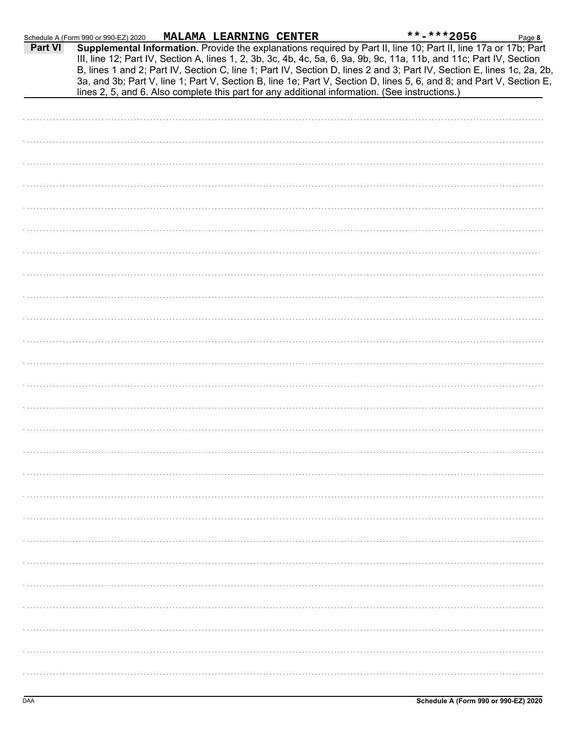|         | Schedule A (Form 990 or 990-EZ) 2020                                                           | MALAMA LEARNING CENTER |  | $***$ -***2056                                                                                                                                                                                                                                                                                                                                                                                                                                                                            | Page 8 |
|---------|------------------------------------------------------------------------------------------------|------------------------|--|-------------------------------------------------------------------------------------------------------------------------------------------------------------------------------------------------------------------------------------------------------------------------------------------------------------------------------------------------------------------------------------------------------------------------------------------------------------------------------------------|--------|
| Part VI |                                                                                                |                        |  | Supplemental Information. Provide the explanations required by Part II, line 10; Part II, line 17a or 17b; Part<br>III, line 12; Part IV, Section A, lines 1, 2, 3b, 3c, 4b, 4c, 5a, 6, 9a, 9b, 9c, 11a, 11b, and 11c; Part IV, Section<br>B, lines 1 and 2; Part IV, Section C, line 1; Part IV, Section D, lines 2 and 3; Part IV, Section E, lines 1c, 2a, 2b,<br>3a, and 3b; Part V, line 1; Part V, Section B, line 1e; Part V, Section D, lines 5, 6, and 8; and Part V, Section E, |        |
|         | lines 2, 5, and 6. Also complete this part for any additional information. (See instructions.) |                        |  |                                                                                                                                                                                                                                                                                                                                                                                                                                                                                           |        |
|         |                                                                                                |                        |  |                                                                                                                                                                                                                                                                                                                                                                                                                                                                                           |        |
|         |                                                                                                |                        |  |                                                                                                                                                                                                                                                                                                                                                                                                                                                                                           |        |
|         |                                                                                                |                        |  |                                                                                                                                                                                                                                                                                                                                                                                                                                                                                           |        |
|         |                                                                                                |                        |  |                                                                                                                                                                                                                                                                                                                                                                                                                                                                                           |        |
|         |                                                                                                |                        |  |                                                                                                                                                                                                                                                                                                                                                                                                                                                                                           |        |
|         |                                                                                                |                        |  |                                                                                                                                                                                                                                                                                                                                                                                                                                                                                           |        |
|         |                                                                                                |                        |  |                                                                                                                                                                                                                                                                                                                                                                                                                                                                                           |        |
|         |                                                                                                |                        |  |                                                                                                                                                                                                                                                                                                                                                                                                                                                                                           |        |
|         |                                                                                                |                        |  |                                                                                                                                                                                                                                                                                                                                                                                                                                                                                           |        |
|         |                                                                                                |                        |  |                                                                                                                                                                                                                                                                                                                                                                                                                                                                                           |        |
|         |                                                                                                |                        |  |                                                                                                                                                                                                                                                                                                                                                                                                                                                                                           |        |
|         |                                                                                                |                        |  |                                                                                                                                                                                                                                                                                                                                                                                                                                                                                           |        |
|         |                                                                                                |                        |  |                                                                                                                                                                                                                                                                                                                                                                                                                                                                                           |        |
|         |                                                                                                |                        |  |                                                                                                                                                                                                                                                                                                                                                                                                                                                                                           |        |
|         |                                                                                                |                        |  |                                                                                                                                                                                                                                                                                                                                                                                                                                                                                           |        |
|         |                                                                                                |                        |  |                                                                                                                                                                                                                                                                                                                                                                                                                                                                                           |        |
|         |                                                                                                |                        |  |                                                                                                                                                                                                                                                                                                                                                                                                                                                                                           |        |
|         |                                                                                                |                        |  |                                                                                                                                                                                                                                                                                                                                                                                                                                                                                           |        |
|         |                                                                                                |                        |  |                                                                                                                                                                                                                                                                                                                                                                                                                                                                                           |        |
|         |                                                                                                |                        |  |                                                                                                                                                                                                                                                                                                                                                                                                                                                                                           |        |
|         |                                                                                                |                        |  |                                                                                                                                                                                                                                                                                                                                                                                                                                                                                           |        |
|         |                                                                                                |                        |  |                                                                                                                                                                                                                                                                                                                                                                                                                                                                                           |        |
|         |                                                                                                |                        |  |                                                                                                                                                                                                                                                                                                                                                                                                                                                                                           |        |
|         |                                                                                                |                        |  |                                                                                                                                                                                                                                                                                                                                                                                                                                                                                           |        |
|         |                                                                                                |                        |  |                                                                                                                                                                                                                                                                                                                                                                                                                                                                                           |        |
|         |                                                                                                |                        |  |                                                                                                                                                                                                                                                                                                                                                                                                                                                                                           |        |
|         |                                                                                                |                        |  |                                                                                                                                                                                                                                                                                                                                                                                                                                                                                           |        |
|         |                                                                                                |                        |  |                                                                                                                                                                                                                                                                                                                                                                                                                                                                                           |        |
|         |                                                                                                |                        |  |                                                                                                                                                                                                                                                                                                                                                                                                                                                                                           |        |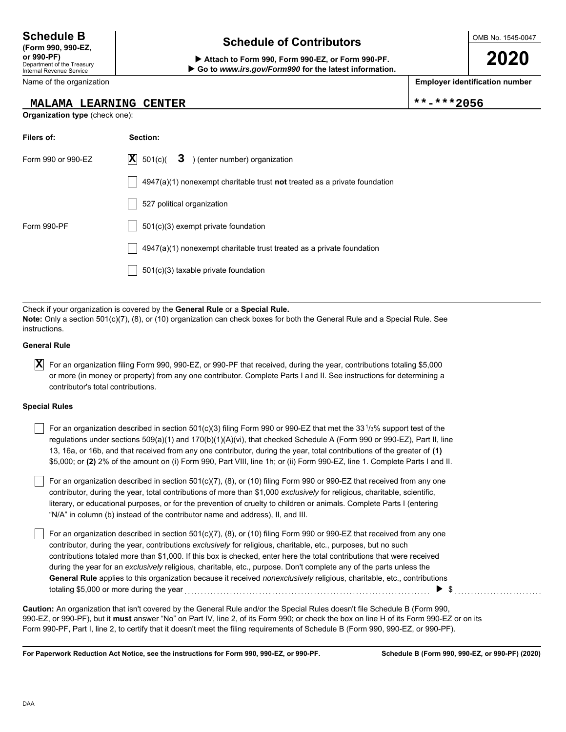## Department of the Treasury Internal Revenue Service

Name of the organization

## **MALAMA LEARNING CENTER**  $|***2056$

**Organization type** (check one):

## **Schedule of Contributors Schedule B**

**or 990-PF) Attach to Form 990, Form 990-EZ, or Form 990-PF. Go to** *www.irs.gov/Form990* **for the latest information.** OMB No. 1545-0047

**2020**

**Employer identification number**

| Filers of:         | Section:                                                                    |
|--------------------|-----------------------------------------------------------------------------|
| Form 990 or 990-EZ | $ \mathbf{X} $ 501(c)( 3) (enter number) organization                       |
|                    | $4947(a)(1)$ nonexempt charitable trust not treated as a private foundation |
|                    | 527 political organization                                                  |
| Form 990-PF        | 501(c)(3) exempt private foundation                                         |
|                    | $4947(a)(1)$ nonexempt charitable trust treated as a private foundation     |
|                    | $501(c)(3)$ taxable private foundation                                      |

Check if your organization is covered by the **General Rule** or a **Special Rule. Note:** Only a section 501(c)(7), (8), or (10) organization can check boxes for both the General Rule and a Special Rule. See instructions.

### **General Rule**

 $\overline{\textbf{X}}$  For an organization filing Form 990, 990-EZ, or 990-PF that received, during the year, contributions totaling \$5,000 or more (in money or property) from any one contributor. Complete Parts I and II. See instructions for determining a contributor's total contributions.

### **Special Rules**

For an organization described in section 501(c)(3) filing Form 990 or 990-EZ that met the 33<sup>1</sup>/<sub>3</sub>% support test of the regulations under sections 509(a)(1) and 170(b)(1)(A)(vi), that checked Schedule A (Form 990 or 990-EZ), Part II, line 13, 16a, or 16b, and that received from any one contributor, during the year, total contributions of the greater of **(1)** \$5,000; or **(2)** 2% of the amount on (i) Form 990, Part VIII, line 1h; or (ii) Form 990-EZ, line 1. Complete Parts I and II.

literary, or educational purposes, or for the prevention of cruelty to children or animals. Complete Parts I (entering For an organization described in section 501(c)(7), (8), or (10) filing Form 990 or 990-EZ that received from any one contributor, during the year, total contributions of more than \$1,000 *exclusively* for religious, charitable, scientific, "N/A" in column (b) instead of the contributor name and address), II, and III.

For an organization described in section 501(c)(7), (8), or (10) filing Form 990 or 990-EZ that received from any one contributor, during the year, contributions *exclusively* for religious, charitable, etc., purposes, but no such contributions totaled more than \$1,000. If this box is checked, enter here the total contributions that were received during the year for an *exclusively* religious, charitable, etc., purpose. Don't complete any of the parts unless the **General Rule** applies to this organization because it received *nonexclusively* religious, charitable, etc., contributions totaling \$5,000 or more during the year  $\ldots$  and  $\ldots$  are set all contained and  $\qquad \qquad$  \$  $\ldots$   $\qquad \ldots$ 

990-EZ, or 990-PF), but it **must** answer "No" on Part IV, line 2, of its Form 990; or check the box on line H of its Form 990-EZ or on its Form 990-PF, Part I, line 2, to certify that it doesn't meet the filing requirements of Schedule B (Form 990, 990-EZ, or 990-PF). **Caution:** An organization that isn't covered by the General Rule and/or the Special Rules doesn't file Schedule B (Form 990,

**For Paperwork Reduction Act Notice, see the instructions for Form 990, 990-EZ, or 990-PF.**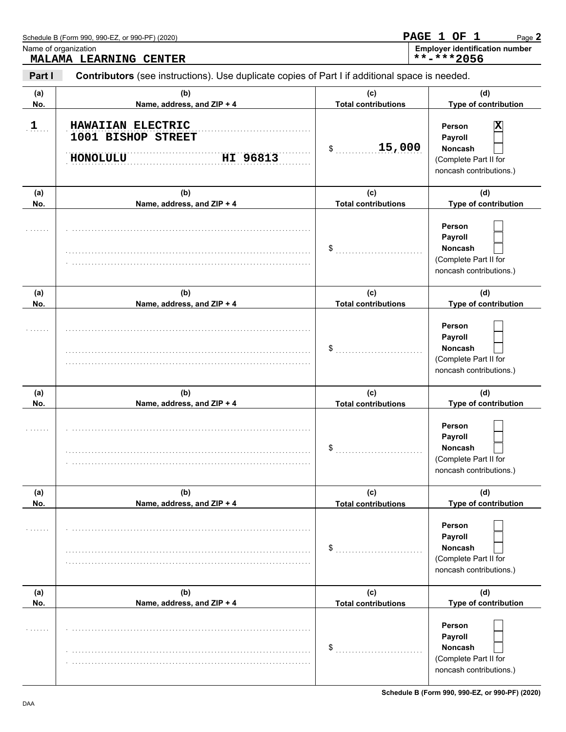|              | Schedule B (Form 990, 990-EZ, or 990-PF) (2020)                                                |                                   | PAGE 1 OF 1<br>Page 2                                                                        |
|--------------|------------------------------------------------------------------------------------------------|-----------------------------------|----------------------------------------------------------------------------------------------|
|              | Name of organization<br>MALAMA LEARNING CENTER                                                 |                                   | <b>Employer identification number</b><br>**-***2056                                          |
| Part I       | Contributors (see instructions). Use duplicate copies of Part I if additional space is needed. |                                   |                                                                                              |
| (a)<br>No.   | (b)<br>Name, address, and ZIP + 4                                                              | (c)<br><b>Total contributions</b> | (d)<br>Type of contribution                                                                  |
| $\mathbf{1}$ | HAWAIIAN ELECTRIC<br>1001 BISHOP STREET<br><b>HONOLULU</b><br>HI 96813                         | 15,000<br>\$                      | Х<br>Person<br>Payroll<br><b>Noncash</b><br>(Complete Part II for<br>noncash contributions.) |
| (a)<br>No.   | (b)<br>Name, address, and ZIP + 4                                                              | (c)<br><b>Total contributions</b> | (d)<br>Type of contribution                                                                  |
|              |                                                                                                | \$                                | Person<br>Payroll<br><b>Noncash</b><br>(Complete Part II for<br>noncash contributions.)      |
| (a)<br>No.   | (b)<br>Name, address, and ZIP + 4                                                              | (c)<br><b>Total contributions</b> | (d)<br>Type of contribution                                                                  |
|              |                                                                                                | \$                                | Person<br>Payroll<br><b>Noncash</b><br>(Complete Part II for<br>noncash contributions.)      |
| (a)<br>No.   | (b)<br>Name, address, and ZIP + 4                                                              | (c)<br><b>Total contributions</b> | (d)<br>Type of contribution                                                                  |
|              |                                                                                                | $\boldsymbol{\mathsf{s}}$         | Person<br>Payroll<br><b>Noncash</b><br>(Complete Part II for<br>noncash contributions.)      |
| (a)<br>No.   | (b)<br>Name, address, and ZIP + 4                                                              | (c)<br><b>Total contributions</b> | (d)<br>Type of contribution                                                                  |
| .            |                                                                                                | \$                                | Person<br>Payroll<br><b>Noncash</b><br>(Complete Part II for<br>noncash contributions.)      |
| (a)<br>No.   | (b)<br>Name, address, and ZIP + 4                                                              | (c)<br><b>Total contributions</b> | (d)<br>Type of contribution                                                                  |
| .            |                                                                                                | \$                                | Person<br>Payroll<br><b>Noncash</b><br>(Complete Part II for<br>noncash contributions.)      |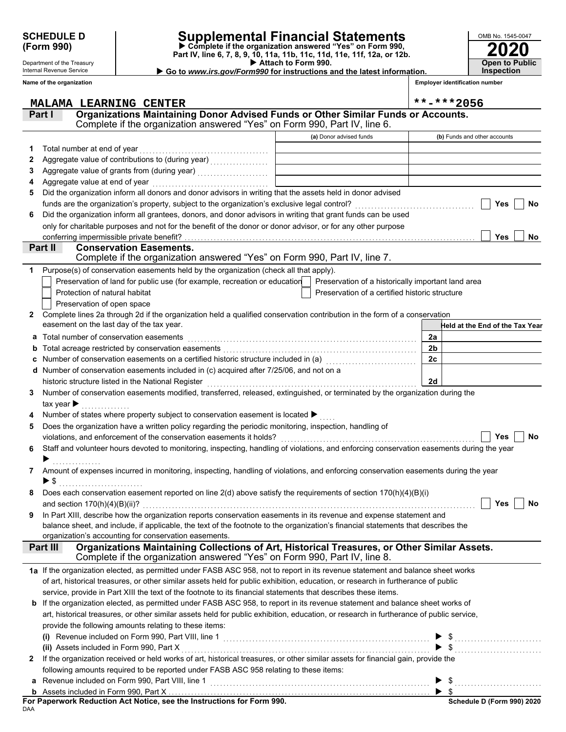Department of the Treasury Internal Revenue Service **Name of the organization**

## **SCHEDULE D Supplemental Financial Statements**

 **Attach to Form 990. (Form 990) Part IV, line 6, 7, 8, 9, 10, 11a, 11b, 11c, 11d, 11e, 11f, 12a, or 12b. Complete if the organization answered "Yes" on Form 990,**

 **Go to** *www.irs.gov/Form990* **for instructions and the latest information.**

| OMB No. 1545-0047                   |
|-------------------------------------|
| <b>2020</b>                         |
| <b>Open to Public</b><br>Inspection |

**Employer identification number**

|              | <b>MALAMA LEARNING CENTER</b>                                                                                                                                                      |                                                | $***$ -***2056                  |
|--------------|------------------------------------------------------------------------------------------------------------------------------------------------------------------------------------|------------------------------------------------|---------------------------------|
|              | Organizations Maintaining Donor Advised Funds or Other Similar Funds or Accounts.<br>Part I                                                                                        |                                                |                                 |
|              | Complete if the organization answered "Yes" on Form 990, Part IV, line 6.                                                                                                          |                                                |                                 |
|              |                                                                                                                                                                                    | (a) Donor advised funds                        | (b) Funds and other accounts    |
| 1.           | Total number at end of year                                                                                                                                                        |                                                |                                 |
| 2            |                                                                                                                                                                                    |                                                |                                 |
| 3            |                                                                                                                                                                                    |                                                |                                 |
| 4            | Aggregate value at end of year                                                                                                                                                     |                                                |                                 |
| 5            | Did the organization inform all donors and donor advisors in writing that the assets held in donor advised                                                                         |                                                |                                 |
|              | funds are the organization's property, subject to the organization's exclusive legal control?                                                                                      |                                                | Yes<br><b>No</b>                |
| 6            | Did the organization inform all grantees, donors, and donor advisors in writing that grant funds can be used                                                                       |                                                |                                 |
|              | only for charitable purposes and not for the benefit of the donor or donor advisor, or for any other purpose                                                                       |                                                |                                 |
|              | conferring impermissible private benefit?                                                                                                                                          |                                                | <b>Yes</b><br>No                |
|              | Part II<br><b>Conservation Easements.</b>                                                                                                                                          |                                                |                                 |
|              | Complete if the organization answered "Yes" on Form 990, Part IV, line 7.                                                                                                          |                                                |                                 |
| 1            | Purpose(s) of conservation easements held by the organization (check all that apply).                                                                                              |                                                |                                 |
|              | Preservation of land for public use (for example, recreation or education   Preservation of a historically important land area                                                     |                                                |                                 |
|              | Protection of natural habitat                                                                                                                                                      | Preservation of a certified historic structure |                                 |
|              | Preservation of open space                                                                                                                                                         |                                                |                                 |
| 2            | Complete lines 2a through 2d if the organization held a qualified conservation contribution in the form of a conservation                                                          |                                                |                                 |
|              | easement on the last day of the tax year.                                                                                                                                          |                                                | Held at the End of the Tax Year |
| а            | Total number of conservation easements                                                                                                                                             |                                                | 2a                              |
| b            | Total acreage restricted by conservation easements                                                                                                                                 |                                                | 2 <sub>b</sub>                  |
| c            | Number of conservation easements on a certified historic structure included in (a)                                                                                                 |                                                | 2c                              |
| d            | Number of conservation easements included in (c) acquired after 7/25/06, and not on a                                                                                              |                                                | 2d                              |
| 3            | historic structure listed in the National Register<br>Number of conservation easements modified, transferred, released, extinguished, or terminated by the organization during the |                                                |                                 |
|              |                                                                                                                                                                                    |                                                |                                 |
|              | tax year $\blacktriangleright$<br>Number of states where property subject to conservation easement is located ▶                                                                    |                                                |                                 |
| 5            | Does the organization have a written policy regarding the periodic monitoring, inspection, handling of                                                                             |                                                |                                 |
|              | violations, and enforcement of the conservation easements it holds?                                                                                                                |                                                | No<br>Yes                       |
| 6            | Staff and volunteer hours devoted to monitoring, inspecting, handling of violations, and enforcing conservation easements during the year                                          |                                                |                                 |
|              |                                                                                                                                                                                    |                                                |                                 |
| 7            | Amount of expenses incurred in monitoring, inspecting, handling of violations, and enforcing conservation easements during the year                                                |                                                |                                 |
|              | ▶ \$                                                                                                                                                                               |                                                |                                 |
|              | Does each conservation easement reported on line $2(d)$ above satisfy the requirements of section $170(h)(4)(B)(i)$                                                                |                                                |                                 |
|              | and section $170(h)(4)(B)(ii)?$                                                                                                                                                    |                                                | <b>Yes</b><br>No                |
|              | In Part XIII, describe how the organization reports conservation easements in its revenue and expense statement and                                                                |                                                |                                 |
|              | balance sheet, and include, if applicable, the text of the footnote to the organization's financial statements that describes the                                                  |                                                |                                 |
|              | organization's accounting for conservation easements.                                                                                                                              |                                                |                                 |
|              | Organizations Maintaining Collections of Art, Historical Treasures, or Other Similar Assets.<br>Part III                                                                           |                                                |                                 |
|              | Complete if the organization answered "Yes" on Form 990, Part IV, line 8.                                                                                                          |                                                |                                 |
|              | 1a If the organization elected, as permitted under FASB ASC 958, not to report in its revenue statement and balance sheet works                                                    |                                                |                                 |
|              | of art, historical treasures, or other similar assets held for public exhibition, education, or research in furtherance of public                                                  |                                                |                                 |
|              | service, provide in Part XIII the text of the footnote to its financial statements that describes these items.                                                                     |                                                |                                 |
|              | <b>b</b> If the organization elected, as permitted under FASB ASC 958, to report in its revenue statement and balance sheet works of                                               |                                                |                                 |
|              | art, historical treasures, or other similar assets held for public exhibition, education, or research in furtherance of public service,                                            |                                                |                                 |
|              | provide the following amounts relating to these items:                                                                                                                             |                                                |                                 |
|              | (i) Revenue included on Form 990, Part VIII, line 1 <b>Construction</b> extensive construction of the construction of                                                              |                                                |                                 |
|              | (ii) Assets included in Form 990, Part X                                                                                                                                           |                                                |                                 |
| $\mathbf{z}$ | If the organization received or held works of art, historical treasures, or other similar assets for financial gain, provide the                                                   |                                                |                                 |
|              | following amounts required to be reported under FASB ASC 958 relating to these items:                                                                                              |                                                |                                 |
|              |                                                                                                                                                                                    |                                                | $\frac{1}{2}$                   |
|              |                                                                                                                                                                                    |                                                |                                 |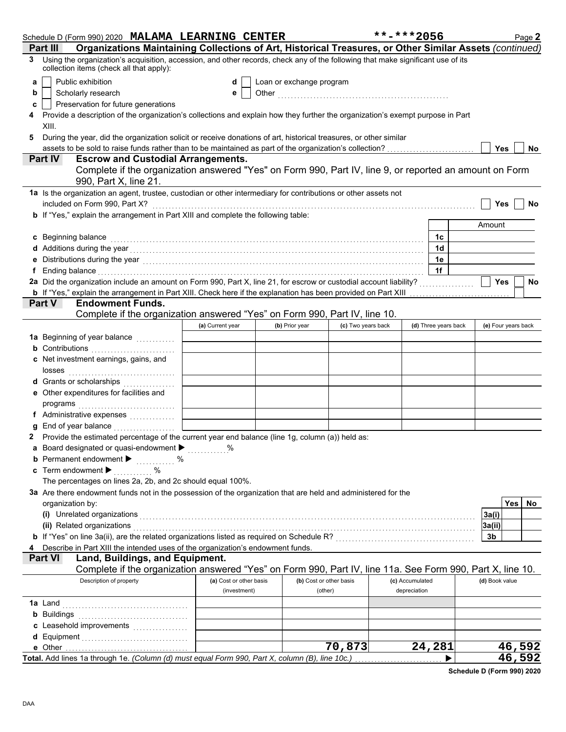|    | Schedule D (Form 990) 2020 MALAMA LEARNING CENTER                                                                                                                                                                                   |                         |                          |                         | **-***2056      |                      |                     | Page 2           |
|----|-------------------------------------------------------------------------------------------------------------------------------------------------------------------------------------------------------------------------------------|-------------------------|--------------------------|-------------------------|-----------------|----------------------|---------------------|------------------|
|    | Organizations Maintaining Collections of Art, Historical Treasures, or Other Similar Assets (continued)<br>Part II                                                                                                                  |                         |                          |                         |                 |                      |                     |                  |
| 3. | Using the organization's acquisition, accession, and other records, check any of the following that make significant use of its<br>collection items (check all that apply):                                                         |                         |                          |                         |                 |                      |                     |                  |
| a  | Public exhibition                                                                                                                                                                                                                   | d                       | Loan or exchange program |                         |                 |                      |                     |                  |
| b  | Scholarly research                                                                                                                                                                                                                  | е                       |                          |                         |                 |                      |                     |                  |
| c  | Preservation for future generations                                                                                                                                                                                                 |                         |                          |                         |                 |                      |                     |                  |
|    | Provide a description of the organization's collections and explain how they further the organization's exempt purpose in Part                                                                                                      |                         |                          |                         |                 |                      |                     |                  |
|    | XIII.                                                                                                                                                                                                                               |                         |                          |                         |                 |                      |                     |                  |
| 5  | During the year, did the organization solicit or receive donations of art, historical treasures, or other similar                                                                                                                   |                         |                          |                         |                 |                      |                     |                  |
|    |                                                                                                                                                                                                                                     |                         |                          |                         |                 |                      | Yes                 | No.              |
|    | <b>Escrow and Custodial Arrangements.</b><br><b>Part IV</b>                                                                                                                                                                         |                         |                          |                         |                 |                      |                     |                  |
|    | Complete if the organization answered "Yes" on Form 990, Part IV, line 9, or reported an amount on Form<br>990, Part X, line 21.                                                                                                    |                         |                          |                         |                 |                      |                     |                  |
|    | 1a Is the organization an agent, trustee, custodian or other intermediary for contributions or other assets not                                                                                                                     |                         |                          |                         |                 |                      |                     |                  |
|    | included on Form 990, Part X?                                                                                                                                                                                                       |                         |                          |                         |                 |                      | Yes                 | No               |
|    | b If "Yes," explain the arrangement in Part XIII and complete the following table:                                                                                                                                                  |                         |                          |                         |                 |                      |                     |                  |
|    |                                                                                                                                                                                                                                     |                         |                          |                         |                 |                      | Amount              |                  |
|    | c Beginning balance                                                                                                                                                                                                                 |                         |                          |                         |                 | 1c                   |                     |                  |
|    |                                                                                                                                                                                                                                     |                         |                          |                         |                 | 1 <sub>d</sub>       |                     |                  |
|    |                                                                                                                                                                                                                                     |                         |                          |                         |                 | 1e                   |                     |                  |
|    | f Ending balance encourance and a series of the contract of the contract of the contract of the contract of the contract of the contract of the contract of the contract of the contract of the contract of the contract of th      |                         |                          |                         |                 | 1f                   |                     |                  |
|    | 2a Did the organization include an amount on Form 990, Part X, line 21, for escrow or custodial account liability?                                                                                                                  |                         |                          |                         |                 |                      | <b>Yes</b>          | No               |
|    | <b>b</b> If "Yes," explain the arrangement in Part XIII. Check here if the explanation has been provided on Part XIII                                                                                                               |                         |                          |                         |                 |                      |                     |                  |
|    | <b>Endowment Funds.</b><br><b>Part V</b>                                                                                                                                                                                            |                         |                          |                         |                 |                      |                     |                  |
|    | Complete if the organization answered "Yes" on Form 990, Part IV, line 10.                                                                                                                                                          |                         |                          |                         |                 |                      |                     |                  |
|    |                                                                                                                                                                                                                                     | (a) Current year        | (b) Prior year           | (c) Two years back      |                 | (d) Three years back | (e) Four years back |                  |
|    | 1a Beginning of year balance <i>minimizing</i>                                                                                                                                                                                      |                         |                          |                         |                 |                      |                     |                  |
|    | <b>b</b> Contributions                                                                                                                                                                                                              |                         |                          |                         |                 |                      |                     |                  |
|    | c Net investment earnings, gains, and                                                                                                                                                                                               |                         |                          |                         |                 |                      |                     |                  |
|    | losses                                                                                                                                                                                                                              |                         |                          |                         |                 |                      |                     |                  |
|    | d Grants or scholarships                                                                                                                                                                                                            |                         |                          |                         |                 |                      |                     |                  |
|    | e Other expenditures for facilities and                                                                                                                                                                                             |                         |                          |                         |                 |                      |                     |                  |
|    |                                                                                                                                                                                                                                     |                         |                          |                         |                 |                      |                     |                  |
|    | f Administrative expenses                                                                                                                                                                                                           |                         |                          |                         |                 |                      |                     |                  |
|    | g End of year balance <i>[[[[[[[[[[[[[[[[[[[[[[[[[[[]]]]</i> ]]                                                                                                                                                                     |                         |                          |                         |                 |                      |                     |                  |
|    | 2 Provide the estimated percentage of the current year end balance (line 1g, column (a)) held as:                                                                                                                                   |                         |                          |                         |                 |                      |                     |                  |
|    | <b>a</b> Board designated or quasi-endowment $\blacktriangleright$                                                                                                                                                                  |                         |                          |                         |                 |                      |                     |                  |
|    | <b>b</b> Permanent endowment <b>&gt;</b> %                                                                                                                                                                                          |                         |                          |                         |                 |                      |                     |                  |
|    | c Term endowment $\blacktriangleright$<br>$\ldots \ldots$ %                                                                                                                                                                         |                         |                          |                         |                 |                      |                     |                  |
|    | The percentages on lines 2a, 2b, and 2c should equal 100%.                                                                                                                                                                          |                         |                          |                         |                 |                      |                     |                  |
|    | 3a Are there endowment funds not in the possession of the organization that are held and administered for the                                                                                                                       |                         |                          |                         |                 |                      |                     |                  |
|    | organization by:                                                                                                                                                                                                                    |                         |                          |                         |                 |                      |                     | Yes<br>No.       |
|    | (i) Unrelated organizations entertainment and a set of the contract of the contract of the contract of the contract of the contract of the contract of the contract of the contract of the contract of the contract of the con      |                         |                          |                         |                 |                      | 3a(i)               |                  |
|    | (ii) Related organizations <i>contraction</i> and contract the contract of the contract of the contract of the contract or the contract of the contract of the contract of the contract of the contract of the contract of the cont |                         |                          |                         |                 |                      | 3a(ii)              |                  |
|    |                                                                                                                                                                                                                                     |                         |                          |                         |                 |                      | 3b                  |                  |
|    | 4 Describe in Part XIII the intended uses of the organization's endowment funds.                                                                                                                                                    |                         |                          |                         |                 |                      |                     |                  |
|    | Land, Buildings, and Equipment.<br><b>Part VI</b>                                                                                                                                                                                   |                         |                          |                         |                 |                      |                     |                  |
|    | Complete if the organization answered "Yes" on Form 990, Part IV, line 11a. See Form 990, Part X, line 10.                                                                                                                          |                         |                          |                         |                 |                      |                     |                  |
|    | Description of property                                                                                                                                                                                                             | (a) Cost or other basis |                          | (b) Cost or other basis | (c) Accumulated |                      | (d) Book value      |                  |
|    |                                                                                                                                                                                                                                     | (investment)            |                          | (other)                 | depreciation    |                      |                     |                  |
|    |                                                                                                                                                                                                                                     |                         |                          |                         |                 |                      |                     |                  |
|    | <b>b</b> Buildings <b>Manual</b> Buildings <b>Constitution Buildings</b>                                                                                                                                                            |                         |                          |                         |                 |                      |                     |                  |
|    |                                                                                                                                                                                                                                     |                         |                          |                         |                 |                      |                     |                  |
|    |                                                                                                                                                                                                                                     |                         |                          |                         |                 |                      |                     |                  |
|    | e Other<br>Total. Add lines 1a through 1e. (Column (d) must equal Form 990, Part X, column (B), line 10c.)                                                                                                                          |                         |                          | 70,873                  |                 | 24,281               |                     | 46,592<br>46,592 |
|    |                                                                                                                                                                                                                                     |                         |                          |                         |                 |                      |                     |                  |

**Schedule D (Form 990) 2020**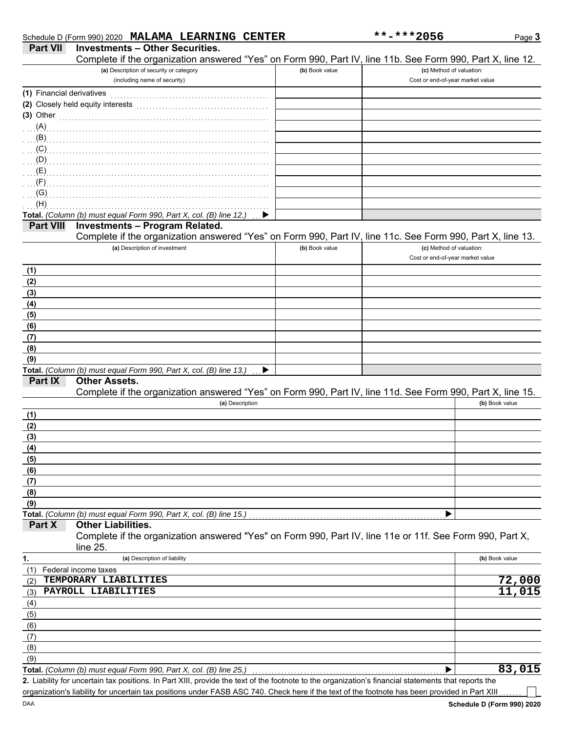|  |  | Schedule D (Form 990) 2020 MALAMA LEARNING CENTER |  |
|--|--|---------------------------------------------------|--|
|  |  |                                                   |  |

| (a) Description of security or category<br>(b) Book value<br>(c) Method of valuation:<br>(including name of security)<br>Cost or end-of-year market value<br>(1) Financial derivatives<br>(2) Closely held equity interests<br>$(3)$ Other<br>(A)<br>(B)<br>(C)<br>(D)<br>(E)<br>(F)<br>(G)<br>(H)<br>Total. (Column (b) must equal Form 990, Part X, col. (B) line 12.)<br><b>Investments - Program Related.</b><br><b>Part VIII</b><br>Complete if the organization answered "Yes" on Form 990, Part IV, line 11c. See Form 990, Part X, line 13.<br>(a) Description of investment<br>(c) Method of valuation:<br>(b) Book value<br>Cost or end-of-year market value<br>(1)<br>(2)<br>(3)<br>(4)<br>(5)<br>(6)<br>(7)<br>(8)<br>(9)<br>Total. (Column (b) must equal Form 990, Part X, col. (B) line 13.)<br>▶<br>Part IX<br><b>Other Assets.</b><br>Complete if the organization answered "Yes" on Form 990, Part IV, line 11d. See Form 990, Part X, line 15.<br>(a) Description<br>(b) Book value<br>(1)<br>(2)<br>(3)<br>(4)<br>(5)<br>(6)<br>(7)<br>(8)<br>(9)<br>Total. (Column (b) must equal Form 990, Part X, col. (B) line 15.)<br><b>Other Liabilities.</b><br>Part X<br>Complete if the organization answered "Yes" on Form 990, Part IV, line 11e or 11f. See Form 990, Part X,<br>line $25.$<br>1.<br>(b) Book value<br>(a) Description of liability<br>Federal income taxes<br>(1)<br>72,000<br>TEMPORARY LIABILITIES<br>(2)<br>PAYROLL LIABILITIES<br>(3)<br>(4)<br>(5)<br>(6)<br>(7)<br>(8)<br>(9)<br>Total. (Column (b) must equal Form 990, Part X, col. (B) line 25.)<br>2. Liability for uncertain tax positions. In Part XIII, provide the text of the footnote to the organization's financial statements that reports the | <b>Part VII</b> | <b>Investments - Other Securities.</b><br>Complete if the organization answered "Yes" on Form 990, Part IV, line 11b. See Form 990, Part X, line 12. |  |        |
|-----------------------------------------------------------------------------------------------------------------------------------------------------------------------------------------------------------------------------------------------------------------------------------------------------------------------------------------------------------------------------------------------------------------------------------------------------------------------------------------------------------------------------------------------------------------------------------------------------------------------------------------------------------------------------------------------------------------------------------------------------------------------------------------------------------------------------------------------------------------------------------------------------------------------------------------------------------------------------------------------------------------------------------------------------------------------------------------------------------------------------------------------------------------------------------------------------------------------------------------------------------------------------------------------------------------------------------------------------------------------------------------------------------------------------------------------------------------------------------------------------------------------------------------------------------------------------------------------------------------------------------------------------------------------------------------------------------------------------------------------------|-----------------|------------------------------------------------------------------------------------------------------------------------------------------------------|--|--------|
|                                                                                                                                                                                                                                                                                                                                                                                                                                                                                                                                                                                                                                                                                                                                                                                                                                                                                                                                                                                                                                                                                                                                                                                                                                                                                                                                                                                                                                                                                                                                                                                                                                                                                                                                                     |                 |                                                                                                                                                      |  |        |
|                                                                                                                                                                                                                                                                                                                                                                                                                                                                                                                                                                                                                                                                                                                                                                                                                                                                                                                                                                                                                                                                                                                                                                                                                                                                                                                                                                                                                                                                                                                                                                                                                                                                                                                                                     |                 |                                                                                                                                                      |  |        |
|                                                                                                                                                                                                                                                                                                                                                                                                                                                                                                                                                                                                                                                                                                                                                                                                                                                                                                                                                                                                                                                                                                                                                                                                                                                                                                                                                                                                                                                                                                                                                                                                                                                                                                                                                     |                 |                                                                                                                                                      |  |        |
|                                                                                                                                                                                                                                                                                                                                                                                                                                                                                                                                                                                                                                                                                                                                                                                                                                                                                                                                                                                                                                                                                                                                                                                                                                                                                                                                                                                                                                                                                                                                                                                                                                                                                                                                                     |                 |                                                                                                                                                      |  |        |
|                                                                                                                                                                                                                                                                                                                                                                                                                                                                                                                                                                                                                                                                                                                                                                                                                                                                                                                                                                                                                                                                                                                                                                                                                                                                                                                                                                                                                                                                                                                                                                                                                                                                                                                                                     |                 |                                                                                                                                                      |  |        |
|                                                                                                                                                                                                                                                                                                                                                                                                                                                                                                                                                                                                                                                                                                                                                                                                                                                                                                                                                                                                                                                                                                                                                                                                                                                                                                                                                                                                                                                                                                                                                                                                                                                                                                                                                     |                 |                                                                                                                                                      |  |        |
|                                                                                                                                                                                                                                                                                                                                                                                                                                                                                                                                                                                                                                                                                                                                                                                                                                                                                                                                                                                                                                                                                                                                                                                                                                                                                                                                                                                                                                                                                                                                                                                                                                                                                                                                                     |                 |                                                                                                                                                      |  |        |
|                                                                                                                                                                                                                                                                                                                                                                                                                                                                                                                                                                                                                                                                                                                                                                                                                                                                                                                                                                                                                                                                                                                                                                                                                                                                                                                                                                                                                                                                                                                                                                                                                                                                                                                                                     |                 |                                                                                                                                                      |  |        |
|                                                                                                                                                                                                                                                                                                                                                                                                                                                                                                                                                                                                                                                                                                                                                                                                                                                                                                                                                                                                                                                                                                                                                                                                                                                                                                                                                                                                                                                                                                                                                                                                                                                                                                                                                     |                 |                                                                                                                                                      |  |        |
|                                                                                                                                                                                                                                                                                                                                                                                                                                                                                                                                                                                                                                                                                                                                                                                                                                                                                                                                                                                                                                                                                                                                                                                                                                                                                                                                                                                                                                                                                                                                                                                                                                                                                                                                                     |                 |                                                                                                                                                      |  |        |
|                                                                                                                                                                                                                                                                                                                                                                                                                                                                                                                                                                                                                                                                                                                                                                                                                                                                                                                                                                                                                                                                                                                                                                                                                                                                                                                                                                                                                                                                                                                                                                                                                                                                                                                                                     |                 |                                                                                                                                                      |  |        |
|                                                                                                                                                                                                                                                                                                                                                                                                                                                                                                                                                                                                                                                                                                                                                                                                                                                                                                                                                                                                                                                                                                                                                                                                                                                                                                                                                                                                                                                                                                                                                                                                                                                                                                                                                     |                 |                                                                                                                                                      |  |        |
|                                                                                                                                                                                                                                                                                                                                                                                                                                                                                                                                                                                                                                                                                                                                                                                                                                                                                                                                                                                                                                                                                                                                                                                                                                                                                                                                                                                                                                                                                                                                                                                                                                                                                                                                                     |                 |                                                                                                                                                      |  |        |
|                                                                                                                                                                                                                                                                                                                                                                                                                                                                                                                                                                                                                                                                                                                                                                                                                                                                                                                                                                                                                                                                                                                                                                                                                                                                                                                                                                                                                                                                                                                                                                                                                                                                                                                                                     |                 |                                                                                                                                                      |  |        |
|                                                                                                                                                                                                                                                                                                                                                                                                                                                                                                                                                                                                                                                                                                                                                                                                                                                                                                                                                                                                                                                                                                                                                                                                                                                                                                                                                                                                                                                                                                                                                                                                                                                                                                                                                     |                 |                                                                                                                                                      |  |        |
|                                                                                                                                                                                                                                                                                                                                                                                                                                                                                                                                                                                                                                                                                                                                                                                                                                                                                                                                                                                                                                                                                                                                                                                                                                                                                                                                                                                                                                                                                                                                                                                                                                                                                                                                                     |                 |                                                                                                                                                      |  |        |
|                                                                                                                                                                                                                                                                                                                                                                                                                                                                                                                                                                                                                                                                                                                                                                                                                                                                                                                                                                                                                                                                                                                                                                                                                                                                                                                                                                                                                                                                                                                                                                                                                                                                                                                                                     |                 |                                                                                                                                                      |  |        |
|                                                                                                                                                                                                                                                                                                                                                                                                                                                                                                                                                                                                                                                                                                                                                                                                                                                                                                                                                                                                                                                                                                                                                                                                                                                                                                                                                                                                                                                                                                                                                                                                                                                                                                                                                     |                 |                                                                                                                                                      |  |        |
|                                                                                                                                                                                                                                                                                                                                                                                                                                                                                                                                                                                                                                                                                                                                                                                                                                                                                                                                                                                                                                                                                                                                                                                                                                                                                                                                                                                                                                                                                                                                                                                                                                                                                                                                                     |                 |                                                                                                                                                      |  |        |
|                                                                                                                                                                                                                                                                                                                                                                                                                                                                                                                                                                                                                                                                                                                                                                                                                                                                                                                                                                                                                                                                                                                                                                                                                                                                                                                                                                                                                                                                                                                                                                                                                                                                                                                                                     |                 |                                                                                                                                                      |  |        |
|                                                                                                                                                                                                                                                                                                                                                                                                                                                                                                                                                                                                                                                                                                                                                                                                                                                                                                                                                                                                                                                                                                                                                                                                                                                                                                                                                                                                                                                                                                                                                                                                                                                                                                                                                     |                 |                                                                                                                                                      |  |        |
|                                                                                                                                                                                                                                                                                                                                                                                                                                                                                                                                                                                                                                                                                                                                                                                                                                                                                                                                                                                                                                                                                                                                                                                                                                                                                                                                                                                                                                                                                                                                                                                                                                                                                                                                                     |                 |                                                                                                                                                      |  |        |
|                                                                                                                                                                                                                                                                                                                                                                                                                                                                                                                                                                                                                                                                                                                                                                                                                                                                                                                                                                                                                                                                                                                                                                                                                                                                                                                                                                                                                                                                                                                                                                                                                                                                                                                                                     |                 |                                                                                                                                                      |  |        |
|                                                                                                                                                                                                                                                                                                                                                                                                                                                                                                                                                                                                                                                                                                                                                                                                                                                                                                                                                                                                                                                                                                                                                                                                                                                                                                                                                                                                                                                                                                                                                                                                                                                                                                                                                     |                 |                                                                                                                                                      |  |        |
|                                                                                                                                                                                                                                                                                                                                                                                                                                                                                                                                                                                                                                                                                                                                                                                                                                                                                                                                                                                                                                                                                                                                                                                                                                                                                                                                                                                                                                                                                                                                                                                                                                                                                                                                                     |                 |                                                                                                                                                      |  |        |
|                                                                                                                                                                                                                                                                                                                                                                                                                                                                                                                                                                                                                                                                                                                                                                                                                                                                                                                                                                                                                                                                                                                                                                                                                                                                                                                                                                                                                                                                                                                                                                                                                                                                                                                                                     |                 |                                                                                                                                                      |  |        |
|                                                                                                                                                                                                                                                                                                                                                                                                                                                                                                                                                                                                                                                                                                                                                                                                                                                                                                                                                                                                                                                                                                                                                                                                                                                                                                                                                                                                                                                                                                                                                                                                                                                                                                                                                     |                 |                                                                                                                                                      |  |        |
|                                                                                                                                                                                                                                                                                                                                                                                                                                                                                                                                                                                                                                                                                                                                                                                                                                                                                                                                                                                                                                                                                                                                                                                                                                                                                                                                                                                                                                                                                                                                                                                                                                                                                                                                                     |                 |                                                                                                                                                      |  |        |
|                                                                                                                                                                                                                                                                                                                                                                                                                                                                                                                                                                                                                                                                                                                                                                                                                                                                                                                                                                                                                                                                                                                                                                                                                                                                                                                                                                                                                                                                                                                                                                                                                                                                                                                                                     |                 |                                                                                                                                                      |  |        |
|                                                                                                                                                                                                                                                                                                                                                                                                                                                                                                                                                                                                                                                                                                                                                                                                                                                                                                                                                                                                                                                                                                                                                                                                                                                                                                                                                                                                                                                                                                                                                                                                                                                                                                                                                     |                 |                                                                                                                                                      |  |        |
|                                                                                                                                                                                                                                                                                                                                                                                                                                                                                                                                                                                                                                                                                                                                                                                                                                                                                                                                                                                                                                                                                                                                                                                                                                                                                                                                                                                                                                                                                                                                                                                                                                                                                                                                                     |                 |                                                                                                                                                      |  |        |
|                                                                                                                                                                                                                                                                                                                                                                                                                                                                                                                                                                                                                                                                                                                                                                                                                                                                                                                                                                                                                                                                                                                                                                                                                                                                                                                                                                                                                                                                                                                                                                                                                                                                                                                                                     |                 |                                                                                                                                                      |  |        |
|                                                                                                                                                                                                                                                                                                                                                                                                                                                                                                                                                                                                                                                                                                                                                                                                                                                                                                                                                                                                                                                                                                                                                                                                                                                                                                                                                                                                                                                                                                                                                                                                                                                                                                                                                     |                 |                                                                                                                                                      |  |        |
|                                                                                                                                                                                                                                                                                                                                                                                                                                                                                                                                                                                                                                                                                                                                                                                                                                                                                                                                                                                                                                                                                                                                                                                                                                                                                                                                                                                                                                                                                                                                                                                                                                                                                                                                                     |                 |                                                                                                                                                      |  |        |
|                                                                                                                                                                                                                                                                                                                                                                                                                                                                                                                                                                                                                                                                                                                                                                                                                                                                                                                                                                                                                                                                                                                                                                                                                                                                                                                                                                                                                                                                                                                                                                                                                                                                                                                                                     |                 |                                                                                                                                                      |  |        |
|                                                                                                                                                                                                                                                                                                                                                                                                                                                                                                                                                                                                                                                                                                                                                                                                                                                                                                                                                                                                                                                                                                                                                                                                                                                                                                                                                                                                                                                                                                                                                                                                                                                                                                                                                     |                 |                                                                                                                                                      |  |        |
|                                                                                                                                                                                                                                                                                                                                                                                                                                                                                                                                                                                                                                                                                                                                                                                                                                                                                                                                                                                                                                                                                                                                                                                                                                                                                                                                                                                                                                                                                                                                                                                                                                                                                                                                                     |                 |                                                                                                                                                      |  |        |
|                                                                                                                                                                                                                                                                                                                                                                                                                                                                                                                                                                                                                                                                                                                                                                                                                                                                                                                                                                                                                                                                                                                                                                                                                                                                                                                                                                                                                                                                                                                                                                                                                                                                                                                                                     |                 |                                                                                                                                                      |  |        |
|                                                                                                                                                                                                                                                                                                                                                                                                                                                                                                                                                                                                                                                                                                                                                                                                                                                                                                                                                                                                                                                                                                                                                                                                                                                                                                                                                                                                                                                                                                                                                                                                                                                                                                                                                     |                 |                                                                                                                                                      |  |        |
|                                                                                                                                                                                                                                                                                                                                                                                                                                                                                                                                                                                                                                                                                                                                                                                                                                                                                                                                                                                                                                                                                                                                                                                                                                                                                                                                                                                                                                                                                                                                                                                                                                                                                                                                                     |                 |                                                                                                                                                      |  |        |
|                                                                                                                                                                                                                                                                                                                                                                                                                                                                                                                                                                                                                                                                                                                                                                                                                                                                                                                                                                                                                                                                                                                                                                                                                                                                                                                                                                                                                                                                                                                                                                                                                                                                                                                                                     |                 |                                                                                                                                                      |  |        |
|                                                                                                                                                                                                                                                                                                                                                                                                                                                                                                                                                                                                                                                                                                                                                                                                                                                                                                                                                                                                                                                                                                                                                                                                                                                                                                                                                                                                                                                                                                                                                                                                                                                                                                                                                     |                 |                                                                                                                                                      |  |        |
|                                                                                                                                                                                                                                                                                                                                                                                                                                                                                                                                                                                                                                                                                                                                                                                                                                                                                                                                                                                                                                                                                                                                                                                                                                                                                                                                                                                                                                                                                                                                                                                                                                                                                                                                                     |                 |                                                                                                                                                      |  | 11,015 |
|                                                                                                                                                                                                                                                                                                                                                                                                                                                                                                                                                                                                                                                                                                                                                                                                                                                                                                                                                                                                                                                                                                                                                                                                                                                                                                                                                                                                                                                                                                                                                                                                                                                                                                                                                     |                 |                                                                                                                                                      |  |        |
|                                                                                                                                                                                                                                                                                                                                                                                                                                                                                                                                                                                                                                                                                                                                                                                                                                                                                                                                                                                                                                                                                                                                                                                                                                                                                                                                                                                                                                                                                                                                                                                                                                                                                                                                                     |                 |                                                                                                                                                      |  |        |
|                                                                                                                                                                                                                                                                                                                                                                                                                                                                                                                                                                                                                                                                                                                                                                                                                                                                                                                                                                                                                                                                                                                                                                                                                                                                                                                                                                                                                                                                                                                                                                                                                                                                                                                                                     |                 |                                                                                                                                                      |  |        |
|                                                                                                                                                                                                                                                                                                                                                                                                                                                                                                                                                                                                                                                                                                                                                                                                                                                                                                                                                                                                                                                                                                                                                                                                                                                                                                                                                                                                                                                                                                                                                                                                                                                                                                                                                     |                 |                                                                                                                                                      |  |        |
|                                                                                                                                                                                                                                                                                                                                                                                                                                                                                                                                                                                                                                                                                                                                                                                                                                                                                                                                                                                                                                                                                                                                                                                                                                                                                                                                                                                                                                                                                                                                                                                                                                                                                                                                                     |                 |                                                                                                                                                      |  |        |
|                                                                                                                                                                                                                                                                                                                                                                                                                                                                                                                                                                                                                                                                                                                                                                                                                                                                                                                                                                                                                                                                                                                                                                                                                                                                                                                                                                                                                                                                                                                                                                                                                                                                                                                                                     |                 |                                                                                                                                                      |  |        |
|                                                                                                                                                                                                                                                                                                                                                                                                                                                                                                                                                                                                                                                                                                                                                                                                                                                                                                                                                                                                                                                                                                                                                                                                                                                                                                                                                                                                                                                                                                                                                                                                                                                                                                                                                     |                 |                                                                                                                                                      |  | 83,015 |
|                                                                                                                                                                                                                                                                                                                                                                                                                                                                                                                                                                                                                                                                                                                                                                                                                                                                                                                                                                                                                                                                                                                                                                                                                                                                                                                                                                                                                                                                                                                                                                                                                                                                                                                                                     |                 |                                                                                                                                                      |  |        |

**Schedule D (Form 990) 2020**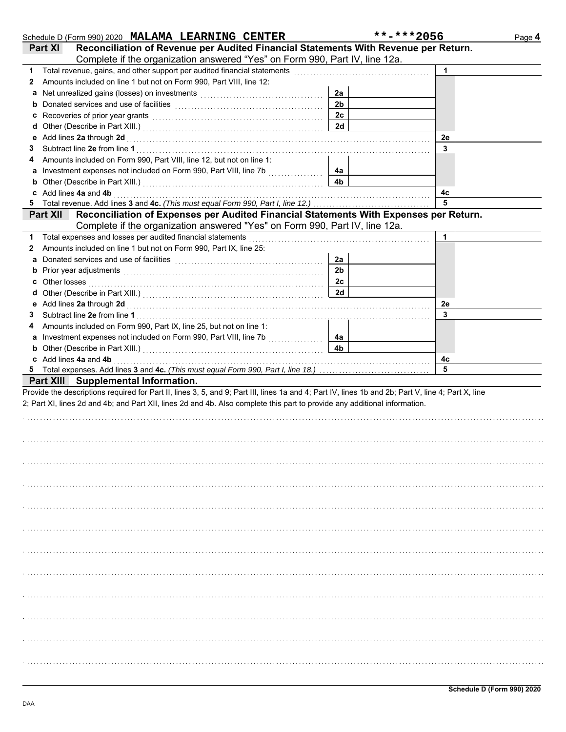|   | Schedule D (Form 990) 2020 MALAMA LEARNING CENTER                                                                                                                                                                              |                | **-***2056 | Page 4 |
|---|--------------------------------------------------------------------------------------------------------------------------------------------------------------------------------------------------------------------------------|----------------|------------|--------|
|   | Reconciliation of Revenue per Audited Financial Statements With Revenue per Return.<br><b>Part XI</b>                                                                                                                          |                |            |        |
|   | Complete if the organization answered "Yes" on Form 990, Part IV, line 12a.                                                                                                                                                    |                |            |        |
| 1 | Total revenue, gains, and other support per audited financial statements                                                                                                                                                       |                | 1          |        |
| 2 | Amounts included on line 1 but not on Form 990, Part VIII, line 12:                                                                                                                                                            |                |            |        |
| a | Net unrealized gains (losses) on investments [11] [11] Met unrealized gains (losses) on investments                                                                                                                            | 2a             |            |        |
| b |                                                                                                                                                                                                                                | 2 <sub>b</sub> |            |        |
| c | Recoveries of prior year grants [11] recovering the contract of prior year grants [11] recovering the contract of the contract of the contract of the contract of the contract of the contract of the contract of the contract | 2c             |            |        |
| d |                                                                                                                                                                                                                                | 2d             |            |        |
| е | Add lines 2a through 2d [11] Additional Property of the Additional Property of the Additional Property of Additional Property of Additional Property of Additional Property of Additional Property of Additional Property of A |                | 2e         |        |
| 3 |                                                                                                                                                                                                                                |                | 3          |        |
| 4 | Amounts included on Form 990, Part VIII, line 12, but not on line 1:                                                                                                                                                           |                |            |        |
| а | Investment expenses not included on Form 990, Part VIII, line 7b [[[[[[[[[[[[[[[[[[[[[[[[[]]]]]]]]]                                                                                                                            | 4а             |            |        |
| b |                                                                                                                                                                                                                                | 4b             |            |        |
| c | Add lines 4a and 4b                                                                                                                                                                                                            |                | 4с         |        |
| 5 |                                                                                                                                                                                                                                |                | 5          |        |
|   | Reconciliation of Expenses per Audited Financial Statements With Expenses per Return.<br><b>Part XII</b>                                                                                                                       |                |            |        |
|   | Complete if the organization answered "Yes" on Form 990, Part IV, line 12a.                                                                                                                                                    |                |            |        |
| 1 | Total expenses and losses per audited financial statements                                                                                                                                                                     |                | 1          |        |
| 2 | Amounts included on line 1 but not on Form 990, Part IX, line 25:                                                                                                                                                              |                |            |        |
| a |                                                                                                                                                                                                                                | 2a             |            |        |
| b | Prior year adjustments [11, 12] March 2014 (12, 13) March 2014 (13) March 2014 (13) March 2014 (13) March 2014                                                                                                                 | 2 <sub>b</sub> |            |        |
| c | Other losses                                                                                                                                                                                                                   | 2 <sub>c</sub> |            |        |
| d |                                                                                                                                                                                                                                | 2d             |            |        |
| е | Add lines 2a through 2d [[[[[[[[[[[[[[[[[[[[[[[[]]]]]]]]]]] Add lines 2a through 2d                                                                                                                                            |                | 2e         |        |
| 3 |                                                                                                                                                                                                                                |                | 3          |        |
| 4 | Amounts included on Form 990, Part IX, line 25, but not on line 1:                                                                                                                                                             |                |            |        |
| а |                                                                                                                                                                                                                                | 4a             |            |        |
| b |                                                                                                                                                                                                                                | 4 <sub>b</sub> |            |        |
|   | c Add lines 4a and 4b                                                                                                                                                                                                          |                | 4с         |        |
|   |                                                                                                                                                                                                                                |                | 5          |        |
|   | Part XIII Supplemental Information.                                                                                                                                                                                            |                |            |        |
|   | Provide the descriptions required for Part II, lines 3, 5, and 9; Part III, lines 1a and 4; Part IV, lines 1b and 2b; Part V, line 4; Part X, line                                                                             |                |            |        |
|   | 2; Part XI, lines 2d and 4b; and Part XII, lines 2d and 4b. Also complete this part to provide any additional information.                                                                                                     |                |            |        |
|   |                                                                                                                                                                                                                                |                |            |        |
|   |                                                                                                                                                                                                                                |                |            |        |
|   |                                                                                                                                                                                                                                |                |            |        |
|   |                                                                                                                                                                                                                                |                |            |        |
|   |                                                                                                                                                                                                                                |                |            |        |
|   |                                                                                                                                                                                                                                |                |            |        |
|   |                                                                                                                                                                                                                                |                |            |        |
|   |                                                                                                                                                                                                                                |                |            |        |
|   |                                                                                                                                                                                                                                |                |            |        |
|   |                                                                                                                                                                                                                                |                |            |        |
|   |                                                                                                                                                                                                                                |                |            |        |
|   |                                                                                                                                                                                                                                |                |            |        |
|   |                                                                                                                                                                                                                                |                |            |        |
|   |                                                                                                                                                                                                                                |                |            |        |
|   |                                                                                                                                                                                                                                |                |            |        |
|   |                                                                                                                                                                                                                                |                |            |        |
|   |                                                                                                                                                                                                                                |                |            |        |
|   |                                                                                                                                                                                                                                |                |            |        |
|   |                                                                                                                                                                                                                                |                |            |        |
|   |                                                                                                                                                                                                                                |                |            |        |
|   |                                                                                                                                                                                                                                |                |            |        |
|   |                                                                                                                                                                                                                                |                |            |        |
|   |                                                                                                                                                                                                                                |                |            |        |
|   |                                                                                                                                                                                                                                |                |            |        |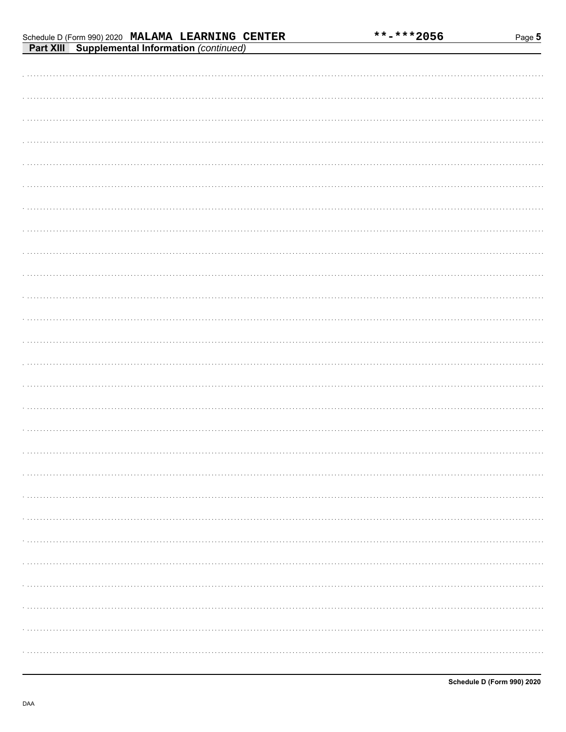Page 5

## Schedule D (Form 990) 2020 MALAMA LEARNING CENTER

| <b>Part XIII Supplemental Information</b> (continued) |
|-------------------------------------------------------|
|                                                       |
|                                                       |
|                                                       |
|                                                       |
|                                                       |
|                                                       |
|                                                       |
|                                                       |
|                                                       |
|                                                       |
|                                                       |
|                                                       |
|                                                       |
|                                                       |
|                                                       |
|                                                       |
|                                                       |
|                                                       |
|                                                       |
|                                                       |
|                                                       |
|                                                       |
|                                                       |
|                                                       |
|                                                       |
|                                                       |
|                                                       |
|                                                       |
|                                                       |
|                                                       |
|                                                       |
|                                                       |
|                                                       |
|                                                       |
|                                                       |
|                                                       |
|                                                       |
|                                                       |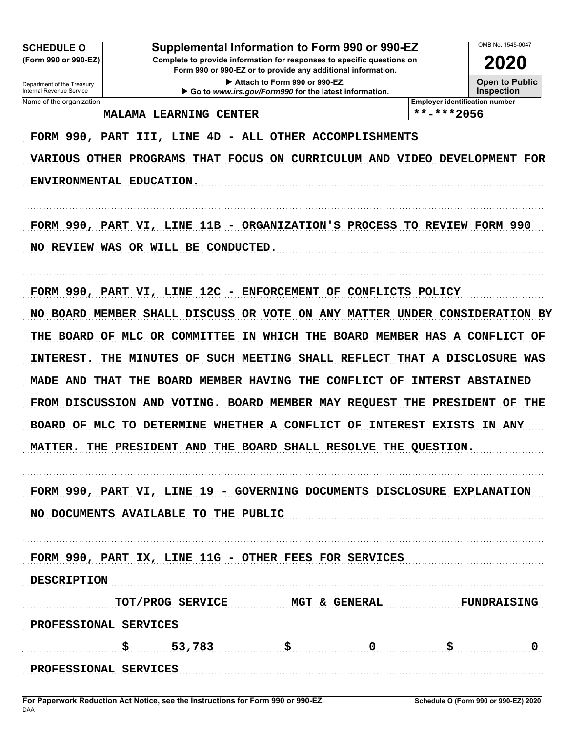| <b>SCHEDULE O</b>                                                                                                                                                             | Supplemental Information to Form 990 or 990-EZ                            |                                                                                        |                     |                                       | OMB No. 1545-0047                                |
|-------------------------------------------------------------------------------------------------------------------------------------------------------------------------------|---------------------------------------------------------------------------|----------------------------------------------------------------------------------------|---------------------|---------------------------------------|--------------------------------------------------|
| (Form 990 or 990-EZ)<br>Complete to provide information for responses to specific questions on<br><b>2020</b><br>Form 990 or 990-EZ or to provide any additional information. |                                                                           |                                                                                        |                     |                                       |                                                  |
| Department of the Treasury<br>Internal Revenue Service                                                                                                                        |                                                                           | Attach to Form 990 or 990-EZ.<br>Go to www.irs.gov/Form990 for the latest information. |                     |                                       | <b>Open to Public</b><br><b>Inspection</b>       |
| Name of the organization                                                                                                                                                      |                                                                           |                                                                                        |                     | <b>Employer identification number</b> |                                                  |
|                                                                                                                                                                               | <b>MALAMA LEARNING CENTER</b>                                             |                                                                                        |                     | $***$ -***2056                        |                                                  |
| FORM 990, PART                                                                                                                                                                | LINE 4D<br>III,                                                           | - ALL OTHER ACCOMPLISHMENTS                                                            |                     |                                       |                                                  |
|                                                                                                                                                                               | VARIOUS OTHER PROGRAMS THAT FOCUS ON CURRICULUM AND VIDEO DEVELOPMENT FOR |                                                                                        |                     |                                       |                                                  |
| ENVIRONMENTAL EDUCATION.                                                                                                                                                      |                                                                           |                                                                                        |                     |                                       |                                                  |
|                                                                                                                                                                               | FORM 990, PART VI, LINE 11B - ORGANIZATION'S PROCESS TO REVIEW FORM 990   |                                                                                        |                     |                                       |                                                  |
| NO.                                                                                                                                                                           | REVIEW WAS OR WILL BE CONDUCTED.                                          |                                                                                        |                     |                                       |                                                  |
|                                                                                                                                                                               | FORM 990, PART VI, LINE 12C - ENFORCEMENT                                 |                                                                                        | OF CONFLICTS POLICY |                                       |                                                  |
| NO.                                                                                                                                                                           | BOARD MEMBER SHALL DISCUSS OR VOTE ON ANY MATTER UNDER CONSIDERATION BY   |                                                                                        |                     |                                       |                                                  |
| <b>THE BOARD OF</b>                                                                                                                                                           | MLC OR COMMITTEE                                                          |                                                                                        |                     |                                       | IN WHICH THE BOARD MEMBER HAS A CONFLICT OF      |
| <b>INTEREST.</b><br>THE                                                                                                                                                       | <b>MINUTES</b><br>OF.                                                     |                                                                                        |                     |                                       | SUCH MEETING SHALL REFLECT THAT A DISCLOSURE WAS |
| MADE AND THAT                                                                                                                                                                 | BOARD MEMBER HAVING THE CONFLICT OF<br>THE                                |                                                                                        |                     |                                       | <b>INTERST ABSTAINED</b>                         |
|                                                                                                                                                                               | FROM DISCUSSION AND VOTING. BOARD MEMBER MAY REQUEST THE PRESIDENT        |                                                                                        |                     |                                       | THE<br>OF                                        |
| <b>BOARD OF</b><br>MLC                                                                                                                                                        | TO DETERMINE WHETHER A CONFLICT OF                                        |                                                                                        |                     | INTEREST EXISTS                       | IN ANY                                           |
| <b>MATTER.</b>                                                                                                                                                                | THE PRESIDENT AND THE BOARD SHALL RESOLVE THE QUESTION.                   |                                                                                        |                     |                                       |                                                  |
|                                                                                                                                                                               | FORM 990, PART VI, LINE 19 - GOVERNING DOCUMENTS DISCLOSURE EXPLANATION   |                                                                                        |                     |                                       |                                                  |
|                                                                                                                                                                               | NO DOCUMENTS AVAILABLE TO THE PUBLIC                                      |                                                                                        |                     |                                       |                                                  |
|                                                                                                                                                                               | FORM 990, PART IX, LINE 11G - OTHER FEES FOR SERVICES                     |                                                                                        |                     |                                       |                                                  |
| <b>DESCRIPTION</b>                                                                                                                                                            |                                                                           |                                                                                        |                     |                                       |                                                  |
|                                                                                                                                                                               | TOT/PROG SERVICE MGT & GENERAL                                            |                                                                                        |                     |                                       | <b>FUNDRAISING</b>                               |
| PROFESSIONAL SERVICES                                                                                                                                                         |                                                                           |                                                                                        |                     |                                       |                                                  |
|                                                                                                                                                                               | \$53,783                                                                  | $\ddot{\mathbf{s}}$ 0                                                                  |                     | \$                                    |                                                  |
| PROFESSIONAL SERVICES                                                                                                                                                         |                                                                           |                                                                                        |                     |                                       |                                                  |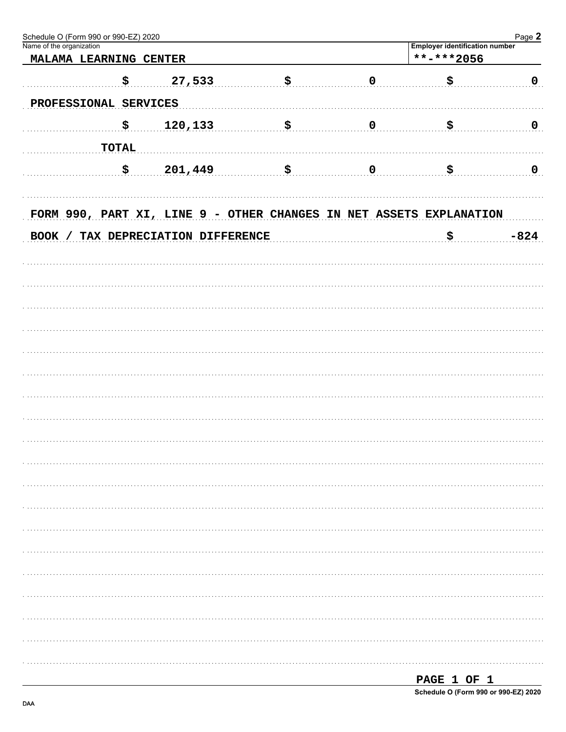| Schedule O (Form 990 or 990-EZ) 2020<br>Name of the organization |                                                                     |     |             |                                                     | Page 2         |
|------------------------------------------------------------------|---------------------------------------------------------------------|-----|-------------|-----------------------------------------------------|----------------|
| MALAMA LEARNING CENTER                                           |                                                                     |     |             | <b>Employer identification number</b><br>**-***2056 |                |
|                                                                  |                                                                     |     |             |                                                     |                |
| \$                                                               | 27,533                                                              | \$  | $\pmb{0}$   | \$                                                  | $\mathbf{0}$   |
| PROFESSIONAL SERVICES                                            |                                                                     |     |             |                                                     |                |
| \$                                                               | 120,133                                                             | \$. | $\mathbf 0$ | \$                                                  | $\overline{0}$ |
|                                                                  |                                                                     |     |             |                                                     |                |
| <b>TOTAL</b>                                                     |                                                                     |     |             |                                                     |                |
| \$                                                               | 201,449                                                             | \$  | $\mathbf 0$ | \$                                                  | $\overline{0}$ |
|                                                                  |                                                                     |     |             |                                                     |                |
|                                                                  |                                                                     |     |             |                                                     |                |
|                                                                  | FORM 990, PART XI, LINE 9 - OTHER CHANGES IN NET ASSETS EXPLANATION |     |             |                                                     |                |
|                                                                  | BOOK / TAX DEPRECIATION DIFFERENCE                                  |     |             | \$                                                  | $-824$         |
|                                                                  |                                                                     |     |             |                                                     |                |
|                                                                  |                                                                     |     |             |                                                     |                |
|                                                                  |                                                                     |     |             |                                                     |                |
|                                                                  |                                                                     |     |             |                                                     |                |
|                                                                  |                                                                     |     |             |                                                     |                |
|                                                                  |                                                                     |     |             |                                                     |                |
|                                                                  |                                                                     |     |             |                                                     |                |
|                                                                  |                                                                     |     |             |                                                     |                |
|                                                                  |                                                                     |     |             |                                                     |                |
|                                                                  |                                                                     |     |             |                                                     |                |
|                                                                  |                                                                     |     |             |                                                     |                |
|                                                                  |                                                                     |     |             |                                                     |                |
|                                                                  |                                                                     |     |             |                                                     |                |
|                                                                  |                                                                     |     |             |                                                     |                |
|                                                                  |                                                                     |     |             |                                                     |                |
|                                                                  |                                                                     |     |             |                                                     |                |
|                                                                  |                                                                     |     |             |                                                     |                |
|                                                                  |                                                                     |     |             |                                                     |                |
|                                                                  |                                                                     |     |             |                                                     |                |
|                                                                  |                                                                     |     |             |                                                     |                |
|                                                                  |                                                                     |     |             |                                                     |                |
|                                                                  |                                                                     |     |             |                                                     |                |
|                                                                  |                                                                     |     |             |                                                     |                |
|                                                                  |                                                                     |     |             |                                                     |                |
|                                                                  |                                                                     |     |             |                                                     |                |

| PAGE 1 OF 1                          |  |  |  |
|--------------------------------------|--|--|--|
| Schedule O (Form 990 or 990-EZ) 2020 |  |  |  |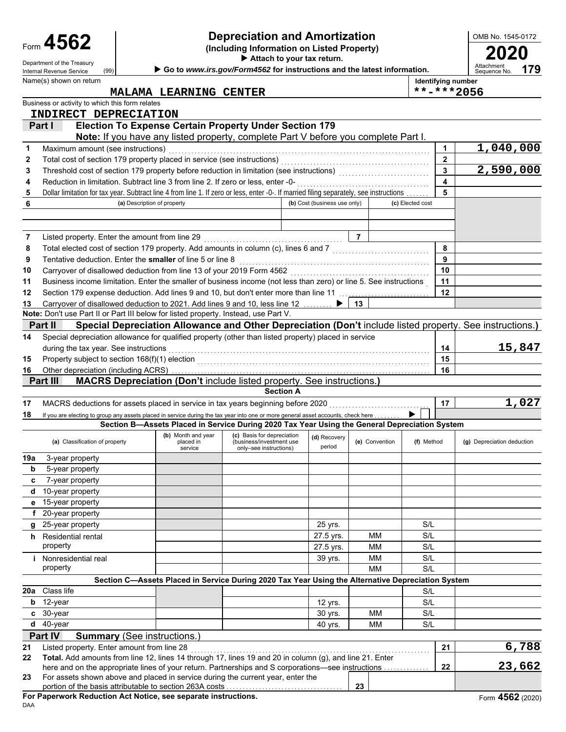|          | Form 4562                                                                                                                                                                             |                             | <b>Depreciation and Amortization</b><br>(Including Information on Listed Property)                |                                                                                  | OMB No. 1545-0172            |                |                                  |                         |                                                                                                          |  |
|----------|---------------------------------------------------------------------------------------------------------------------------------------------------------------------------------------|-----------------------------|---------------------------------------------------------------------------------------------------|----------------------------------------------------------------------------------|------------------------------|----------------|----------------------------------|-------------------------|----------------------------------------------------------------------------------------------------------|--|
|          | Department of the Treasury                                                                                                                                                            |                             |                                                                                                   |                                                                                  |                              | 2020           |                                  |                         |                                                                                                          |  |
|          | (99)<br>Internal Revenue Service                                                                                                                                                      |                             | Go to www.irs.gov/Form4562 for instructions and the latest information.                           |                                                                                  |                              |                |                                  |                         | Attachment<br>179<br>Sequence No.                                                                        |  |
|          | Name(s) shown on return                                                                                                                                                               |                             |                                                                                                   |                                                                                  |                              |                | Identifying number<br>**-***2056 |                         |                                                                                                          |  |
|          | Business or activity to which this form relates                                                                                                                                       |                             | MALAMA LEARNING CENTER                                                                            |                                                                                  |                              |                |                                  |                         |                                                                                                          |  |
|          | INDIRECT DEPRECIATION                                                                                                                                                                 |                             |                                                                                                   |                                                                                  |                              |                |                                  |                         |                                                                                                          |  |
|          | Part I                                                                                                                                                                                |                             | <b>Election To Expense Certain Property Under Section 179</b>                                     |                                                                                  |                              |                |                                  |                         |                                                                                                          |  |
|          |                                                                                                                                                                                       |                             | <b>Note:</b> If you have any listed property, complete Part V before you complete Part I.         |                                                                                  |                              |                |                                  |                         |                                                                                                          |  |
| 1        | Maximum amount (see instructions)                                                                                                                                                     |                             |                                                                                                   |                                                                                  |                              |                |                                  | 1                       | $\overline{1,040,000}$                                                                                   |  |
| 2        |                                                                                                                                                                                       |                             |                                                                                                   |                                                                                  |                              |                |                                  | $\mathbf{2}$            |                                                                                                          |  |
| 3        |                                                                                                                                                                                       |                             |                                                                                                   |                                                                                  |                              |                |                                  | $\overline{\mathbf{3}}$ | 2,590,000                                                                                                |  |
| 4        | Reduction in limitation. Subtract line 3 from line 2. If zero or less, enter -0-                                                                                                      |                             |                                                                                                   |                                                                                  |                              |                |                                  | $\overline{\mathbf{A}}$ |                                                                                                          |  |
| 5        | Dollar limitation for tax year. Subtract line 4 from line 1. If zero or less, enter -0-. If married filing separately, see instructions                                               |                             |                                                                                                   |                                                                                  |                              |                |                                  | 5                       |                                                                                                          |  |
| 6        |                                                                                                                                                                                       | (a) Description of property |                                                                                                   |                                                                                  | (b) Cost (business use only) |                | (c) Elected cost                 |                         |                                                                                                          |  |
|          |                                                                                                                                                                                       |                             |                                                                                                   |                                                                                  |                              |                |                                  |                         |                                                                                                          |  |
|          |                                                                                                                                                                                       |                             |                                                                                                   |                                                                                  |                              |                |                                  |                         |                                                                                                          |  |
| 7        | Listed property. Enter the amount from line 29                                                                                                                                        |                             |                                                                                                   |                                                                                  |                              | $\overline{7}$ |                                  |                         |                                                                                                          |  |
| 8        | Total elected cost of section 179 property. Add amounts in column (c), lines 6 and 7 [[[[[[[[[[[[[[[[[[[[[[[[                                                                         |                             |                                                                                                   |                                                                                  |                              |                |                                  | 8                       |                                                                                                          |  |
| 9        | Tentative deduction. Enter the smaller of line 5 or line 8                                                                                                                            |                             |                                                                                                   |                                                                                  |                              |                |                                  | 9                       |                                                                                                          |  |
| 10       |                                                                                                                                                                                       |                             |                                                                                                   |                                                                                  |                              |                |                                  | 10                      |                                                                                                          |  |
| 11       | Business income limitation. Enter the smaller of business income (not less than zero) or line 5. See instructions                                                                     |                             |                                                                                                   |                                                                                  |                              |                |                                  | 11                      |                                                                                                          |  |
| 12       | Section 179 expense deduction. Add lines 9 and 10, but don't enter more than line 11 [1] [1] expension of the                                                                         |                             |                                                                                                   |                                                                                  |                              |                |                                  | 12                      |                                                                                                          |  |
| 13       | Carryover of disallowed deduction to 2021. Add lines 9 and 10, less line 12<br>Note: Don't use Part II or Part III below for listed property. Instead, use Part V.                    |                             |                                                                                                   |                                                                                  |                              | 13             |                                  |                         |                                                                                                          |  |
|          | Part II                                                                                                                                                                               |                             |                                                                                                   |                                                                                  |                              |                |                                  |                         | Special Depreciation Allowance and Other Depreciation (Don't include listed property. See instructions.) |  |
| 14       | Special depreciation allowance for qualified property (other than listed property) placed in service                                                                                  |                             |                                                                                                   |                                                                                  |                              |                |                                  |                         |                                                                                                          |  |
|          |                                                                                                                                                                                       |                             |                                                                                                   |                                                                                  |                              |                |                                  |                         | 15,847                                                                                                   |  |
|          | during the tax year. See instructions                                                                                                                                                 |                             |                                                                                                   |                                                                                  |                              |                |                                  | 14<br>15                |                                                                                                          |  |
| 15<br>16 | Other depreciation (including ACRS)                                                                                                                                                   |                             |                                                                                                   |                                                                                  |                              |                |                                  | 16                      |                                                                                                          |  |
|          | Part III                                                                                                                                                                              |                             | <b>MACRS Depreciation (Don't include listed property. See instructions.)</b>                      |                                                                                  |                              |                |                                  |                         |                                                                                                          |  |
|          |                                                                                                                                                                                       |                             |                                                                                                   | <b>Section A</b>                                                                 |                              |                |                                  |                         |                                                                                                          |  |
| 17       | MACRS deductions for assets placed in service in tax years beginning before 2020                                                                                                      |                             |                                                                                                   |                                                                                  |                              |                |                                  | 17                      | 1,027                                                                                                    |  |
| 18       | If you are electing to group any assets placed in service during the tax year into one or more general asset accounts, check here                                                     |                             |                                                                                                   |                                                                                  |                              |                |                                  |                         |                                                                                                          |  |
|          |                                                                                                                                                                                       |                             | Section B-Assets Placed in Service During 2020 Tax Year Using the General Depreciation System     |                                                                                  |                              |                |                                  |                         |                                                                                                          |  |
|          | (a) Classification of property                                                                                                                                                        |                             | (b) Month and year<br>placed in<br>service                                                        | (c) Basis for depreciation<br>(business/investment use<br>only-see instructions) | (d) Recovery<br>period       | (e) Convention | (f) Method                       |                         | (g) Depreciation deduction                                                                               |  |
| 19a      | 3-year property                                                                                                                                                                       |                             |                                                                                                   |                                                                                  |                              |                |                                  |                         |                                                                                                          |  |
| b        | 5-year property                                                                                                                                                                       |                             |                                                                                                   |                                                                                  |                              |                |                                  |                         |                                                                                                          |  |
| c        | 7-year property                                                                                                                                                                       |                             |                                                                                                   |                                                                                  |                              |                |                                  |                         |                                                                                                          |  |
|          | d 10-year property                                                                                                                                                                    |                             |                                                                                                   |                                                                                  |                              |                |                                  |                         |                                                                                                          |  |
|          | e 15-year property                                                                                                                                                                    |                             |                                                                                                   |                                                                                  |                              |                |                                  |                         |                                                                                                          |  |
|          | 20-year property                                                                                                                                                                      |                             |                                                                                                   |                                                                                  |                              |                |                                  |                         |                                                                                                          |  |
|          | g 25-year property                                                                                                                                                                    |                             |                                                                                                   |                                                                                  | 25 yrs.                      |                | S/L                              |                         |                                                                                                          |  |
|          | h Residential rental                                                                                                                                                                  |                             |                                                                                                   |                                                                                  | 27.5 yrs.                    | MM             | S/L                              |                         |                                                                                                          |  |
|          | property                                                                                                                                                                              |                             |                                                                                                   |                                                                                  | 27.5 yrs.                    | MM             | S/L                              |                         |                                                                                                          |  |
|          | Nonresidential real                                                                                                                                                                   |                             |                                                                                                   |                                                                                  | 39 yrs.                      | MM             | S/L                              |                         |                                                                                                          |  |
|          | property                                                                                                                                                                              |                             |                                                                                                   |                                                                                  |                              | MM             | S/L                              |                         |                                                                                                          |  |
|          |                                                                                                                                                                                       |                             | Section C-Assets Placed in Service During 2020 Tax Year Using the Alternative Depreciation System |                                                                                  |                              |                |                                  |                         |                                                                                                          |  |
|          | 20a Class life                                                                                                                                                                        |                             |                                                                                                   |                                                                                  |                              |                | S/L                              |                         |                                                                                                          |  |
|          | b 12-year                                                                                                                                                                             |                             |                                                                                                   |                                                                                  | 12 yrs.                      |                | S/L                              |                         |                                                                                                          |  |
|          | c 30-year                                                                                                                                                                             |                             |                                                                                                   |                                                                                  | 30 yrs.                      | MM             | S/L                              |                         |                                                                                                          |  |
|          | $d$ 40-year                                                                                                                                                                           |                             |                                                                                                   |                                                                                  | 40 yrs.                      | MM             | S/L                              |                         |                                                                                                          |  |
|          | Part IV<br><b>Summary</b> (See instructions.)                                                                                                                                         |                             |                                                                                                   |                                                                                  |                              |                |                                  |                         |                                                                                                          |  |
| 21       | Listed property. Enter amount from line 28                                                                                                                                            |                             |                                                                                                   |                                                                                  |                              |                |                                  | 21                      | 6,788                                                                                                    |  |
| 22       | Total. Add amounts from line 12, lines 14 through 17, lines 19 and 20 in column (g), and line 21. Enter                                                                               |                             |                                                                                                   |                                                                                  |                              |                |                                  |                         | 23,662                                                                                                   |  |
| 23       | here and on the appropriate lines of your return. Partnerships and S corporations—see instructions<br>For assets shown above and placed in service during the current year, enter the |                             |                                                                                                   |                                                                                  |                              |                |                                  | 22                      |                                                                                                          |  |
|          | portion of the basis attributable to section 263A costs                                                                                                                               |                             |                                                                                                   |                                                                                  |                              | 23             |                                  |                         |                                                                                                          |  |
|          |                                                                                                                                                                                       |                             |                                                                                                   |                                                                                  |                              |                |                                  |                         |                                                                                                          |  |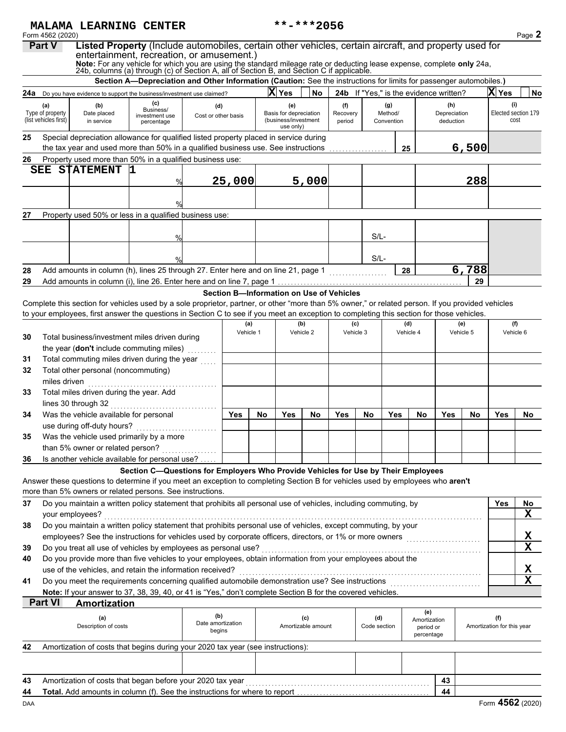|                                          |                                           | MALAMA LEARNING CENTER                                                                                                                                                                                           |                                                                                                                    |                                    |        |           |                                                             | **-***2056                               |                    |                     |                       |                                         |                           |           |                                   |                                     |
|------------------------------------------|-------------------------------------------|------------------------------------------------------------------------------------------------------------------------------------------------------------------------------------------------------------------|--------------------------------------------------------------------------------------------------------------------|------------------------------------|--------|-----------|-------------------------------------------------------------|------------------------------------------|--------------------|---------------------|-----------------------|-----------------------------------------|---------------------------|-----------|-----------------------------------|-------------------------------------|
|                                          | Form 4562 (2020)<br><b>Part V</b>         | Listed Property (Include automobiles, certain other vehicles, certain aircraft, and property used for                                                                                                            |                                                                                                                    |                                    |        |           |                                                             |                                          |                    |                     |                       |                                         |                           |           |                                   | Page 2                              |
|                                          |                                           | entertainment, recreation, or amusement.)                                                                                                                                                                        |                                                                                                                    |                                    |        |           |                                                             |                                          |                    |                     |                       |                                         |                           |           |                                   |                                     |
|                                          |                                           | Note: For any vehicle for which you are using the standard mileage rate or deducting lease expense, complete only 24a, 24b, columns (a) through (c) of Section A, all of Section B, and Section C if applicable. |                                                                                                                    |                                    |        |           |                                                             |                                          |                    |                     |                       |                                         |                           |           |                                   |                                     |
|                                          |                                           |                                                                                                                                                                                                                  | Section A-Depreciation and Other Information (Caution: See the instructions for limits for passenger automobiles.) |                                    |        |           |                                                             |                                          |                    |                     |                       |                                         |                           |           |                                   |                                     |
|                                          |                                           | 24a Do you have evidence to support the business/investment use claimed?                                                                                                                                         |                                                                                                                    |                                    |        |           | X Yes                                                       | No                                       |                    |                     |                       | 24b If "Yes," is the evidence written?  |                           |           | X Yes                             | <b>No</b>                           |
|                                          | (a)                                       | (b)                                                                                                                                                                                                              | (c)                                                                                                                | (d)                                |        |           | (e)                                                         |                                          | (f)                |                     | (g)                   |                                         | (h)                       |           | (i)                               |                                     |
|                                          | Type of property<br>(list vehicles first) | Date placed<br>in service                                                                                                                                                                                        | Business/<br>investment use<br>percentage                                                                          | Cost or other basis                |        |           | Basis for depreciation<br>(business/investment<br>use only) |                                          | Recovery<br>period |                     | Method/<br>Convention |                                         | Depreciation<br>deduction |           | cost                              | Elected section 179                 |
| 25                                       |                                           | Special depreciation allowance for qualified listed property placed in service during<br>the tax year and used more than 50% in a qualified business use. See instructions                                       |                                                                                                                    |                                    |        |           |                                                             |                                          |                    |                     | 25                    |                                         |                           | 6,500     |                                   |                                     |
| 26                                       |                                           | Property used more than 50% in a qualified business use:                                                                                                                                                         |                                                                                                                    |                                    |        |           |                                                             |                                          |                    |                     |                       |                                         |                           |           |                                   |                                     |
|                                          | SEE                                       | <b>STATEMENT</b>                                                                                                                                                                                                 |                                                                                                                    |                                    |        |           |                                                             |                                          |                    |                     |                       |                                         |                           |           |                                   |                                     |
|                                          |                                           |                                                                                                                                                                                                                  | $\frac{0}{0}$                                                                                                      |                                    | 25,000 |           |                                                             | 5,000                                    |                    |                     |                       |                                         |                           | 288       |                                   |                                     |
|                                          |                                           |                                                                                                                                                                                                                  |                                                                                                                    |                                    |        |           |                                                             |                                          |                    |                     |                       |                                         |                           |           |                                   |                                     |
|                                          |                                           |                                                                                                                                                                                                                  |                                                                                                                    |                                    |        |           |                                                             |                                          |                    |                     |                       |                                         |                           |           |                                   |                                     |
| 27                                       |                                           | Property used 50% or less in a qualified business use:                                                                                                                                                           |                                                                                                                    |                                    |        |           |                                                             |                                          |                    |                     |                       |                                         |                           |           |                                   |                                     |
|                                          |                                           |                                                                                                                                                                                                                  |                                                                                                                    |                                    |        |           |                                                             |                                          |                    |                     |                       |                                         |                           |           |                                   |                                     |
|                                          |                                           |                                                                                                                                                                                                                  | %                                                                                                                  |                                    |        |           |                                                             |                                          |                    | $S/L-$              |                       |                                         |                           |           |                                   |                                     |
|                                          |                                           |                                                                                                                                                                                                                  | $\frac{0}{0}$                                                                                                      |                                    |        |           |                                                             |                                          |                    | $S/L-$              |                       |                                         |                           |           |                                   |                                     |
| 28                                       |                                           | Add amounts in column (h), lines 25 through 27. Enter here and on line 21, page 1                                                                                                                                |                                                                                                                    |                                    |        |           |                                                             |                                          |                    |                     | 28                    |                                         |                           | 6,788     |                                   |                                     |
| 29                                       |                                           |                                                                                                                                                                                                                  |                                                                                                                    |                                    |        |           |                                                             |                                          |                    | .                   |                       |                                         |                           | 29        |                                   |                                     |
|                                          |                                           |                                                                                                                                                                                                                  |                                                                                                                    |                                    |        |           |                                                             | Section B-Information on Use of Vehicles |                    |                     |                       |                                         |                           |           |                                   |                                     |
|                                          |                                           | Complete this section for vehicles used by a sole proprietor, partner, or other "more than 5% owner," or related person. If you provided vehicles                                                                |                                                                                                                    |                                    |        |           |                                                             |                                          |                    |                     |                       |                                         |                           |           |                                   |                                     |
|                                          |                                           | to your employees, first answer the questions in Section C to see if you meet an exception to completing this section for those vehicles.                                                                        |                                                                                                                    |                                    |        |           |                                                             |                                          |                    |                     |                       |                                         |                           |           |                                   |                                     |
|                                          |                                           |                                                                                                                                                                                                                  |                                                                                                                    |                                    |        | (a)       |                                                             | (b)                                      |                    | (c)                 |                       | (d)                                     |                           | (e)       | (f)                               |                                     |
| 30                                       |                                           | Total business/investment miles driven during                                                                                                                                                                    |                                                                                                                    |                                    |        | Vehicle 1 |                                                             | Vehicle 2                                |                    | Vehicle 3           |                       | Vehicle 4                               |                           | Vehicle 5 | Vehicle 6                         |                                     |
| the year (don't include commuting miles) |                                           |                                                                                                                                                                                                                  |                                                                                                                    |                                    |        |           |                                                             |                                          |                    |                     |                       |                                         |                           |           |                                   |                                     |
| 31                                       |                                           | Total commuting miles driven during the year                                                                                                                                                                     |                                                                                                                    |                                    |        |           |                                                             |                                          |                    |                     |                       |                                         |                           |           |                                   |                                     |
| 32                                       |                                           | Total other personal (noncommuting)                                                                                                                                                                              |                                                                                                                    |                                    |        |           |                                                             |                                          |                    |                     |                       |                                         |                           |           |                                   |                                     |
|                                          | miles driven                              |                                                                                                                                                                                                                  |                                                                                                                    |                                    |        |           |                                                             |                                          |                    |                     |                       |                                         |                           |           |                                   |                                     |
| 33                                       |                                           | Total miles driven during the year. Add                                                                                                                                                                          |                                                                                                                    |                                    |        |           |                                                             |                                          |                    |                     |                       |                                         |                           |           |                                   |                                     |
|                                          |                                           | lines 30 through 32                                                                                                                                                                                              |                                                                                                                    |                                    | Yes    |           |                                                             |                                          | <b>Yes</b>         |                     | <b>Yes</b>            |                                         | <b>Yes</b>                |           | Yes                               |                                     |
| 34                                       |                                           | Was the vehicle available for personal                                                                                                                                                                           |                                                                                                                    |                                    |        | No        | Yes                                                         | No                                       |                    | No                  |                       | No                                      |                           | No        |                                   | <b>No</b>                           |
| 35                                       |                                           | Was the vehicle used primarily by a more                                                                                                                                                                         |                                                                                                                    |                                    |        |           |                                                             |                                          |                    |                     |                       |                                         |                           |           |                                   |                                     |
|                                          |                                           | than 5% owner or related person?                                                                                                                                                                                 |                                                                                                                    |                                    |        |           |                                                             |                                          |                    |                     |                       |                                         |                           |           |                                   |                                     |
| 36                                       |                                           | Is another vehicle available for personal use?                                                                                                                                                                   |                                                                                                                    |                                    |        |           |                                                             |                                          |                    |                     |                       |                                         |                           |           |                                   |                                     |
|                                          |                                           |                                                                                                                                                                                                                  | Section C-Questions for Employers Who Provide Vehicles for Use by Their Employees                                  |                                    |        |           |                                                             |                                          |                    |                     |                       |                                         |                           |           |                                   |                                     |
|                                          |                                           | Answer these questions to determine if you meet an exception to completing Section B for vehicles used by employees who aren't                                                                                   |                                                                                                                    |                                    |        |           |                                                             |                                          |                    |                     |                       |                                         |                           |           |                                   |                                     |
|                                          |                                           | more than 5% owners or related persons. See instructions.                                                                                                                                                        |                                                                                                                    |                                    |        |           |                                                             |                                          |                    |                     |                       |                                         |                           |           |                                   |                                     |
| 37                                       |                                           | Do you maintain a written policy statement that prohibits all personal use of vehicles, including commuting, by                                                                                                  |                                                                                                                    |                                    |        |           |                                                             |                                          |                    |                     |                       |                                         |                           |           | Yes                               | No                                  |
|                                          |                                           | your employees?                                                                                                                                                                                                  |                                                                                                                    |                                    |        |           |                                                             |                                          |                    |                     |                       |                                         |                           |           |                                   | $\mathbf x$                         |
| 38                                       |                                           | Do you maintain a written policy statement that prohibits personal use of vehicles, except commuting, by your                                                                                                    |                                                                                                                    |                                    |        |           |                                                             |                                          |                    |                     |                       |                                         |                           |           |                                   |                                     |
|                                          |                                           | employees? See the instructions for vehicles used by corporate officers, directors, or 1% or more owners                                                                                                         |                                                                                                                    |                                    |        |           |                                                             |                                          |                    |                     |                       |                                         |                           |           |                                   | X                                   |
| 39                                       |                                           | Do you treat all use of vehicles by employees as personal use?                                                                                                                                                   |                                                                                                                    |                                    |        |           |                                                             |                                          |                    |                     |                       |                                         |                           |           |                                   | $\overline{\mathbf{x}}$             |
| 40                                       |                                           | Do you provide more than five vehicles to your employees, obtain information from your employees about the                                                                                                       |                                                                                                                    |                                    |        |           |                                                             |                                          |                    |                     |                       |                                         |                           |           |                                   |                                     |
|                                          |                                           | use of the vehicles, and retain the information received?                                                                                                                                                        |                                                                                                                    |                                    |        |           |                                                             |                                          |                    |                     |                       |                                         |                           |           |                                   | <u>x</u><br>$\overline{\mathbf{x}}$ |
| 41                                       |                                           | Do you meet the requirements concerning qualified automobile demonstration use? See instructions<br>Note: If your answer to 37, 38, 39, 40, or 41 is "Yes," don't complete Section B for the covered vehicles.   |                                                                                                                    |                                    |        |           |                                                             |                                          |                    |                     |                       |                                         |                           |           |                                   |                                     |
|                                          | <b>Part VI</b>                            | Amortization                                                                                                                                                                                                     |                                                                                                                    |                                    |        |           |                                                             |                                          |                    |                     |                       |                                         |                           |           |                                   |                                     |
|                                          |                                           |                                                                                                                                                                                                                  |                                                                                                                    |                                    |        |           |                                                             |                                          |                    |                     |                       | (e)                                     |                           |           |                                   |                                     |
|                                          |                                           | (a)<br>Description of costs                                                                                                                                                                                      |                                                                                                                    | (b)<br>Date amortization<br>begins |        |           |                                                             | (c)<br>Amortizable amount                |                    | (d)<br>Code section |                       | Amortization<br>period or<br>percentage |                           |           | (f)<br>Amortization for this year |                                     |
| 42                                       |                                           | Amortization of costs that begins during your 2020 tax year (see instructions):                                                                                                                                  |                                                                                                                    |                                    |        |           |                                                             |                                          |                    |                     |                       |                                         |                           |           |                                   |                                     |
|                                          |                                           |                                                                                                                                                                                                                  |                                                                                                                    |                                    |        |           |                                                             |                                          |                    |                     |                       |                                         |                           |           |                                   |                                     |
|                                          |                                           |                                                                                                                                                                                                                  |                                                                                                                    |                                    |        |           |                                                             |                                          |                    |                     |                       |                                         |                           |           |                                   |                                     |
| 43                                       |                                           | Amortization of costs that began before your 2020 tax year                                                                                                                                                       |                                                                                                                    |                                    |        |           |                                                             |                                          |                    |                     |                       |                                         | 43                        |           |                                   |                                     |
| 44                                       |                                           | <b>Total.</b> Add amounts in column (f). See the instructions for where to report                                                                                                                                |                                                                                                                    |                                    |        |           |                                                             |                                          |                    |                     |                       |                                         | 44                        |           |                                   |                                     |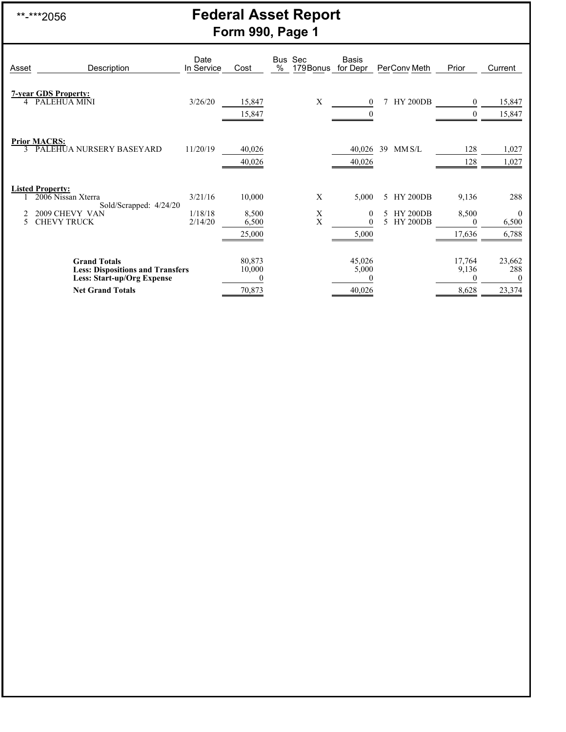## \*\*-\*\*\*2056 **Federal Asset Report Form 990, Page 1**

| Asset | Description                                                                                                                    | Date<br>In Service            | Cost                               | Bus<br>$\%$ | Sec<br>179Bonus | <b>Basis</b><br>for Depr                   |                | PerConv Meth                                          | Prior                                | Current                             |
|-------|--------------------------------------------------------------------------------------------------------------------------------|-------------------------------|------------------------------------|-------------|-----------------|--------------------------------------------|----------------|-------------------------------------------------------|--------------------------------------|-------------------------------------|
| 4     | <b>7-year GDS Property:</b><br>PALEHUA MINI                                                                                    | 3/26/20                       | 15,847<br>15,847                   |             | X               | $\overline{0}$<br>$\overline{0}$           |                | <b>HY 200DB</b>                                       | $\mathbf{0}$<br>$\mathbf{0}$         | 15,847<br>15,847                    |
|       | <b>Prior MACRS:</b><br>PALEHUA NURSERY BASEYARD                                                                                | 11/20/19                      | 40,026<br>40,026                   |             |                 | 40,026<br>40,026                           | 39             | MM S/L                                                | 128<br>128                           | 1,027<br>1,027                      |
| 5     | <b>Listed Property:</b><br>2006 Nissan Xterra<br>Sold/Scrapped: 4/24/20<br>2009 CHEVY VAN<br><b>CHEVY TRUCK</b>                | 3/21/16<br>1/18/18<br>2/14/20 | 10,000<br>8,500<br>6,500<br>25,000 |             | X<br>X<br>X     | 5,000<br>$\mathbf{0}$<br>$\Omega$<br>5,000 | 5.<br>5.<br>5. | <b>HY 200DB</b><br><b>HY 200DB</b><br><b>HY 200DB</b> | 9,136<br>8,500<br>$\Omega$<br>17,636 | 288<br>$\theta$<br>6,500<br>6,788   |
|       | <b>Grand Totals</b><br><b>Less: Dispositions and Transfers</b><br><b>Less: Start-up/Org Expense</b><br><b>Net Grand Totals</b> |                               | 80,873<br>10,000<br>70,873         |             |                 | 45,026<br>5,000<br>40,026                  |                |                                                       | 17,764<br>9,136<br>0<br>8,628        | 23,662<br>288<br>$\bf{0}$<br>23,374 |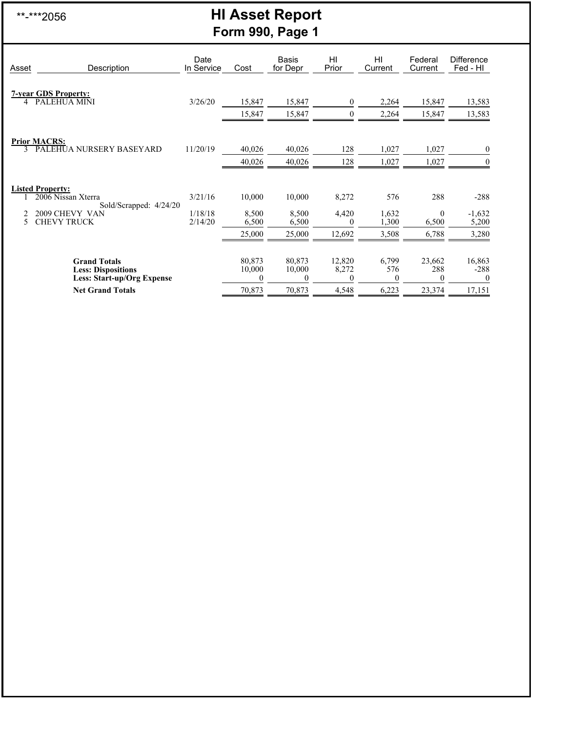## \*\*-\*\*\*2056 **HI Asset Report Form 990, Page 1**

| Asset  | Description                                                                           | Date<br>In Service | Cost                         | <b>Basis</b><br>for Depr     | HI<br>Prior                 | HI<br>Current            | Federal<br>Current        | <b>Difference</b><br>Fed - HI |
|--------|---------------------------------------------------------------------------------------|--------------------|------------------------------|------------------------------|-----------------------------|--------------------------|---------------------------|-------------------------------|
|        | <b>7-year GDS Property:</b>                                                           |                    |                              |                              |                             |                          |                           |                               |
| 4      | <b>PALEHUA MINI</b>                                                                   | 3/26/20            | 15,847<br>15,847             | 15,847<br>15,847             | $\theta$<br>$\Omega$        | 2,264<br>2,264           | 15,847<br>15,847          | 13,583<br>13,583              |
|        |                                                                                       |                    |                              |                              |                             |                          |                           |                               |
| 3      | <b>Prior MACRS:</b><br>PALEHUA NURSERY BASEYARD                                       | 11/20/19           | 40,026                       | 40,026                       | 128                         | 1,027                    | 1,027                     | $\boldsymbol{0}$              |
|        |                                                                                       |                    | 40,026                       | 40,026                       | 128                         | 1,027                    | 1,027                     | $\mathbf{0}$                  |
|        | <b>Listed Property:</b>                                                               |                    |                              |                              |                             |                          |                           |                               |
|        | 2006 Nissan Xterra<br>Sold/Scrapped: 4/24/20                                          | 3/21/16            | 10,000                       | 10,000                       | 8,272                       | 576                      | 288                       | $-288$                        |
| 2<br>5 | 2009 CHEVY VAN<br><b>CHEVY TRUCK</b>                                                  | 1/18/18<br>2/14/20 | 8,500<br>6,500               | 8,500<br>6,500               | 4,420<br>$\Omega$           | 1,632<br>1,300           | $\theta$<br>6,500         | $-1,632$<br>5,200             |
|        |                                                                                       |                    | 25,000                       | 25,000                       | 12,692                      | 3,508                    | 6,788                     | 3,280                         |
|        | <b>Grand Totals</b><br><b>Less: Dispositions</b><br><b>Less: Start-up/Org Expense</b> |                    | 80,873<br>10,000<br>$\Omega$ | 80,873<br>10,000<br>$\Omega$ | 12,820<br>8,272<br>$\Omega$ | 6,799<br>576<br>$\theta$ | 23,662<br>288<br>$\Omega$ | 16,863<br>$-288$<br>$\Omega$  |
|        | <b>Net Grand Totals</b>                                                               |                    | 70,873                       | 70,873                       | 4,548                       | 6,223                    | 23,374                    | 17,151                        |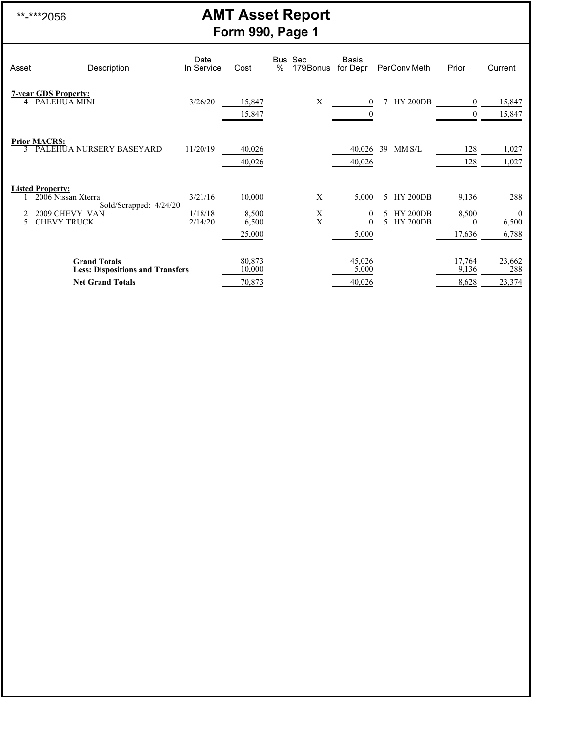## \*\*-\*\*\*2056 **AMT Asset Report Form 990, Page 1**

| Asset | Description                                                                                                     | Date<br>In Service            | Cost                               | <b>Bus</b><br>$\%$ | Sec<br>179Bonus | <b>Basis</b><br>for Depr                   |               | PerConv Meth                                          | Prior                         | Current                           |
|-------|-----------------------------------------------------------------------------------------------------------------|-------------------------------|------------------------------------|--------------------|-----------------|--------------------------------------------|---------------|-------------------------------------------------------|-------------------------------|-----------------------------------|
| 4     | <b>7-year GDS Property:</b><br>PALEHUA MINI                                                                     | 3/26/20                       | 15,847<br>15,847                   |                    | Х               | $\mathbf{0}$<br>$\boldsymbol{0}$           |               | <b>HY 200DB</b>                                       | $\overline{0}$                | 15,847<br>15,847                  |
|       | <b>Prior MACRS:</b><br>PALEHUA NURSERY BASEYARD                                                                 | 11/20/19                      | 40,026<br>40,026                   |                    |                 | 40,026<br>40,026                           | 39            | MMSL                                                  | 128<br>128                    | 1,027<br>1,027                    |
| 5     | <b>Listed Property:</b><br>2006 Nissan Xterra<br>Sold/Scrapped: 4/24/20<br>2009 CHEVY VAN<br><b>CHEVY TRUCK</b> | 3/21/16<br>1/18/18<br>2/14/20 | 10,000<br>8,500<br>6,500<br>25,000 |                    | X<br>X<br>X     | 5,000<br>$\mathbf{0}$<br>$\theta$<br>5,000 | 5.<br>5.<br>5 | <b>HY 200DB</b><br><b>HY 200DB</b><br><b>HY 200DB</b> | 9,136<br>8,500<br>0<br>17,636 | 288<br>$\theta$<br>6,500<br>6,788 |
|       | <b>Grand Totals</b><br><b>Less: Dispositions and Transfers</b><br><b>Net Grand Totals</b>                       |                               | 80,873<br>10,000<br>70,873         |                    |                 | 45,026<br>5,000<br>40,026                  |               |                                                       | 17,764<br>9,136<br>8,628      | 23,662<br>288<br>23,374           |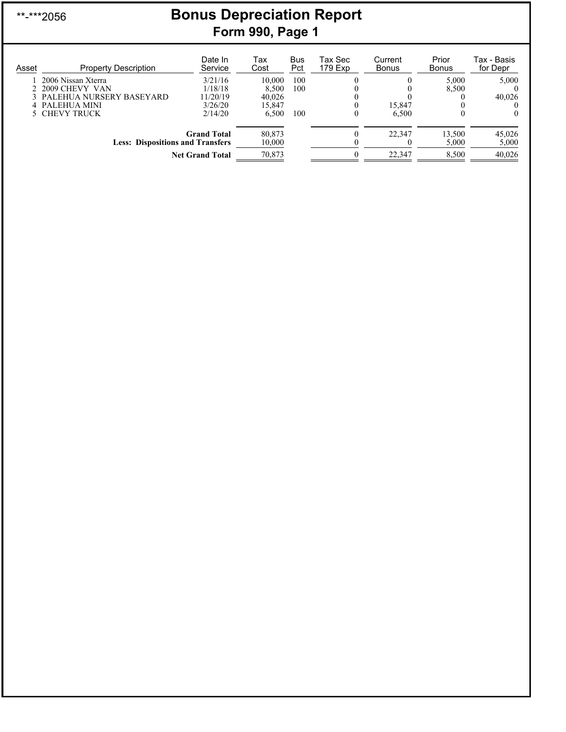## \*\*-\*\*\*2056 **Bonus Depreciation Report Form 990, Page 1**

| Asset | <b>Property Description</b>             | Date In<br>Service     | Tax<br>Cost      | <b>Bus</b><br>Pct | Tax Sec<br>179 Exp | Current<br><b>Bonus</b> | Prior<br><b>Bonus</b> | Tax - Basis<br>for Depr |
|-------|-----------------------------------------|------------------------|------------------|-------------------|--------------------|-------------------------|-----------------------|-------------------------|
|       | 2006 Nissan Xterra                      | 3/21/16                | 10.000           | 100               |                    |                         | 5.000                 | 5,000                   |
|       | 2 2009 CHEVY VAN                        | 1/18/18                | 8.500            | 100               |                    |                         | 8,500                 |                         |
|       | 3 PALEHUA NURSERY BASEYARD              | 11/20/19               | 40,026           |                   |                    |                         |                       | 40,026                  |
|       | 4 PALEHUA MINI                          | 3/26/20                | 15.847           |                   |                    | 15.847                  |                       |                         |
|       | 5 CHEVY TRUCK                           | 2/14/20                | 6.500            | 100               | $\theta$           | 6.500                   | $_{0}$                | 0                       |
|       | <b>Less: Dispositions and Transfers</b> | <b>Grand Total</b>     | 80,873<br>10,000 |                   |                    | 22.347                  | 13,500<br>5,000       | 45,026<br>5,000         |
|       |                                         | <b>Net Grand Total</b> | 70,873           |                   |                    | 22,347                  | 8,500                 | 40,026                  |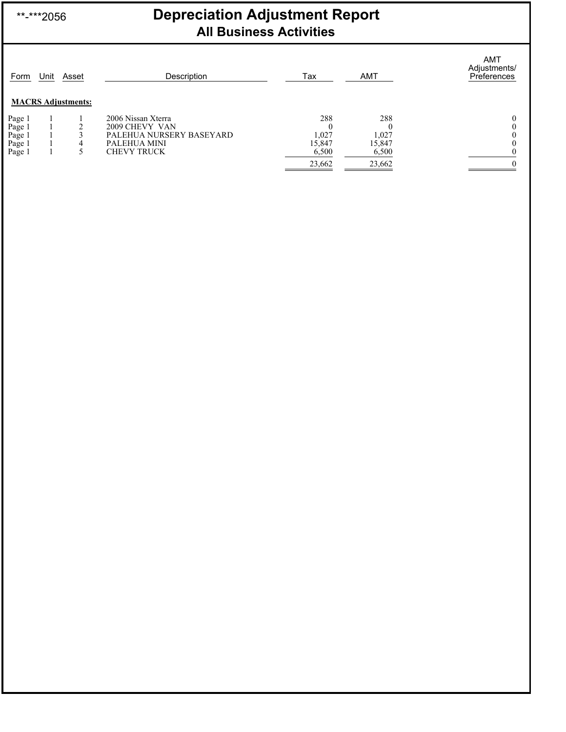## \*\*-\*\*\*2056 **Depreciation Adjustment Report All Business Activities**

| Form                                           | Unit | Asset<br><b>MACRS Adjustments:</b> | Description                                                                                            | Tax                             | <b>AMT</b>                      | AMT<br>Adjustments/<br>Preferences |
|------------------------------------------------|------|------------------------------------|--------------------------------------------------------------------------------------------------------|---------------------------------|---------------------------------|------------------------------------|
| Page 1<br>Page 1<br>Page 1<br>Page 1<br>Page 1 |      | 4                                  | 2006 Nissan Xterra<br>2009 CHEVY VAN<br>PALEHUA NURSERY BASEYARD<br>PALEHUA MINI<br><b>CHEVY TRUCK</b> | 288<br>1,027<br>15,847<br>6,500 | 288<br>1,027<br>15,847<br>6,500 |                                    |
|                                                |      |                                    |                                                                                                        | 23,662                          | 23,662                          | $\Omega$                           |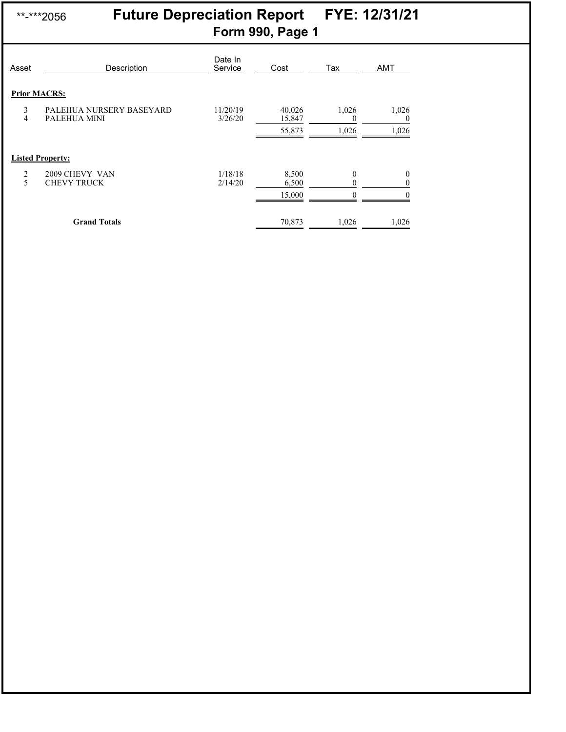## \*\*-\*\*\*2056 **Future Depreciation Report FYE: 12/31/21 Form 990, Page 1**

| Asset  | Description                              | Date In<br>Service  | Cost             | Tax               | <b>AMT</b>               |
|--------|------------------------------------------|---------------------|------------------|-------------------|--------------------------|
|        | <b>Prior MACRS:</b>                      |                     |                  |                   |                          |
| 3<br>4 | PALEHUA NURSERY BASEYARD<br>PALEHUA MINI | 11/20/19<br>3/26/20 | 40,026<br>15,847 | 1,026<br>$\theta$ | 1,026<br>$\theta$        |
|        |                                          |                     | 55,873           | 1,026             | 1,026                    |
|        | <b>Listed Property:</b>                  |                     |                  |                   |                          |
| 2<br>5 | 2009 CHEVY VAN<br><b>CHEVY TRUCK</b>     | 1/18/18<br>2/14/20  | 8,500<br>6,500   | 0                 | $\mathbf{0}$<br>$\theta$ |
|        |                                          |                     | 15,000           |                   |                          |
|        | <b>Grand Totals</b>                      |                     | 70,873           | 1,026             | 1,026                    |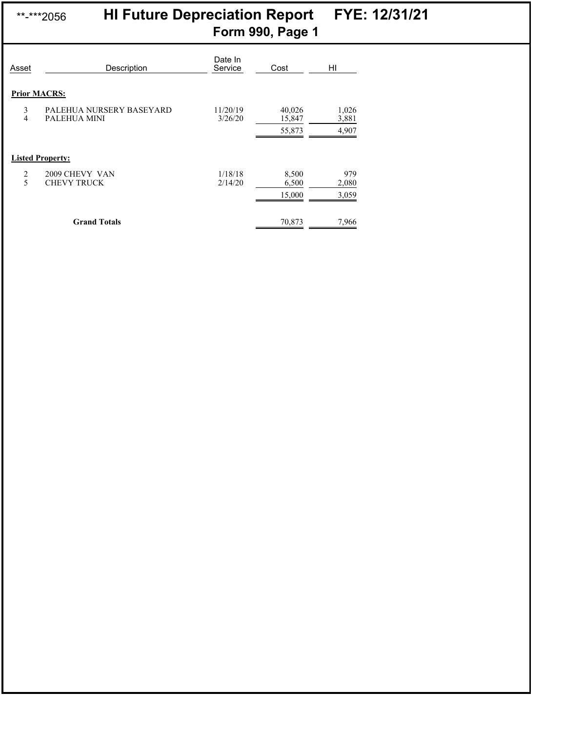## \*\*-\*\*\*2056 **HI Future Depreciation Report FYE: 12/31/21 Form 990, Page 1**

| Asset  | Description                              | Date In<br>Service  | Cost             | HI             |
|--------|------------------------------------------|---------------------|------------------|----------------|
|        | <b>Prior MACRS:</b>                      |                     |                  |                |
| 3<br>4 | PALEHUA NURSERY BASEYARD<br>PALEHUA MINI | 11/20/19<br>3/26/20 | 40,026<br>15,847 | 1,026<br>3,881 |
|        |                                          |                     | 55,873           | 4,907          |
|        | <b>Listed Property:</b>                  |                     |                  |                |
| 2<br>5 | 2009 CHEVY VAN<br><b>CHEVY TRUCK</b>     | 1/18/18<br>2/14/20  | 8,500<br>6,500   | 979<br>2,080   |
|        |                                          |                     | 15,000           | 3,059          |
|        | <b>Grand Totals</b>                      |                     | 70,873           | 7,966          |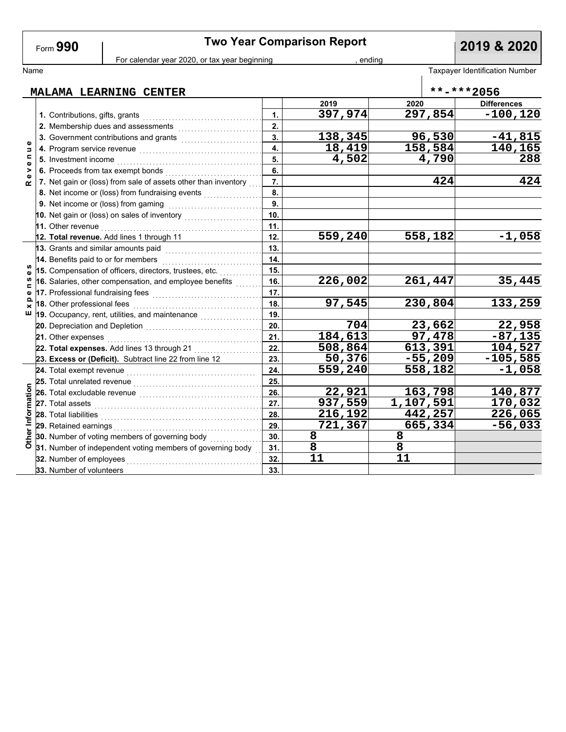Form **990**

# **Two Year Comparison Report 2019 & 2020**

For calendar year 2020, or tax year beginning , ending , ending

| Name                |                                                                                                                |     |                        |        |                    | Taxpayer Identification Number |
|---------------------|----------------------------------------------------------------------------------------------------------------|-----|------------------------|--------|--------------------|--------------------------------|
|                     | MALAMA LEARNING CENTER                                                                                         |     |                        |        |                    | **-***2056                     |
|                     |                                                                                                                |     | 2019                   | 2020   |                    | <b>Differences</b>             |
|                     | 1. Contributions, gifts, grants                                                                                | 1.  | 397,974                |        | 297,854            | $-100, 120$                    |
|                     | 2. Membership dues and assessments                                                                             | 2.  |                        |        |                    |                                |
|                     | 3. Government contributions and grants                                                                         | 3.  | 138,345                |        | 96,530             | $-41,815$                      |
| Φ<br>Б              |                                                                                                                | 4.  | 18,419                 |        | 158,584            | 140,165                        |
| $\blacksquare$<br>Φ | 5. Investment income                                                                                           | 5.  | 4,502                  |        | 4,790              | 288                            |
| >                   | 6. Proceeds from tax exempt bonds                                                                              | 6.  |                        |        |                    |                                |
| $\alpha$            | 7. Net gain or (loss) from sale of assets other than inventory                                                 | 7.  |                        |        | 424                | 424                            |
|                     | 8. Net income or (loss) from fundraising events                                                                | 8.  |                        |        |                    |                                |
|                     | 9. Net income or (loss) from gaming                                                                            | 9.  |                        |        |                    |                                |
|                     | 10. Net gain or (loss) on sales of inventory                                                                   | 10. |                        |        |                    |                                |
|                     | 11. Other revenue <b>construction of the construction of the construction</b>                                  | 11. |                        |        |                    |                                |
|                     | 12. Total revenue. Add lines 1 through 11                                                                      | 12. | 559,240                |        | 558,182            | $-1,058$                       |
|                     | 13. Grants and similar amounts paid                                                                            | 13. |                        |        |                    |                                |
|                     | 14. Benefits paid to or for members                                                                            | 14. |                        |        |                    |                                |
| $\mathbf o$         | 15. Compensation of officers, directors, trustees, etc.                                                        | 15. |                        |        |                    |                                |
| n<br>$\blacksquare$ | 16. Salaries, other compensation, and employee benefits                                                        | 16. | 226,002                |        | 261,447            | 35,445                         |
| $\mathbf o$         |                                                                                                                |     |                        |        |                    |                                |
| $\Omega$<br>×       | 18. Other professional fees                                                                                    | 18. | 97,545                 |        | 230,804            | 133,259                        |
| ш                   | 19. Occupancy, rent, utilities, and maintenance <i>mail component</i>                                          | 19. |                        |        |                    |                                |
|                     | 20. Depreciation and Depletion [1991] [1991] [1991] [1991] [1991] [1991] [1991] [1991] [1991] [1991] [1991] [1 | 20. | 704                    |        | 23,662             | 22,958                         |
|                     | 21. Other expenses                                                                                             | 21. | 184,613                | 97,478 |                    | $-87, 135$                     |
|                     | 22. Total expenses. Add lines 13 through 21                                                                    | 22. | 508,864                |        | $\sqrt{613}$ , 391 | 104,527                        |
|                     | 23. Excess or (Deficit). Subtract line 22 from line 12                                                         | 23. | 50,376                 |        | $-55,209$          | $-105,585$                     |
|                     | 24. Total exempt revenue                                                                                       | 24. | $\overline{559}$ , 240 |        | 558,182            | $-1,058$                       |
|                     | 25. Total unrelated revenue                                                                                    | 25. |                        |        |                    |                                |
|                     | 26. Total excludable revenue                                                                                   | 26. | 22,921                 |        | 163,798            | 140,877                        |
|                     | 27. Total assets                                                                                               | 27. | 937,559                |        | 1,107,591          | 170,032                        |
|                     | 28. Total liabilities                                                                                          | 28. | 216,192                |        | 442,257            | 226,065                        |
| er Information      | 29. Retained earnings                                                                                          | 29. | 721,367                |        | 665,334            | $-56,033$                      |
|                     | 30. Number of voting members of governing body                                                                 | 30. | 8                      | 8      |                    |                                |
| $\tilde{a}$         | 31. Number of independent voting members of governing body                                                     | 31. | $\overline{8}$         | 8      |                    |                                |
|                     | 32. Number of employees                                                                                        | 32. | 11                     | 11     |                    |                                |
|                     | 33. Number of volunteers                                                                                       | 33. |                        |        |                    |                                |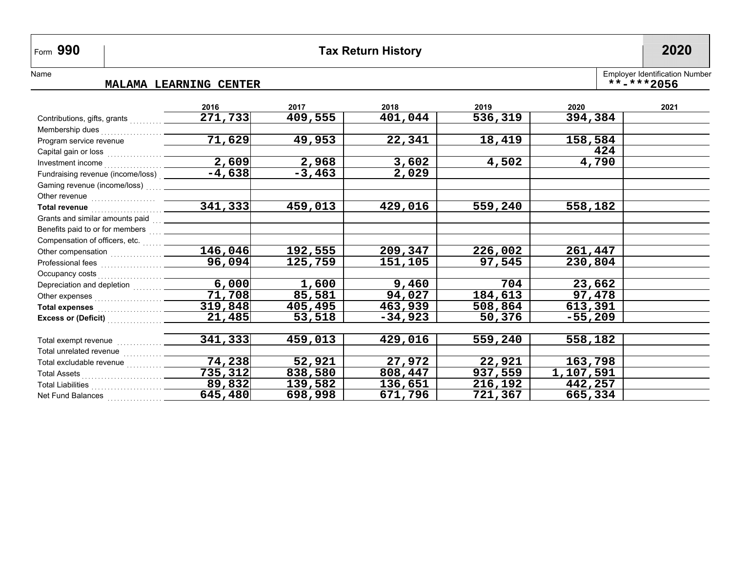## **990 Tax Return History 2020**

L,

Name

### **MALAMA LEARNING CENTER \*\*-\*\*\*2056**

Employer Identification Number

|                                                                                                                                                                                                                                      | 2016                | 2017     | 2018    | 2019    | 2020      | 2021 |
|--------------------------------------------------------------------------------------------------------------------------------------------------------------------------------------------------------------------------------------|---------------------|----------|---------|---------|-----------|------|
| Contributions, gifts, grants                                                                                                                                                                                                         | 271,733             | 409,555  | 401,044 | 536,319 | 394,384   |      |
| Membership dues                                                                                                                                                                                                                      |                     |          |         |         |           |      |
| Program service revenue                                                                                                                                                                                                              | 71,629              | 49,953   | 22,341  | 18,419  | 158,584   |      |
|                                                                                                                                                                                                                                      |                     |          |         |         | 424       |      |
|                                                                                                                                                                                                                                      | 2,609               | 2,968    | 3,602   | 4,502   | 4,790     |      |
| Fundraising revenue (income/loss)                                                                                                                                                                                                    | $-4,638$            | $-3,463$ | 2,029   |         |           |      |
|                                                                                                                                                                                                                                      |                     |          |         |         |           |      |
| Other revenue <b>contract and the contract of the contract of the contract of the contract of the contract of the contract of the contract of the contract of the contract of the contract of the contract of the contract of th</b> |                     |          |         |         |           |      |
| Total revenue <b>contract and the contract of the contract of the contract of the contract of the contract of the contract of the contract of the contract of the contract of the contract of the contract of the contract of th</b> | 341,333             | 459,013  | 429,016 | 559,240 | 558,182   |      |
|                                                                                                                                                                                                                                      |                     |          |         |         |           |      |
|                                                                                                                                                                                                                                      |                     |          |         |         |           |      |
|                                                                                                                                                                                                                                      |                     |          |         |         |           |      |
|                                                                                                                                                                                                                                      | 146,046             | 192,555  | 209,347 | 226,002 | 261,447   |      |
|                                                                                                                                                                                                                                      | 96,094              | 125,759  | 151,105 | 97,545  | 230,804   |      |
|                                                                                                                                                                                                                                      |                     |          |         |         |           |      |
|                                                                                                                                                                                                                                      | 6,000               | 1,600    | 9,460   | 704     | 23,662    |      |
|                                                                                                                                                                                                                                      | $\overline{71,708}$ | 85,581   | 94,027  | 184,613 | 97,478    |      |
|                                                                                                                                                                                                                                      | 319,848             | 405,495  | 463,939 | 508,864 | 613,391   |      |
|                                                                                                                                                                                                                                      | 21,485              | 53,518   | -34,923 | 50,376  | $-55,209$ |      |
|                                                                                                                                                                                                                                      |                     |          |         |         |           |      |
|                                                                                                                                                                                                                                      | 341,333             | 459,013  | 429,016 | 559,240 | 558,182   |      |
| Total unrelated revenue                                                                                                                                                                                                              |                     |          |         |         |           |      |
| Total excludable revenue                                                                                                                                                                                                             | 74, 238             | 52,921   | 27,972  | 22,921  | 163,798   |      |
|                                                                                                                                                                                                                                      | 735,312             | 838,580  | 808,447 | 937,559 | 1,107,591 |      |
| Total Liabilities                                                                                                                                                                                                                    | 89,832              | 139,582  | 136,651 | 216,192 | 442,257   |      |
| Net Fund Balances                                                                                                                                                                                                                    | 645,480             | 698,998  | 671,796 | 721,367 | 665,334   |      |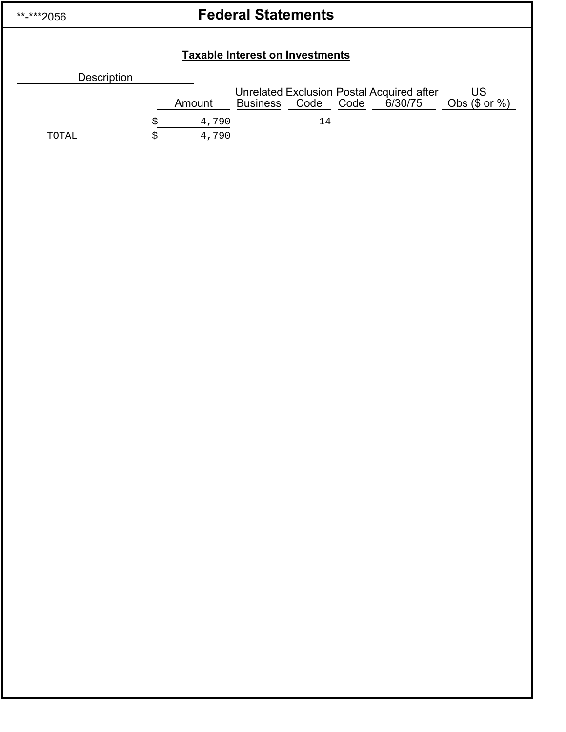| **-***2056 |  |
|------------|--|
|            |  |

# **Federal Statements**

## **Taxable Interest on Investments**

| LAXADIG IIILGI GSL OII IIIVGSLIIIGIILS |  |        |                 |           |  |                                                      |                          |
|----------------------------------------|--|--------|-----------------|-----------|--|------------------------------------------------------|--------------------------|
| Description                            |  |        |                 |           |  |                                                      |                          |
|                                        |  | Amount | <b>Business</b> | Code Code |  | Unrelated Exclusion Postal Acquired after<br>6/30/75 | US<br>Obs $(\$$ or $%$ ) |
|                                        |  | 4,790  |                 | 14        |  |                                                      |                          |
| TOTAL                                  |  | 4,790  |                 |           |  |                                                      |                          |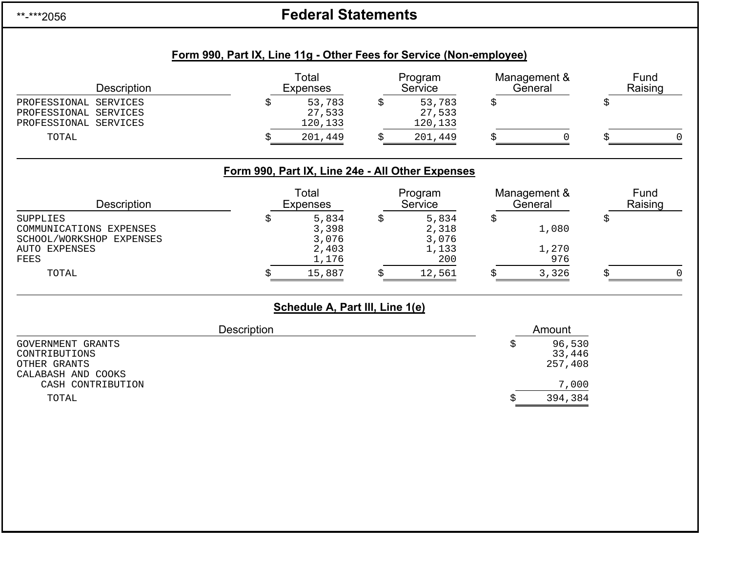\*\*-\*\*\*2056

# **Federal Statements**

| Description                                                              |                    | Total<br><b>Expenses</b>                         |    | Program<br>Service          |    | Management &<br>General     |    | Fund<br>Raising |  |
|--------------------------------------------------------------------------|--------------------|--------------------------------------------------|----|-----------------------------|----|-----------------------------|----|-----------------|--|
| PROFESSIONAL SERVICES<br>PROFESSIONAL SERVICES<br>PROFESSIONAL SERVICES  | \$                 | 53,783<br>27,533<br>120,133                      | \$ | 53,783<br>27,533<br>120,133 | \$ |                             | \$ |                 |  |
| TOTAL                                                                    | Ŝ                  | 201,449                                          | Ŝ. | 201,449                     |    | $\Omega$                    | Ŝ  |                 |  |
|                                                                          |                    | Form 990, Part IX, Line 24e - All Other Expenses |    |                             |    |                             |    |                 |  |
| Description                                                              |                    | Total<br><b>Expenses</b>                         |    | Program<br>Service          |    | Management &<br>General     |    | Fund<br>Raising |  |
| <b>SUPPLIES</b><br>COMMUNICATIONS EXPENSES<br>SCHOOL/WORKSHOP EXPENSES   | \$                 | 5,834<br>3,398<br>3,076                          | \$ | 5,834<br>2,318<br>3,076     | \$ | 1,080                       | \$ |                 |  |
| <b>AUTO EXPENSES</b><br><b>FEES</b>                                      |                    | 2,403<br>1,176                                   |    | 1,133<br>200                |    | 1,270<br>976                |    |                 |  |
| TOTAL                                                                    | Ś                  | 15,887                                           | Ś  | 12,561                      | S  | 3,326                       | Ś  |                 |  |
|                                                                          |                    | Schedule A, Part III, Line 1(e)                  |    |                             |    |                             |    |                 |  |
|                                                                          | <b>Description</b> |                                                  |    |                             |    | Amount                      |    |                 |  |
| GOVERNMENT GRANTS<br>CONTRIBUTIONS<br>OTHER GRANTS<br>CALABASH AND COOKS |                    |                                                  |    |                             | \$ | 96,530<br>33,446<br>257,408 |    |                 |  |
| CASH CONTRIBUTION<br>TOTAL                                               |                    |                                                  |    |                             |    | 7,000<br>394,384            |    |                 |  |